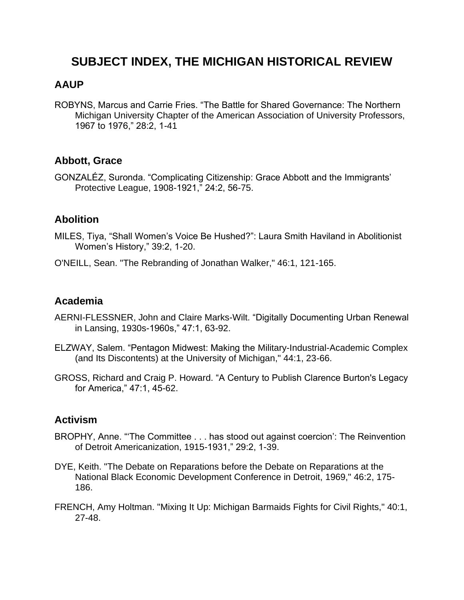# **SUBJECT INDEX, THE MICHIGAN HISTORICAL REVIEW**

### **AAUP**

ROBYNS, Marcus and Carrie Fries. "The Battle for Shared Governance: The Northern Michigan University Chapter of the American Association of University Professors, 1967 to 1976," 28:2, 1-41

### **Abbott, Grace**

GONZALÉZ, Suronda. "Complicating Citizenship: Grace Abbott and the Immigrants' Protective League, 1908-1921," 24:2, 56-75.

#### **Abolition**

- MILES, Tiya, "Shall Women's Voice Be Hushed?": Laura Smith Haviland in Abolitionist Women's History," 39:2, 1-20.
- O'NEILL, Sean. "The Rebranding of Jonathan Walker," 46:1, 121-165.

#### **Academia**

- AERNI-FLESSNER, John and Claire Marks-Wilt. "Digitally Documenting Urban Renewal in Lansing, 1930s-1960s," 47:1, 63-92.
- ELZWAY, Salem. "Pentagon Midwest: Making the Military-Industrial-Academic Complex (and Its Discontents) at the University of Michigan," 44:1, 23-66.
- GROSS, Richard and Craig P. Howard. "A Century to Publish Clarence Burton's Legacy for America," 47:1, 45-62.

#### **Activism**

- BROPHY, Anne. "'The Committee . . . has stood out against coercion': The Reinvention of Detroit Americanization, 1915-1931," 29:2, 1-39.
- DYE, Keith. "The Debate on Reparations before the Debate on Reparations at the National Black Economic Development Conference in Detroit, 1969," 46:2, 175- 186.
- FRENCH, Amy Holtman. "Mixing It Up: Michigan Barmaids Fights for Civil Rights," 40:1, 27-48.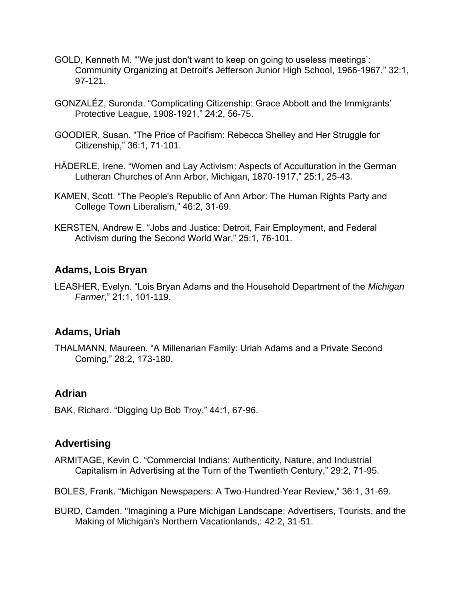- GOLD, Kenneth M. "'We just don't want to keep on going to useless meetings': Community Organizing at Detroit's Jefferson Junior High School, 1966-1967," 32:1, 97-121.
- GONZALÉZ, Suronda. "Complicating Citizenship: Grace Abbott and the Immigrants' Protective League, 1908-1921," 24:2, 56-75.
- GOODIER, Susan. "The Price of Pacifism: Rebecca Shelley and Her Struggle for Citizenship," 36:1, 71-101.
- HÄDERLE, Irene. "Women and Lay Activism: Aspects of Acculturation in the German Lutheran Churches of Ann Arbor, Michigan, 1870-1917," 25:1, 25-43.
- KAMEN, Scott. "The People's Republic of Ann Arbor: The Human Rights Party and College Town Liberalism," 46:2, 31-69.
- KERSTEN, Andrew E. "Jobs and Justice: Detroit, Fair Employment, and Federal Activism during the Second World War," 25:1, 76-101.

# **Adams, Lois Bryan**

LEASHER, Evelyn. "Lois Bryan Adams and the Household Department of the *Michigan Farmer*," 21:1, 101-119.

#### **Adams, Uriah**

THALMANN, Maureen. "A Millenarian Family: Uriah Adams and a Private Second Coming," 28:2, 173-180.

#### **Adrian**

BAK, Richard. "Digging Up Bob Troy," 44:1, 67-96.

#### **Advertising**

- ARMITAGE, Kevin C. "Commercial Indians: Authenticity, Nature, and Industrial Capitalism in Advertising at the Turn of the Twentieth Century," 29:2, 71-95.
- BOLES, Frank. "Michigan Newspapers: A Two-Hundred-Year Review," 36:1, 31-69.
- BURD, Camden. "Imagining a Pure Michigan Landscape: Advertisers, Tourists, and the Making of Michigan's Northern Vacationlands,: 42:2, 31-51.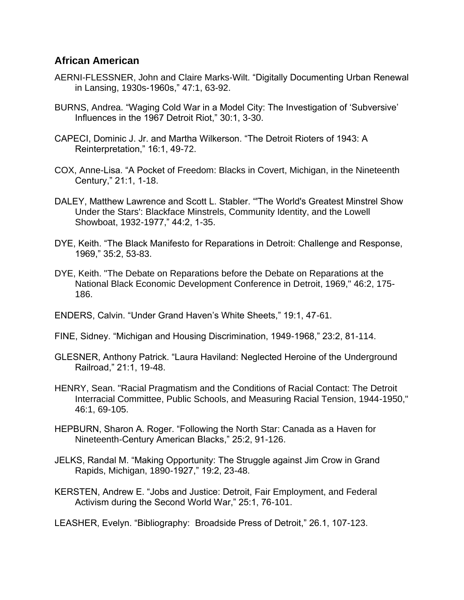#### **African American**

- AERNI-FLESSNER, John and Claire Marks-Wilt. "Digitally Documenting Urban Renewal in Lansing, 1930s-1960s," 47:1, 63-92.
- BURNS, Andrea. "Waging Cold War in a Model City: The Investigation of 'Subversive' Influences in the 1967 Detroit Riot," 30:1, 3-30.
- CAPECI, Dominic J. Jr. and Martha Wilkerson. "The Detroit Rioters of 1943: A Reinterpretation," 16:1, 49-72.
- COX, Anne-Lisa. "A Pocket of Freedom: Blacks in Covert, Michigan, in the Nineteenth Century," 21:1, 1-18.
- DALEY, Matthew Lawrence and Scott L. Stabler. "'The World's Greatest Minstrel Show Under the Stars': Blackface Minstrels, Community Identity, and the Lowell Showboat, 1932-1977," 44:2, 1-35.
- DYE, Keith. "The Black Manifesto for Reparations in Detroit: Challenge and Response, 1969," 35:2, 53-83.
- DYE, Keith. "The Debate on Reparations before the Debate on Reparations at the National Black Economic Development Conference in Detroit, 1969," 46:2, 175- 186.
- ENDERS, Calvin. "Under Grand Haven's White Sheets," 19:1, 47-61.
- FINE, Sidney. "Michigan and Housing Discrimination, 1949-1968," 23:2, 81-114.
- GLESNER, Anthony Patrick. "Laura Haviland: Neglected Heroine of the Underground Railroad," 21:1, 19-48.
- HENRY, Sean. "Racial Pragmatism and the Conditions of Racial Contact: The Detroit Interracial Committee, Public Schools, and Measuring Racial Tension, 1944-1950," 46:1, 69-105.
- HEPBURN, Sharon A. Roger. "Following the North Star: Canada as a Haven for Nineteenth-Century American Blacks," 25:2, 91-126.
- JELKS, Randal M. "Making Opportunity: The Struggle against Jim Crow in Grand Rapids, Michigan, 1890-1927," 19:2, 23-48.
- KERSTEN, Andrew E. "Jobs and Justice: Detroit, Fair Employment, and Federal Activism during the Second World War," 25:1, 76-101.

LEASHER, Evelyn. "Bibliography: Broadside Press of Detroit," 26.1, 107-123.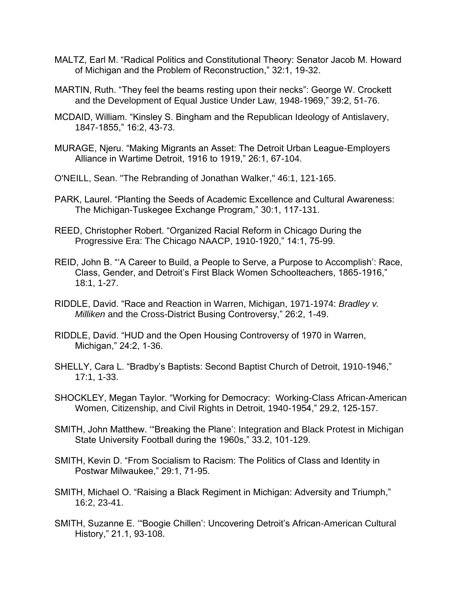- MALTZ, Earl M. "Radical Politics and Constitutional Theory: Senator Jacob M. Howard of Michigan and the Problem of Reconstruction," 32:1, 19-32.
- MARTIN, Ruth. "They feel the beams resting upon their necks": George W. Crockett and the Development of Equal Justice Under Law, 1948-1969," 39:2, 51-76.
- MCDAID, William. "Kinsley S. Bingham and the Republican Ideology of Antislavery, 1847-1855," 16:2, 43-73.
- MURAGE, Njeru. "Making Migrants an Asset: The Detroit Urban League-Employers Alliance in Wartime Detroit, 1916 to 1919," 26:1, 67-104.
- O'NEILL, Sean. "The Rebranding of Jonathan Walker," 46:1, 121-165.
- PARK, Laurel. "Planting the Seeds of Academic Excellence and Cultural Awareness: The Michigan-Tuskegee Exchange Program," 30:1, 117-131.
- REED, Christopher Robert. "Organized Racial Reform in Chicago During the Progressive Era: The Chicago NAACP, 1910-1920," 14:1, 75-99.
- REID, John B. "'A Career to Build, a People to Serve, a Purpose to Accomplish': Race, Class, Gender, and Detroit's First Black Women Schoolteachers, 1865-1916," 18:1, 1-27.
- RIDDLE, David. "Race and Reaction in Warren, Michigan, 1971-1974: *Bradley v. Milliken* and the Cross-District Busing Controversy," 26:2, 1-49.
- RIDDLE, David. "HUD and the Open Housing Controversy of 1970 in Warren, Michigan," 24:2, 1-36.
- SHELLY, Cara L. "Bradby's Baptists: Second Baptist Church of Detroit, 1910-1946," 17:1, 1-33.
- SHOCKLEY, Megan Taylor. "Working for Democracy: Working-Class African-American Women, Citizenship, and Civil Rights in Detroit, 1940-1954," 29.2, 125-157.
- SMITH, John Matthew. '"Breaking the Plane': Integration and Black Protest in Michigan State University Football during the 1960s," 33.2, 101-129.
- SMITH, Kevin D. "From Socialism to Racism: The Politics of Class and Identity in Postwar Milwaukee," 29:1, 71-95.
- SMITH, Michael O. "Raising a Black Regiment in Michigan: Adversity and Triumph," 16:2, 23-41.
- SMITH, Suzanne E. '"Boogie Chillen': Uncovering Detroit's African-American Cultural History," 21.1, 93-108.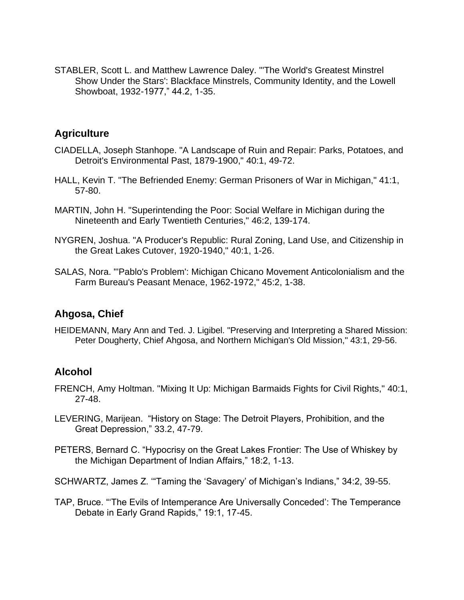STABLER, Scott L. and Matthew Lawrence Daley. "'The World's Greatest Minstrel Show Under the Stars': Blackface Minstrels, Community Identity, and the Lowell Showboat, 1932-1977," 44.2, 1-35.

### **Agriculture**

- CIADELLA, Joseph Stanhope. "A Landscape of Ruin and Repair: Parks, Potatoes, and Detroit's Environmental Past, 1879-1900," 40:1, 49-72.
- HALL, Kevin T. "The Befriended Enemy: German Prisoners of War in Michigan," 41:1, 57-80.
- MARTIN, John H. "Superintending the Poor: Social Welfare in Michigan during the Nineteenth and Early Twentieth Centuries," 46:2, 139-174.
- NYGREN, Joshua. "A Producer's Republic: Rural Zoning, Land Use, and Citizenship in the Great Lakes Cutover, 1920-1940," 40:1, 1-26.
- SALAS, Nora. "'Pablo's Problem': Michigan Chicano Movement Anticolonialism and the Farm Bureau's Peasant Menace, 1962-1972," 45:2, 1-38.

# **Ahgosa, Chief**

HEIDEMANN, Mary Ann and Ted. J. Ligibel. "Preserving and Interpreting a Shared Mission: Peter Dougherty, Chief Ahgosa, and Northern Michigan's Old Mission," 43:1, 29-56.

# **Alcohol**

- FRENCH, Amy Holtman. "Mixing It Up: Michigan Barmaids Fights for Civil Rights," 40:1, 27-48.
- LEVERING, Marijean. "History on Stage: The Detroit Players, Prohibition, and the Great Depression," 33.2, 47-79.
- PETERS, Bernard C. "Hypocrisy on the Great Lakes Frontier: The Use of Whiskey by the Michigan Department of Indian Affairs," 18:2, 1-13.
- SCHWARTZ, James Z. '"Taming the 'Savagery' of Michigan's Indians," 34:2, 39-55.
- TAP, Bruce. "'The Evils of Intemperance Are Universally Conceded': The Temperance Debate in Early Grand Rapids," 19:1, 17-45.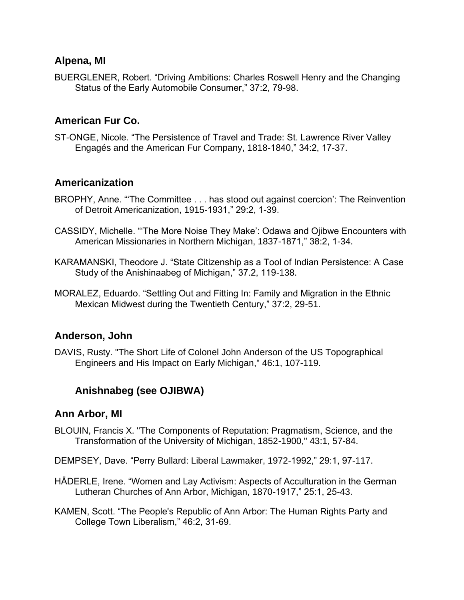### **Alpena, MI**

BUERGLENER, Robert. "Driving Ambitions: Charles Roswell Henry and the Changing Status of the Early Automobile Consumer," 37:2, 79-98.

# **American Fur Co.**

ST-ONGE, Nicole. "The Persistence of Travel and Trade: St. Lawrence River Valley Engagés and the American Fur Company, 1818-1840," 34:2, 17-37.

# **Americanization**

- BROPHY, Anne. "'The Committee . . . has stood out against coercion': The Reinvention of Detroit Americanization, 1915-1931," 29:2, 1-39.
- CASSIDY, Michelle. "'The More Noise They Make': Odawa and Ojibwe Encounters with American Missionaries in Northern Michigan, 1837-1871," 38:2, 1-34.
- KARAMANSKI, Theodore J. "State Citizenship as a Tool of Indian Persistence: A Case Study of the Anishinaabeg of Michigan," 37.2, 119-138.
- MORALEZ, Eduardo. "Settling Out and Fitting In: Family and Migration in the Ethnic Mexican Midwest during the Twentieth Century," 37:2, 29-51.

# **Anderson, John**

DAVIS, Rusty. "The Short Life of Colonel John Anderson of the US Topographical Engineers and His Impact on Early Michigan," 46:1, 107-119.

# **Anishnabeg (see OJIBWA)**

#### **Ann Arbor, MI**

- BLOUIN, Francis X. "The Components of Reputation: Pragmatism, Science, and the Transformation of the University of Michigan, 1852-1900," 43:1, 57-84.
- DEMPSEY, Dave. "Perry Bullard: Liberal Lawmaker, 1972-1992," 29:1, 97-117.
- HÄDERLE, Irene. "Women and Lay Activism: Aspects of Acculturation in the German Lutheran Churches of Ann Arbor, Michigan, 1870-1917," 25:1, 25-43.
- KAMEN, Scott. "The People's Republic of Ann Arbor: The Human Rights Party and College Town Liberalism," 46:2, 31-69.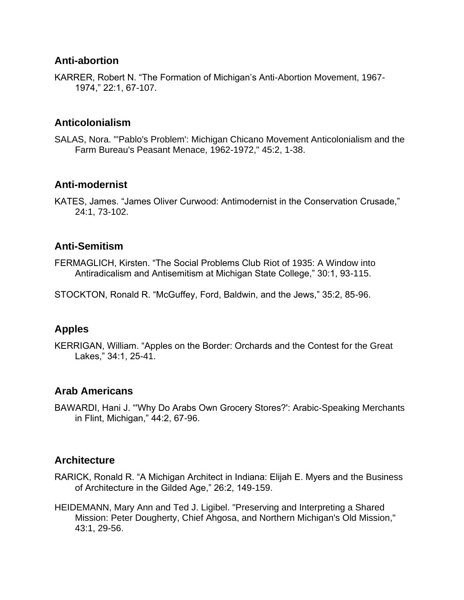### **Anti-abortion**

KARRER, Robert N. "The Formation of Michigan's Anti-Abortion Movement, 1967- 1974," 22:1, 67-107.

# **Anticolonialism**

SALAS, Nora. "'Pablo's Problem': Michigan Chicano Movement Anticolonialism and the Farm Bureau's Peasant Menace, 1962-1972," 45:2, 1-38.

# **Anti-modernist**

KATES, James. "James Oliver Curwood: Antimodernist in the Conservation Crusade," 24:1, 73-102.

# **Anti-Semitism**

FERMAGLICH, Kirsten. "The Social Problems Club Riot of 1935: A Window into Antiradicalism and Antisemitism at Michigan State College," 30:1, 93-115.

STOCKTON, Ronald R. "McGuffey, Ford, Baldwin, and the Jews," 35:2, 85-96.

# **Apples**

KERRIGAN, William. "Apples on the Border: Orchards and the Contest for the Great Lakes," 34:1, 25-41.

# **Arab Americans**

BAWARDI, Hani J. "'Why Do Arabs Own Grocery Stores?': Arabic-Speaking Merchants in Flint, Michigan," 44:2, 67-96.

#### **Architecture**

- RARICK, Ronald R. "A Michigan Architect in Indiana: Elijah E. Myers and the Business of Architecture in the Gilded Age," 26:2, 149-159.
- HEIDEMANN, Mary Ann and Ted J. Ligibel. "Preserving and Interpreting a Shared Mission: Peter Dougherty, Chief Ahgosa, and Northern Michigan's Old Mission," 43:1, 29-56.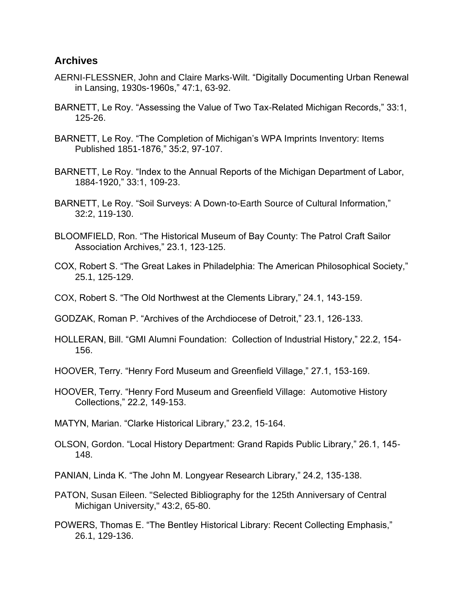#### **Archives**

- AERNI-FLESSNER, John and Claire Marks-Wilt. "Digitally Documenting Urban Renewal in Lansing, 1930s-1960s," 47:1, 63-92.
- BARNETT, Le Roy. "Assessing the Value of Two Tax-Related Michigan Records," 33:1, 125-26.
- BARNETT, Le Roy. "The Completion of Michigan's WPA Imprints Inventory: Items Published 1851-1876," 35:2, 97-107.
- BARNETT, Le Roy. "Index to the Annual Reports of the Michigan Department of Labor, 1884-1920," 33:1, 109-23.
- BARNETT, Le Roy. "Soil Surveys: A Down-to-Earth Source of Cultural Information," 32:2, 119-130.
- BLOOMFIELD, Ron. "The Historical Museum of Bay County: The Patrol Craft Sailor Association Archives," 23.1, 123-125.
- COX, Robert S. "The Great Lakes in Philadelphia: The American Philosophical Society," 25.1, 125-129.
- COX, Robert S. "The Old Northwest at the Clements Library," 24.1, 143-159.
- GODZAK, Roman P. "Archives of the Archdiocese of Detroit," 23.1, 126-133.
- HOLLERAN, Bill. "GMI Alumni Foundation: Collection of Industrial History," 22.2, 154- 156.
- HOOVER, Terry. "Henry Ford Museum and Greenfield Village," 27.1, 153-169.
- HOOVER, Terry. "Henry Ford Museum and Greenfield Village: Automotive History Collections," 22.2, 149-153.
- MATYN, Marian. "Clarke Historical Library," 23.2, 15-164.
- OLSON, Gordon. "Local History Department: Grand Rapids Public Library," 26.1, 145- 148.
- PANIAN, Linda K. "The John M. Longyear Research Library," 24.2, 135-138.
- PATON, Susan Eileen. "Selected Bibliography for the 125th Anniversary of Central Michigan University," 43:2, 65-80.
- POWERS, Thomas E. "The Bentley Historical Library: Recent Collecting Emphasis," 26.1, 129-136.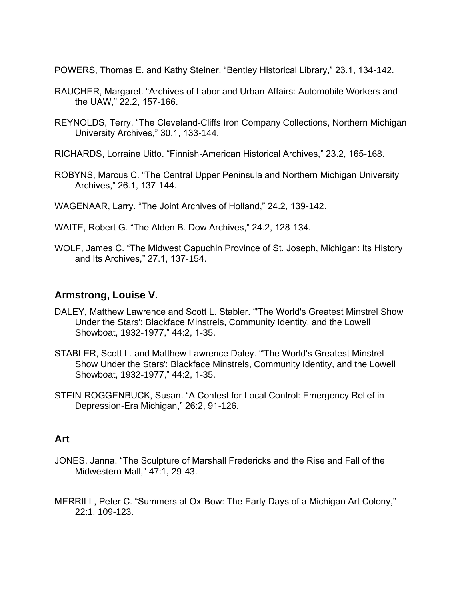POWERS, Thomas E. and Kathy Steiner. "Bentley Historical Library," 23.1, 134-142.

- RAUCHER, Margaret. "Archives of Labor and Urban Affairs: Automobile Workers and the UAW," 22.2, 157-166.
- REYNOLDS, Terry. "The Cleveland-Cliffs Iron Company Collections, Northern Michigan University Archives," 30.1, 133-144.
- RICHARDS, Lorraine Uitto. "Finnish-American Historical Archives," 23.2, 165-168.
- ROBYNS, Marcus C. "The Central Upper Peninsula and Northern Michigan University Archives," 26.1, 137-144.
- WAGENAAR, Larry. "The Joint Archives of Holland," 24.2, 139-142.
- WAITE, Robert G. "The Alden B. Dow Archives," 24.2, 128-134.
- WOLF, James C. "The Midwest Capuchin Province of St. Joseph, Michigan: Its History and Its Archives," 27.1, 137-154.

### **Armstrong, Louise V.**

- DALEY, Matthew Lawrence and Scott L. Stabler. "'The World's Greatest Minstrel Show Under the Stars': Blackface Minstrels, Community Identity, and the Lowell Showboat, 1932-1977," 44:2, 1-35.
- STABLER, Scott L. and Matthew Lawrence Daley. "'The World's Greatest Minstrel Show Under the Stars': Blackface Minstrels, Community Identity, and the Lowell Showboat, 1932-1977," 44:2, 1-35.
- STEIN-ROGGENBUCK, Susan. "A Contest for Local Control: Emergency Relief in Depression-Era Michigan," 26:2, 91-126.

#### **Art**

- JONES, Janna. "The Sculpture of Marshall Fredericks and the Rise and Fall of the Midwestern Mall," 47:1, 29-43.
- MERRILL, Peter C. "Summers at Ox-Bow: The Early Days of a Michigan Art Colony," 22:1, 109-123.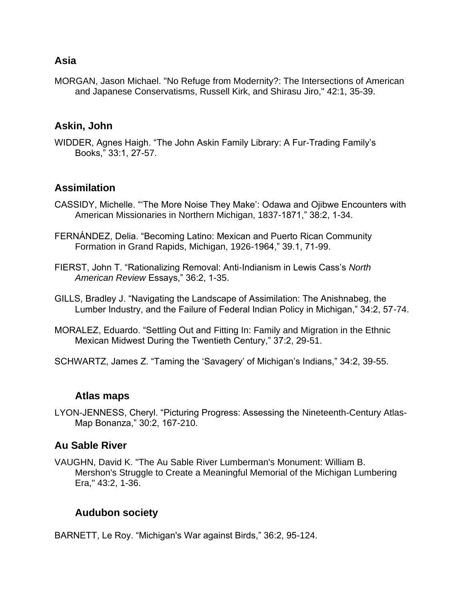### **Asia**

MORGAN, Jason Michael. "No Refuge from Modernity?: The Intersections of American and Japanese Conservatisms, Russell Kirk, and Shirasu Jiro," 42:1, 35-39.

#### **Askin, John**

WIDDER, Agnes Haigh. "The John Askin Family Library: A Fur-Trading Family's Books," 33:1, 27-57.

### **Assimilation**

- CASSIDY, Michelle. "'The More Noise They Make': Odawa and Ojibwe Encounters with American Missionaries in Northern Michigan, 1837-1871," 38:2, 1-34.
- FERNÁNDEZ, Delia. "Becoming Latino: Mexican and Puerto Rican Community Formation in Grand Rapids, Michigan, 1926-1964," 39.1, 71-99.
- FIERST, John T. "Rationalizing Removal: Anti-Indianism in Lewis Cass's *North American Review* Essays," 36:2, 1-35.
- GILLS, Bradley J. "Navigating the Landscape of Assimilation: The Anishnabeg, the Lumber Industry, and the Failure of Federal Indian Policy in Michigan," 34:2, 57-74.
- MORALEZ, Eduardo. "Settling Out and Fitting In: Family and Migration in the Ethnic Mexican Midwest During the Twentieth Century," 37:2, 29-51.
- SCHWARTZ, James Z. "Taming the 'Savagery' of Michigan's Indians," 34:2, 39-55.

#### **Atlas maps**

LYON-JENNESS, Cheryl. "Picturing Progress: Assessing the Nineteenth-Century Atlas-Map Bonanza," 30:2, 167-210.

#### **Au Sable River**

VAUGHN, David K. "The Au Sable River Lumberman's Monument: William B. Mershon's Struggle to Create a Meaningful Memorial of the Michigan Lumbering Era," 43:2, 1-36.

# **Audubon society**

BARNETT, Le Roy. "Michigan's War against Birds," 36:2, 95-124.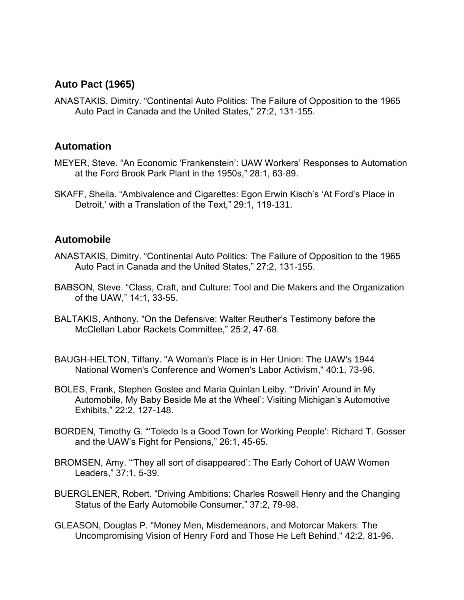# **Auto Pact (1965)**

ANASTAKIS, Dimitry. "Continental Auto Politics: The Failure of Opposition to the 1965 Auto Pact in Canada and the United States," 27:2, 131-155.

#### **Automation**

- MEYER, Steve. "An Economic 'Frankenstein': UAW Workers' Responses to Automation at the Ford Brook Park Plant in the 1950s," 28:1, 63-89.
- SKAFF, Sheila. "Ambivalence and Cigarettes: Egon Erwin Kisch's 'At Ford's Place in Detroit,' with a Translation of the Text," 29:1, 119-131.

#### **Automobile**

- ANASTAKIS, Dimitry. "Continental Auto Politics: The Failure of Opposition to the 1965 Auto Pact in Canada and the United States," 27:2, 131-155.
- BABSON, Steve. "Class, Craft, and Culture: Tool and Die Makers and the Organization of the UAW," 14:1, 33-55.
- BALTAKIS, Anthony. "On the Defensive: Walter Reuther's Testimony before the McClellan Labor Rackets Committee," 25:2, 47-68.
- BAUGH-HELTON, Tiffany. "A Woman's Place is in Her Union: The UAW's 1944 National Women's Conference and Women's Labor Activism," 40:1, 73-96.
- BOLES, Frank, Stephen Goslee and Maria Quinlan Leiby. "'Drivin' Around in My Automobile, My Baby Beside Me at the Wheel': Visiting Michigan's Automotive Exhibits," 22:2, 127-148.
- BORDEN, Timothy G. "'Toledo Is a Good Town for Working People': Richard T. Gosser and the UAW's Fight for Pensions," 26:1, 45-65.
- BROMSEN, Amy. '"They all sort of disappeared': The Early Cohort of UAW Women Leaders," 37:1, 5-39.
- BUERGLENER, Robert. "Driving Ambitions: Charles Roswell Henry and the Changing Status of the Early Automobile Consumer," 37:2, 79-98.
- GLEASON, Douglas P. "Money Men, Misdemeanors, and Motorcar Makers: The Uncompromising Vision of Henry Ford and Those He Left Behind," 42:2, 81-96.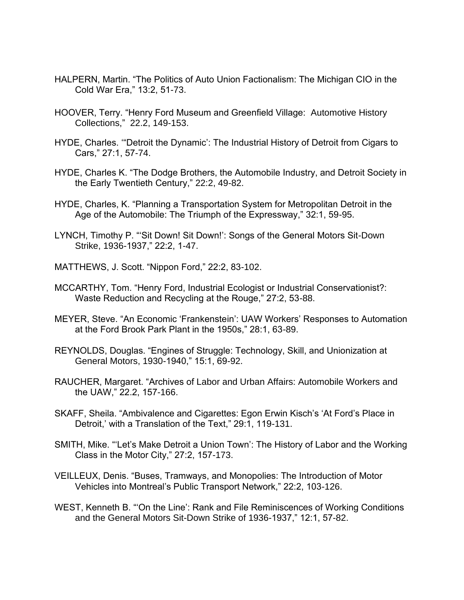- HALPERN, Martin. "The Politics of Auto Union Factionalism: The Michigan CIO in the Cold War Era," 13:2, 51-73.
- HOOVER, Terry. "Henry Ford Museum and Greenfield Village: Automotive History Collections," 22.2, 149-153.
- HYDE, Charles. '"Detroit the Dynamic': The Industrial History of Detroit from Cigars to Cars," 27:1, 57-74.
- HYDE, Charles K. "The Dodge Brothers, the Automobile Industry, and Detroit Society in the Early Twentieth Century," 22:2, 49-82.
- HYDE, Charles, K. "Planning a Transportation System for Metropolitan Detroit in the Age of the Automobile: The Triumph of the Expressway," 32:1, 59-95.
- LYNCH, Timothy P. "'Sit Down! Sit Down!': Songs of the General Motors Sit-Down Strike, 1936-1937," 22:2, 1-47.
- MATTHEWS, J. Scott. "Nippon Ford," 22:2, 83-102.
- MCCARTHY, Tom. "Henry Ford, Industrial Ecologist or Industrial Conservationist?: Waste Reduction and Recycling at the Rouge," 27:2, 53-88.
- MEYER, Steve. "An Economic 'Frankenstein': UAW Workers' Responses to Automation at the Ford Brook Park Plant in the 1950s," 28:1, 63-89.
- REYNOLDS, Douglas. "Engines of Struggle: Technology, Skill, and Unionization at General Motors, 1930-1940," 15:1, 69-92.
- RAUCHER, Margaret. "Archives of Labor and Urban Affairs: Automobile Workers and the UAW," 22.2, 157-166.
- SKAFF, Sheila. "Ambivalence and Cigarettes: Egon Erwin Kisch's 'At Ford's Place in Detroit,' with a Translation of the Text," 29:1, 119-131.
- SMITH, Mike. "'Let's Make Detroit a Union Town': The History of Labor and the Working Class in the Motor City," 27:2, 157-173.
- VEILLEUX, Denis. "Buses, Tramways, and Monopolies: The Introduction of Motor Vehicles into Montreal's Public Transport Network," 22:2, 103-126.
- WEST, Kenneth B. "'On the Line': Rank and File Reminiscences of Working Conditions and the General Motors Sit-Down Strike of 1936-1937," 12:1, 57-82.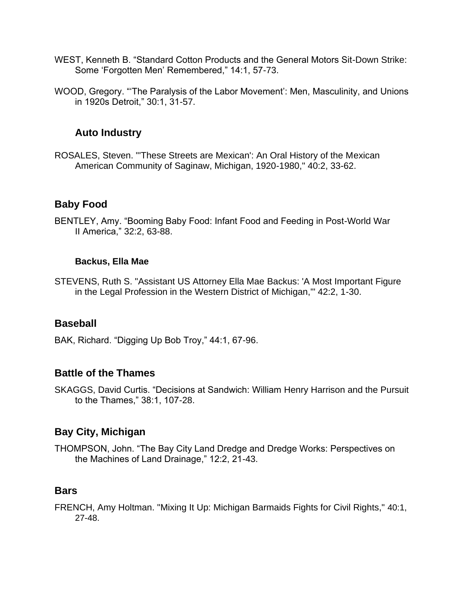- WEST, Kenneth B. "Standard Cotton Products and the General Motors Sit-Down Strike: Some 'Forgotten Men' Remembered," 14:1, 57-73.
- WOOD, Gregory. "'The Paralysis of the Labor Movement': Men, Masculinity, and Unions in 1920s Detroit," 30:1, 31-57.

### **Auto Industry**

ROSALES, Steven. "'These Streets are Mexican': An Oral History of the Mexican American Community of Saginaw, Michigan, 1920-1980," 40:2, 33-62.

### **Baby Food**

BENTLEY, Amy. "Booming Baby Food: Infant Food and Feeding in Post-World War II America," 32:2, 63-88.

#### **Backus, Ella Mae**

STEVENS, Ruth S. "Assistant US Attorney Ella Mae Backus: 'A Most Important Figure in the Legal Profession in the Western District of Michigan,'" 42:2, 1-30.

#### **Baseball**

BAK, Richard. "Digging Up Bob Troy," 44:1, 67-96.

#### **Battle of the Thames**

SKAGGS, David Curtis. "Decisions at Sandwich: William Henry Harrison and the Pursuit to the Thames," 38:1, 107-28.

# **Bay City, Michigan**

THOMPSON, John. "The Bay City Land Dredge and Dredge Works: Perspectives on the Machines of Land Drainage," 12:2, 21-43.

# **Bars**

FRENCH, Amy Holtman. "Mixing It Up: Michigan Barmaids Fights for Civil Rights," 40:1, 27-48.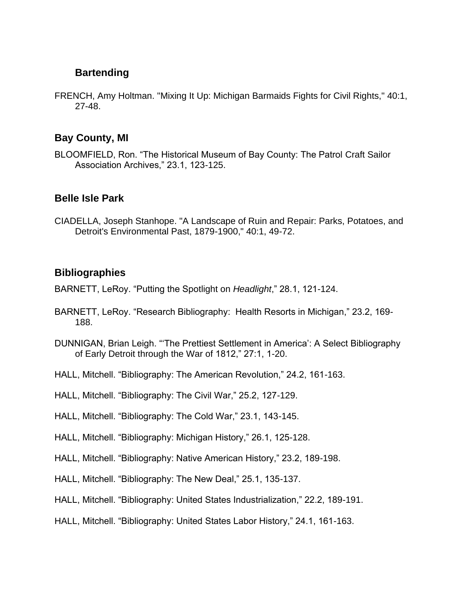# **Bartending**

FRENCH, Amy Holtman. "Mixing It Up: Michigan Barmaids Fights for Civil Rights," 40:1, 27-48.

### **Bay County, MI**

BLOOMFIELD, Ron. "The Historical Museum of Bay County: The Patrol Craft Sailor Association Archives," 23.1, 123-125.

### **Belle Isle Park**

CIADELLA, Joseph Stanhope. "A Landscape of Ruin and Repair: Parks, Potatoes, and Detroit's Environmental Past, 1879-1900," 40:1, 49-72.

# **Bibliographies**

- BARNETT, LeRoy. "Putting the Spotlight on *Headlight*," 28.1, 121-124.
- BARNETT, LeRoy. "Research Bibliography: Health Resorts in Michigan," 23.2, 169- 188.
- DUNNIGAN, Brian Leigh. "'The Prettiest Settlement in America': A Select Bibliography of Early Detroit through the War of 1812," 27:1, 1-20.
- HALL, Mitchell. "Bibliography: The American Revolution," 24.2, 161-163.
- HALL, Mitchell. "Bibliography: The Civil War," 25.2, 127-129.
- HALL, Mitchell. "Bibliography: The Cold War," 23.1, 143-145.
- HALL, Mitchell. "Bibliography: Michigan History," 26.1, 125-128.
- HALL, Mitchell. "Bibliography: Native American History," 23.2, 189-198.
- HALL, Mitchell. "Bibliography: The New Deal," 25.1, 135-137.
- HALL, Mitchell. "Bibliography: United States Industrialization," 22.2, 189-191.
- HALL, Mitchell. "Bibliography: United States Labor History," 24.1, 161-163.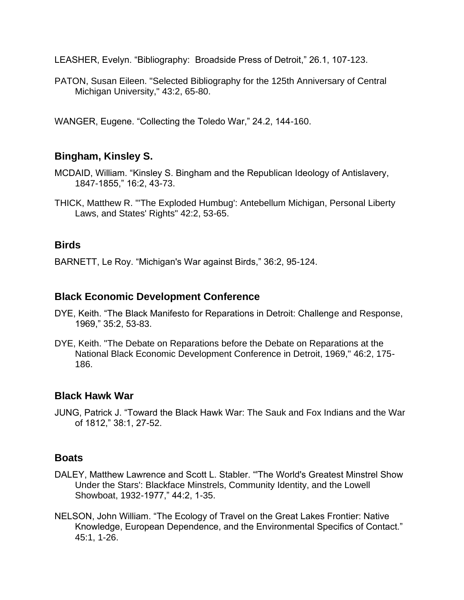LEASHER, Evelyn. "Bibliography: Broadside Press of Detroit," 26.1, 107-123.

PATON, Susan Eileen. "Selected Bibliography for the 125th Anniversary of Central Michigan University," 43:2, 65-80.

WANGER, Eugene. "Collecting the Toledo War," 24.2, 144-160.

# **Bingham, Kinsley S.**

- MCDAID, William. "Kinsley S. Bingham and the Republican Ideology of Antislavery, 1847-1855," 16:2, 43-73.
- THICK, Matthew R. "'The Exploded Humbug': Antebellum Michigan, Personal Liberty Laws, and States' Rights" 42:2, 53-65.

#### **Birds**

BARNETT, Le Roy. "Michigan's War against Birds," 36:2, 95-124.

#### **Black Economic Development Conference**

- DYE, Keith. "The Black Manifesto for Reparations in Detroit: Challenge and Response, 1969," 35:2, 53-83.
- DYE, Keith. "The Debate on Reparations before the Debate on Reparations at the National Black Economic Development Conference in Detroit, 1969," 46:2, 175- 186.

#### **Black Hawk War**

JUNG, Patrick J. "Toward the Black Hawk War: The Sauk and Fox Indians and the War of 1812," 38:1, 27-52.

#### **Boats**

- DALEY, Matthew Lawrence and Scott L. Stabler. "'The World's Greatest Minstrel Show Under the Stars': Blackface Minstrels, Community Identity, and the Lowell Showboat, 1932-1977," 44:2, 1-35.
- NELSON, John William. "The Ecology of Travel on the Great Lakes Frontier: Native Knowledge, European Dependence, and the Environmental Specifics of Contact." 45:1, 1-26.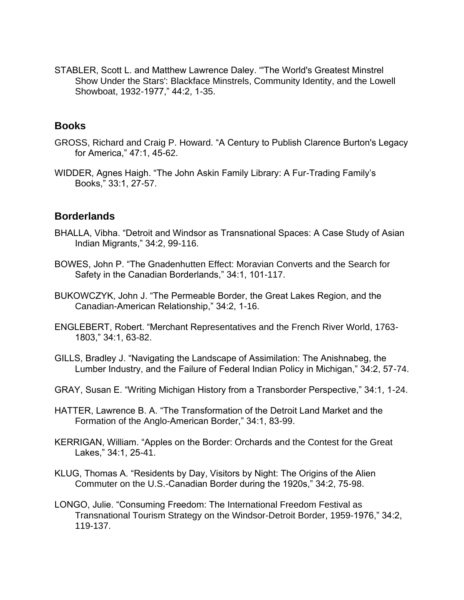STABLER, Scott L. and Matthew Lawrence Daley. "'The World's Greatest Minstrel Show Under the Stars': Blackface Minstrels, Community Identity, and the Lowell Showboat, 1932-1977," 44:2, 1-35.

#### **Books**

- GROSS, Richard and Craig P. Howard. "A Century to Publish Clarence Burton's Legacy for America," 47:1, 45-62.
- WIDDER, Agnes Haigh. "The John Askin Family Library: A Fur-Trading Family's Books," 33:1, 27-57.

#### **Borderlands**

- BHALLA, Vibha. "Detroit and Windsor as Transnational Spaces: A Case Study of Asian Indian Migrants," 34:2, 99-116.
- BOWES, John P. "The Gnadenhutten Effect: Moravian Converts and the Search for Safety in the Canadian Borderlands," 34:1, 101-117.
- BUKOWCZYK, John J. "The Permeable Border, the Great Lakes Region, and the Canadian-American Relationship," 34:2, 1-16.
- ENGLEBERT, Robert. "Merchant Representatives and the French River World, 1763- 1803," 34:1, 63-82.
- GILLS, Bradley J. "Navigating the Landscape of Assimilation: The Anishnabeg, the Lumber Industry, and the Failure of Federal Indian Policy in Michigan," 34:2, 57-74.
- GRAY, Susan E. "Writing Michigan History from a Transborder Perspective," 34:1, 1-24.
- HATTER, Lawrence B. A. "The Transformation of the Detroit Land Market and the Formation of the Anglo-American Border," 34:1, 83-99.
- KERRIGAN, William. "Apples on the Border: Orchards and the Contest for the Great Lakes," 34:1, 25-41.
- KLUG, Thomas A. "Residents by Day, Visitors by Night: The Origins of the Alien Commuter on the U.S.-Canadian Border during the 1920s," 34:2, 75-98.
- LONGO, Julie. "Consuming Freedom: The International Freedom Festival as Transnational Tourism Strategy on the Windsor-Detroit Border, 1959-1976," 34:2, 119-137.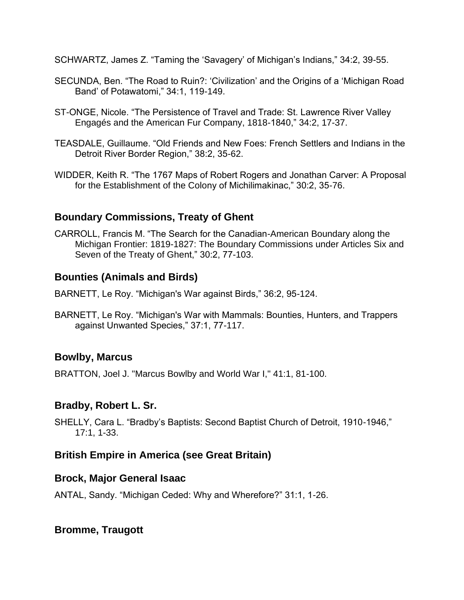SCHWARTZ, James Z. "Taming the 'Savagery' of Michigan's Indians," 34:2, 39-55.

- SECUNDA, Ben. "The Road to Ruin?: 'Civilization' and the Origins of a 'Michigan Road Band' of Potawatomi," 34:1, 119-149.
- ST-ONGE, Nicole. "The Persistence of Travel and Trade: St. Lawrence River Valley Engagés and the American Fur Company, 1818-1840," 34:2, 17-37.
- TEASDALE, Guillaume. "Old Friends and New Foes: French Settlers and Indians in the Detroit River Border Region," 38:2, 35-62.
- WIDDER, Keith R. "The 1767 Maps of Robert Rogers and Jonathan Carver: A Proposal for the Establishment of the Colony of Michilimakinac," 30:2, 35-76.

# **Boundary Commissions, Treaty of Ghent**

CARROLL, Francis M. "The Search for the Canadian-American Boundary along the Michigan Frontier: 1819-1827: The Boundary Commissions under Articles Six and Seven of the Treaty of Ghent," 30:2, 77-103.

# **Bounties (Animals and Birds)**

BARNETT, Le Roy. "Michigan's War against Birds," 36:2, 95-124.

BARNETT, Le Roy. "Michigan's War with Mammals: Bounties, Hunters, and Trappers against Unwanted Species," 37:1, 77-117.

# **Bowlby, Marcus**

BRATTON, Joel J. "Marcus Bowlby and World War I," 41:1, 81-100.

# **Bradby, Robert L. Sr.**

SHELLY, Cara L. "Bradby's Baptists: Second Baptist Church of Detroit, 1910-1946," 17:1, 1-33.

# **British Empire in America (see Great Britain)**

# **Brock, Major General Isaac**

ANTAL, Sandy. "Michigan Ceded: Why and Wherefore?" 31:1, 1-26.

# **Bromme, Traugott**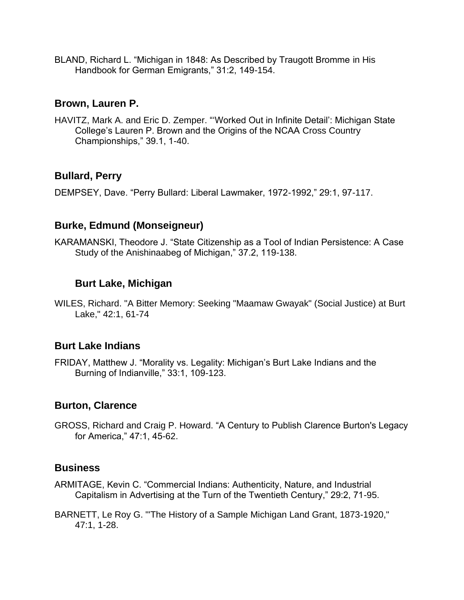BLAND, Richard L. "Michigan in 1848: As Described by Traugott Bromme in His Handbook for German Emigrants," 31:2, 149-154.

### **Brown, Lauren P.**

HAVITZ, Mark A. and Eric D. Zemper. "'Worked Out in Infinite Detail': Michigan State College's Lauren P. Brown and the Origins of the NCAA Cross Country Championships," 39.1, 1-40.

# **Bullard, Perry**

DEMPSEY, Dave. "Perry Bullard: Liberal Lawmaker, 1972-1992," 29:1, 97-117.

### **Burke, Edmund (Monseigneur)**

KARAMANSKI, Theodore J. "State Citizenship as a Tool of Indian Persistence: A Case Study of the Anishinaabeg of Michigan," 37.2, 119-138.

### **Burt Lake, Michigan**

WILES, Richard. "A Bitter Memory: Seeking "Maamaw Gwayak" (Social Justice) at Burt Lake," 42:1, 61-74

#### **Burt Lake Indians**

FRIDAY, Matthew J. "Morality vs. Legality: Michigan's Burt Lake Indians and the Burning of Indianville," 33:1, 109-123.

# **Burton, Clarence**

GROSS, Richard and Craig P. Howard. "A Century to Publish Clarence Burton's Legacy for America," 47:1, 45-62.

#### **Business**

- ARMITAGE, Kevin C. "Commercial Indians: Authenticity, Nature, and Industrial Capitalism in Advertising at the Turn of the Twentieth Century," 29:2, 71-95.
- BARNETT, Le Roy G. "'The History of a Sample Michigan Land Grant, 1873-1920," 47:1, 1-28.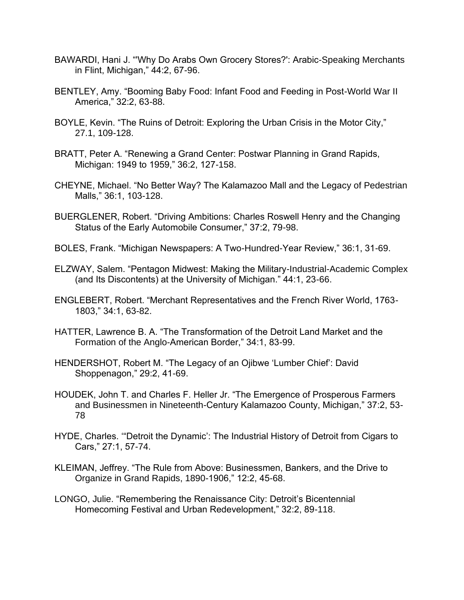- BAWARDI, Hani J. "'Why Do Arabs Own Grocery Stores?': Arabic-Speaking Merchants in Flint, Michigan," 44:2, 67-96.
- BENTLEY, Amy. "Booming Baby Food: Infant Food and Feeding in Post-World War II America," 32:2, 63-88.
- BOYLE, Kevin. "The Ruins of Detroit: Exploring the Urban Crisis in the Motor City," 27.1, 109-128.
- BRATT, Peter A. "Renewing a Grand Center: Postwar Planning in Grand Rapids, Michigan: 1949 to 1959," 36:2, 127-158.
- CHEYNE, Michael. "No Better Way? The Kalamazoo Mall and the Legacy of Pedestrian Malls," 36:1, 103-128.
- BUERGLENER, Robert. "Driving Ambitions: Charles Roswell Henry and the Changing Status of the Early Automobile Consumer," 37:2, 79-98.
- BOLES, Frank. "Michigan Newspapers: A Two-Hundred-Year Review," 36:1, 31-69.
- ELZWAY, Salem. "Pentagon Midwest: Making the Military-Industrial-Academic Complex (and Its Discontents) at the University of Michigan." 44:1, 23-66.
- ENGLEBERT, Robert. "Merchant Representatives and the French River World, 1763- 1803," 34:1, 63-82.
- HATTER, Lawrence B. A. "The Transformation of the Detroit Land Market and the Formation of the Anglo-American Border," 34:1, 83-99.
- HENDERSHOT, Robert M. "The Legacy of an Ojibwe 'Lumber Chief': David Shoppenagon," 29:2, 41-69.
- HOUDEK, John T. and Charles F. Heller Jr. "The Emergence of Prosperous Farmers and Businessmen in Nineteenth-Century Kalamazoo County, Michigan," 37:2, 53- 78
- HYDE, Charles. '"Detroit the Dynamic': The Industrial History of Detroit from Cigars to Cars," 27:1, 57-74.
- KLEIMAN, Jeffrey. "The Rule from Above: Businessmen, Bankers, and the Drive to Organize in Grand Rapids, 1890-1906," 12:2, 45-68.
- LONGO, Julie. "Remembering the Renaissance City: Detroit's Bicentennial Homecoming Festival and Urban Redevelopment," 32:2, 89-118.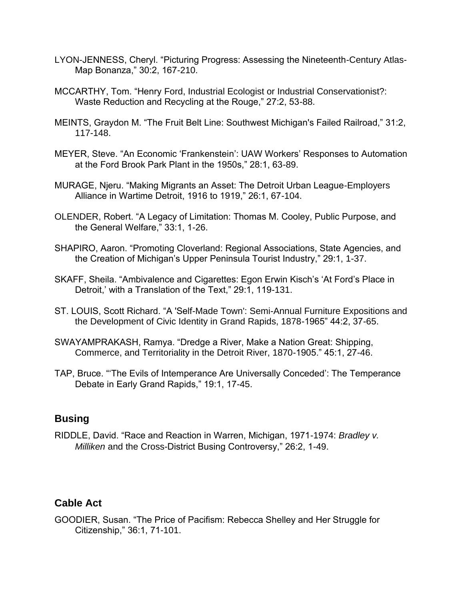- LYON-JENNESS, Cheryl. "Picturing Progress: Assessing the Nineteenth-Century Atlas-Map Bonanza," 30:2, 167-210.
- MCCARTHY, Tom. "Henry Ford, Industrial Ecologist or Industrial Conservationist?: Waste Reduction and Recycling at the Rouge," 27:2, 53-88.
- MEINTS, Graydon M. "The Fruit Belt Line: Southwest Michigan's Failed Railroad," 31:2, 117-148.
- MEYER, Steve. "An Economic 'Frankenstein': UAW Workers' Responses to Automation at the Ford Brook Park Plant in the 1950s," 28:1, 63-89.
- MURAGE, Njeru. "Making Migrants an Asset: The Detroit Urban League-Employers Alliance in Wartime Detroit, 1916 to 1919," 26:1, 67-104.
- OLENDER, Robert. "A Legacy of Limitation: Thomas M. Cooley, Public Purpose, and the General Welfare," 33:1, 1-26.
- SHAPIRO, Aaron. "Promoting Cloverland: Regional Associations, State Agencies, and the Creation of Michigan's Upper Peninsula Tourist Industry," 29:1, 1-37.
- SKAFF, Sheila. "Ambivalence and Cigarettes: Egon Erwin Kisch's 'At Ford's Place in Detroit,' with a Translation of the Text," 29:1, 119-131.
- ST. LOUIS, Scott Richard. "A 'Self-Made Town': Semi-Annual Furniture Expositions and the Development of Civic Identity in Grand Rapids, 1878-1965" 44:2, 37-65.
- SWAYAMPRAKASH, Ramya. "Dredge a River, Make a Nation Great: Shipping, Commerce, and Territoriality in the Detroit River, 1870-1905." 45:1, 27-46.
- TAP, Bruce. "'The Evils of Intemperance Are Universally Conceded': The Temperance Debate in Early Grand Rapids," 19:1, 17-45.

#### **Busing**

RIDDLE, David. "Race and Reaction in Warren, Michigan, 1971-1974: *Bradley v. Milliken* and the Cross-District Busing Controversy," 26:2, 1-49.

# **Cable Act**

GOODIER, Susan. "The Price of Pacifism: Rebecca Shelley and Her Struggle for Citizenship," 36:1, 71-101.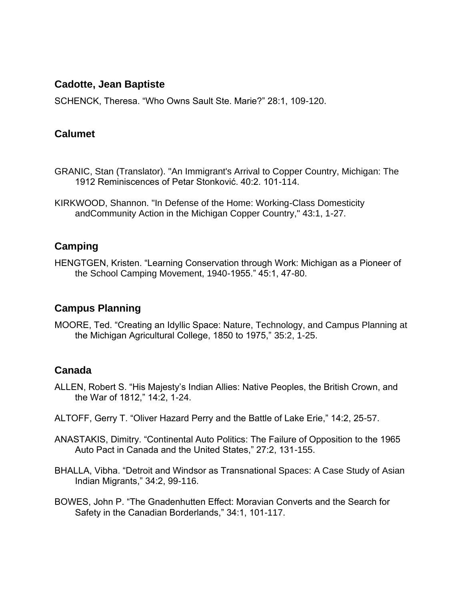#### **Cadotte, Jean Baptiste**

SCHENCK, Theresa. "Who Owns Sault Ste. Marie?" 28:1, 109-120.

### **Calumet**

- GRANIC, Stan (Translator). "An Immigrant's Arrival to Copper Country, Michigan: The 1912 Reminiscences of Petar Stonković. 40:2. 101-114.
- KIRKWOOD, Shannon. "In Defense of the Home: Working-Class Domesticity andCommunity Action in the Michigan Copper Country," 43:1, 1-27.

# **Camping**

HENGTGEN, Kristen. "Learning Conservation through Work: Michigan as a Pioneer of the School Camping Movement, 1940-1955." 45:1, 47-80.

# **Campus Planning**

MOORE, Ted. "Creating an Idyllic Space: Nature, Technology, and Campus Planning at the Michigan Agricultural College, 1850 to 1975," 35:2, 1-25.

# **Canada**

- ALLEN, Robert S. "His Majesty's Indian Allies: Native Peoples, the British Crown, and the War of 1812," 14:2, 1-24.
- ALTOFF, Gerry T. "Oliver Hazard Perry and the Battle of Lake Erie," 14:2, 25-57.
- ANASTAKIS, Dimitry. "Continental Auto Politics: The Failure of Opposition to the 1965 Auto Pact in Canada and the United States," 27:2, 131-155.
- BHALLA, Vibha. "Detroit and Windsor as Transnational Spaces: A Case Study of Asian Indian Migrants," 34:2, 99-116.
- BOWES, John P. "The Gnadenhutten Effect: Moravian Converts and the Search for Safety in the Canadian Borderlands," 34:1, 101-117.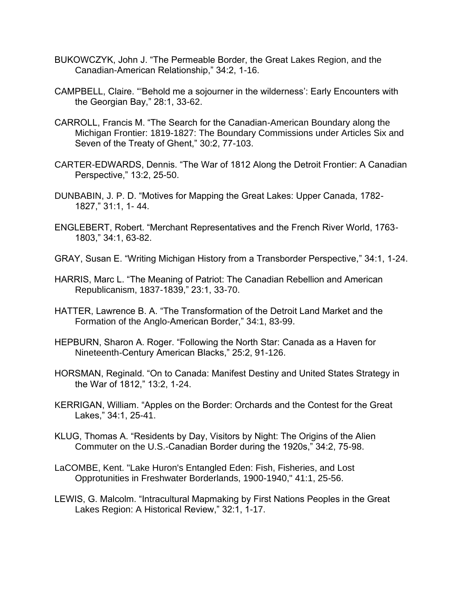- BUKOWCZYK, John J. "The Permeable Border, the Great Lakes Region, and the Canadian-American Relationship," 34:2, 1-16.
- CAMPBELL, Claire. "'Behold me a sojourner in the wilderness': Early Encounters with the Georgian Bay," 28:1, 33-62.
- CARROLL, Francis M. "The Search for the Canadian-American Boundary along the Michigan Frontier: 1819-1827: The Boundary Commissions under Articles Six and Seven of the Treaty of Ghent," 30:2, 77-103.
- CARTER-EDWARDS, Dennis. "The War of 1812 Along the Detroit Frontier: A Canadian Perspective," 13:2, 25-50.
- DUNBABIN, J. P. D. "Motives for Mapping the Great Lakes: Upper Canada, 1782- 1827," 31:1, 1- 44.
- ENGLEBERT, Robert. "Merchant Representatives and the French River World, 1763- 1803," 34:1, 63-82.
- GRAY, Susan E. "Writing Michigan History from a Transborder Perspective," 34:1, 1-24.
- HARRIS, Marc L. "The Meaning of Patriot: The Canadian Rebellion and American Republicanism, 1837-1839," 23:1, 33-70.
- HATTER, Lawrence B. A. "The Transformation of the Detroit Land Market and the Formation of the Anglo-American Border," 34:1, 83-99.
- HEPBURN, Sharon A. Roger. "Following the North Star: Canada as a Haven for Nineteenth-Century American Blacks," 25:2, 91-126.
- HORSMAN, Reginald. "On to Canada: Manifest Destiny and United States Strategy in the War of 1812," 13:2, 1-24.
- KERRIGAN, William. "Apples on the Border: Orchards and the Contest for the Great Lakes," 34:1, 25-41.
- KLUG, Thomas A. "Residents by Day, Visitors by Night: The Origins of the Alien Commuter on the U.S.-Canadian Border during the 1920s," 34:2, 75-98.
- LaCOMBE, Kent. "Lake Huron's Entangled Eden: Fish, Fisheries, and Lost Opprotunities in Freshwater Borderlands, 1900-1940," 41:1, 25-56.
- LEWIS, G. Malcolm. "Intracultural Mapmaking by First Nations Peoples in the Great Lakes Region: A Historical Review," 32:1, 1-17.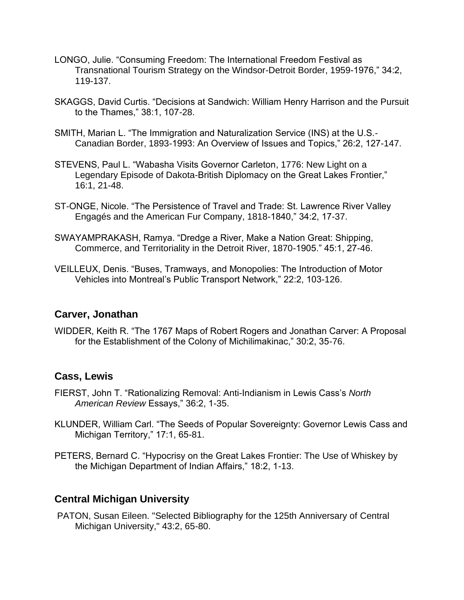- LONGO, Julie. "Consuming Freedom: The International Freedom Festival as Transnational Tourism Strategy on the Windsor-Detroit Border, 1959-1976," 34:2, 119-137.
- SKAGGS, David Curtis. "Decisions at Sandwich: William Henry Harrison and the Pursuit to the Thames," 38:1, 107-28.
- SMITH, Marian L. "The Immigration and Naturalization Service (INS) at the U.S.- Canadian Border, 1893-1993: An Overview of Issues and Topics," 26:2, 127-147.
- STEVENS, Paul L. "Wabasha Visits Governor Carleton, 1776: New Light on a Legendary Episode of Dakota-British Diplomacy on the Great Lakes Frontier," 16:1, 21-48.
- ST-ONGE, Nicole. "The Persistence of Travel and Trade: St. Lawrence River Valley Engagés and the American Fur Company, 1818-1840," 34:2, 17-37.
- SWAYAMPRAKASH, Ramya. "Dredge a River, Make a Nation Great: Shipping, Commerce, and Territoriality in the Detroit River, 1870-1905." 45:1, 27-46.
- VEILLEUX, Denis. "Buses, Tramways, and Monopolies: The Introduction of Motor Vehicles into Montreal's Public Transport Network," 22:2, 103-126.

#### **Carver, Jonathan**

WIDDER, Keith R. "The 1767 Maps of Robert Rogers and Jonathan Carver: A Proposal for the Establishment of the Colony of Michilimakinac," 30:2, 35-76.

# **Cass, Lewis**

- FIERST, John T. "Rationalizing Removal: Anti-Indianism in Lewis Cass's *North American Review* Essays," 36:2, 1-35.
- KLUNDER, William Carl. "The Seeds of Popular Sovereignty: Governor Lewis Cass and Michigan Territory," 17:1, 65-81.
- PETERS, Bernard C. "Hypocrisy on the Great Lakes Frontier: The Use of Whiskey by the Michigan Department of Indian Affairs," 18:2, 1-13.

#### **Central Michigan University**

PATON, Susan Eileen. "Selected Bibliography for the 125th Anniversary of Central Michigan University," 43:2, 65-80.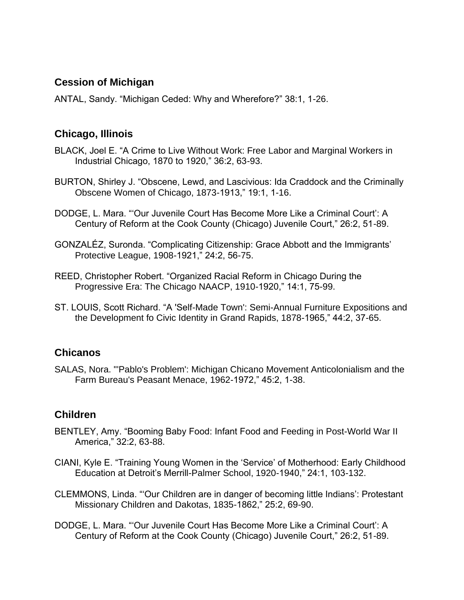### **Cession of Michigan**

ANTAL, Sandy. "Michigan Ceded: Why and Wherefore?" 38:1, 1-26.

### **Chicago, Illinois**

- BLACK, Joel E. "A Crime to Live Without Work: Free Labor and Marginal Workers in Industrial Chicago, 1870 to 1920," 36:2, 63-93.
- BURTON, Shirley J. "Obscene, Lewd, and Lascivious: Ida Craddock and the Criminally Obscene Women of Chicago, 1873-1913," 19:1, 1-16.
- DODGE, L. Mara. "'Our Juvenile Court Has Become More Like a Criminal Court': A Century of Reform at the Cook County (Chicago) Juvenile Court," 26:2, 51-89.
- GONZALÉZ, Suronda. "Complicating Citizenship: Grace Abbott and the Immigrants' Protective League, 1908-1921," 24:2, 56-75.
- REED, Christopher Robert. "Organized Racial Reform in Chicago During the Progressive Era: The Chicago NAACP, 1910-1920," 14:1, 75-99.
- ST. LOUIS, Scott Richard. "A 'Self-Made Town': Semi-Annual Furniture Expositions and the Development fo Civic Identity in Grand Rapids, 1878-1965," 44:2, 37-65.

#### **Chicanos**

SALAS, Nora. "'Pablo's Problem': Michigan Chicano Movement Anticolonialism and the Farm Bureau's Peasant Menace, 1962-1972," 45:2, 1-38.

# **Children**

- BENTLEY, Amy. "Booming Baby Food: Infant Food and Feeding in Post-World War II America," 32:2, 63-88.
- CIANI, Kyle E. "Training Young Women in the 'Service' of Motherhood: Early Childhood Education at Detroit's Merrill-Palmer School, 1920-1940," 24:1, 103-132.
- CLEMMONS, Linda. "'Our Children are in danger of becoming little Indians': Protestant Missionary Children and Dakotas, 1835-1862," 25:2, 69-90.
- DODGE, L. Mara. "'Our Juvenile Court Has Become More Like a Criminal Court': A Century of Reform at the Cook County (Chicago) Juvenile Court," 26:2, 51-89.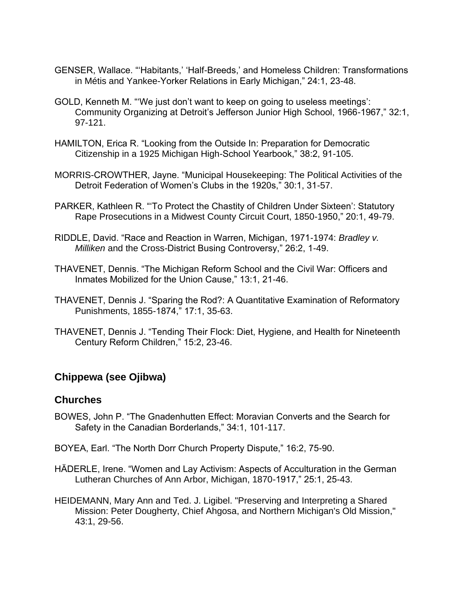- GENSER, Wallace. "'Habitants,' 'Half-Breeds,' and Homeless Children: Transformations in Métis and Yankee-Yorker Relations in Early Michigan," 24:1, 23-48.
- GOLD, Kenneth M. "'We just don't want to keep on going to useless meetings': Community Organizing at Detroit's Jefferson Junior High School, 1966-1967," 32:1, 97-121.
- HAMILTON, Erica R. "Looking from the Outside In: Preparation for Democratic Citizenship in a 1925 Michigan High-School Yearbook," 38:2, 91-105.
- MORRIS-CROWTHER, Jayne. "Municipal Housekeeping: The Political Activities of the Detroit Federation of Women's Clubs in the 1920s," 30:1, 31-57.
- PARKER, Kathleen R. "'To Protect the Chastity of Children Under Sixteen': Statutory Rape Prosecutions in a Midwest County Circuit Court, 1850-1950," 20:1, 49-79.
- RIDDLE, David. "Race and Reaction in Warren, Michigan, 1971-1974: *Bradley v. Milliken* and the Cross-District Busing Controversy," 26:2, 1-49.
- THAVENET, Dennis. "The Michigan Reform School and the Civil War: Officers and Inmates Mobilized for the Union Cause," 13:1, 21-46.
- THAVENET, Dennis J. "Sparing the Rod?: A Quantitative Examination of Reformatory Punishments, 1855-1874," 17:1, 35-63.
- THAVENET, Dennis J. "Tending Their Flock: Diet, Hygiene, and Health for Nineteenth Century Reform Children," 15:2, 23-46.

# **Chippewa (see Ojibwa)**

#### **Churches**

- BOWES, John P. "The Gnadenhutten Effect: Moravian Converts and the Search for Safety in the Canadian Borderlands," 34:1, 101-117.
- BOYEA, Earl. "The North Dorr Church Property Dispute," 16:2, 75-90.
- HÄDERLE, Irene. "Women and Lay Activism: Aspects of Acculturation in the German Lutheran Churches of Ann Arbor, Michigan, 1870-1917," 25:1, 25-43.
- HEIDEMANN, Mary Ann and Ted. J. Ligibel. "Preserving and Interpreting a Shared Mission: Peter Dougherty, Chief Ahgosa, and Northern Michigan's Old Mission," 43:1, 29-56.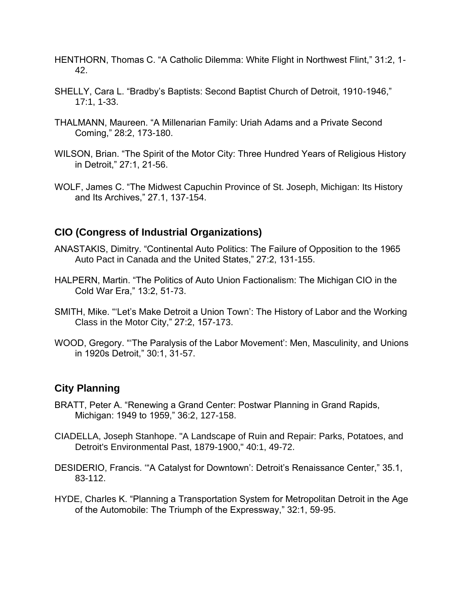- HENTHORN, Thomas C. "A Catholic Dilemma: White Flight in Northwest Flint," 31:2, 1- 42.
- SHELLY, Cara L. "Bradby's Baptists: Second Baptist Church of Detroit, 1910-1946," 17:1, 1-33.
- THALMANN, Maureen. "A Millenarian Family: Uriah Adams and a Private Second Coming," 28:2, 173-180.
- WILSON, Brian. "The Spirit of the Motor City: Three Hundred Years of Religious History in Detroit," 27:1, 21-56.
- WOLF, James C. "The Midwest Capuchin Province of St. Joseph, Michigan: Its History and Its Archives," 27.1, 137-154.

# **CIO (Congress of Industrial Organizations)**

- ANASTAKIS, Dimitry. "Continental Auto Politics: The Failure of Opposition to the 1965 Auto Pact in Canada and the United States," 27:2, 131-155.
- HALPERN, Martin. "The Politics of Auto Union Factionalism: The Michigan CIO in the Cold War Era," 13:2, 51-73.
- SMITH, Mike. "'Let's Make Detroit a Union Town': The History of Labor and the Working Class in the Motor City," 27:2, 157-173.
- WOOD, Gregory. "'The Paralysis of the Labor Movement': Men, Masculinity, and Unions in 1920s Detroit," 30:1, 31-57.

# **City Planning**

- BRATT, Peter A. "Renewing a Grand Center: Postwar Planning in Grand Rapids, Michigan: 1949 to 1959," 36:2, 127-158.
- CIADELLA, Joseph Stanhope. "A Landscape of Ruin and Repair: Parks, Potatoes, and Detroit's Environmental Past, 1879-1900," 40:1, 49-72.
- DESIDERIO, Francis. '"A Catalyst for Downtown': Detroit's Renaissance Center," 35.1, 83-112.
- HYDE, Charles K. "Planning a Transportation System for Metropolitan Detroit in the Age of the Automobile: The Triumph of the Expressway," 32:1, 59-95.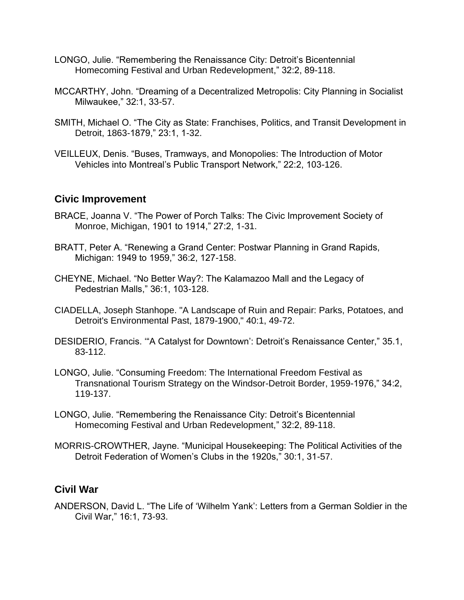- LONGO, Julie. "Remembering the Renaissance City: Detroit's Bicentennial Homecoming Festival and Urban Redevelopment," 32:2, 89-118.
- MCCARTHY, John. "Dreaming of a Decentralized Metropolis: City Planning in Socialist Milwaukee," 32:1, 33-57.
- SMITH, Michael O. "The City as State: Franchises, Politics, and Transit Development in Detroit, 1863-1879," 23:1, 1-32.
- VEILLEUX, Denis. "Buses, Tramways, and Monopolies: The Introduction of Motor Vehicles into Montreal's Public Transport Network," 22:2, 103-126.

#### **Civic Improvement**

- BRACE, Joanna V. "The Power of Porch Talks: The Civic Improvement Society of Monroe, Michigan, 1901 to 1914," 27:2, 1-31.
- BRATT, Peter A. "Renewing a Grand Center: Postwar Planning in Grand Rapids, Michigan: 1949 to 1959," 36:2, 127-158.
- CHEYNE, Michael. "No Better Way?: The Kalamazoo Mall and the Legacy of Pedestrian Malls," 36:1, 103-128.
- CIADELLA, Joseph Stanhope. "A Landscape of Ruin and Repair: Parks, Potatoes, and Detroit's Environmental Past, 1879-1900," 40:1, 49-72.
- DESIDERIO, Francis. '"A Catalyst for Downtown': Detroit's Renaissance Center," 35.1, 83-112.
- LONGO, Julie. "Consuming Freedom: The International Freedom Festival as Transnational Tourism Strategy on the Windsor-Detroit Border, 1959-1976," 34:2, 119-137.
- LONGO, Julie. "Remembering the Renaissance City: Detroit's Bicentennial Homecoming Festival and Urban Redevelopment," 32:2, 89-118.
- MORRIS-CROWTHER, Jayne. "Municipal Housekeeping: The Political Activities of the Detroit Federation of Women's Clubs in the 1920s," 30:1, 31-57.

#### **Civil War**

ANDERSON, David L. "The Life of 'Wilhelm Yank': Letters from a German Soldier in the Civil War," 16:1, 73-93.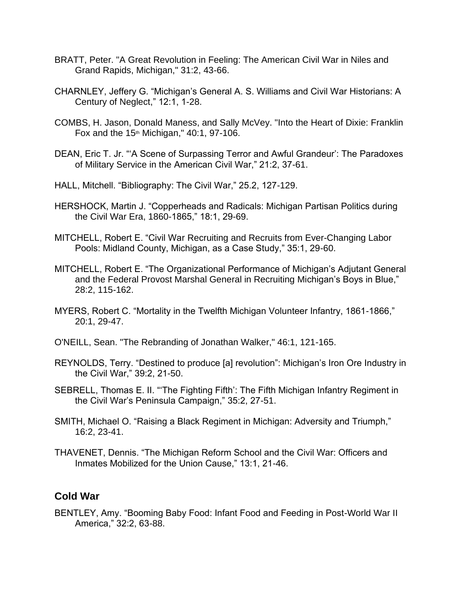- BRATT, Peter. "A Great Revolution in Feeling: The American Civil War in Niles and Grand Rapids, Michigan," 31:2, 43-66.
- CHARNLEY, Jeffery G. "Michigan's General A. S. Williams and Civil War Historians: A Century of Neglect," 12:1, 1-28.
- COMBS, H. Jason, Donald Maness, and Sally McVey. "Into the Heart of Dixie: Franklin Fox and the  $15<sup>th</sup>$  Michigan," 40:1, 97-106.
- DEAN, Eric T. Jr. "'A Scene of Surpassing Terror and Awful Grandeur': The Paradoxes of Military Service in the American Civil War," 21:2, 37-61.
- HALL, Mitchell. "Bibliography: The Civil War," 25.2, 127-129.
- HERSHOCK, Martin J. "Copperheads and Radicals: Michigan Partisan Politics during the Civil War Era, 1860-1865," 18:1, 29-69.
- MITCHELL, Robert E. "Civil War Recruiting and Recruits from Ever-Changing Labor Pools: Midland County, Michigan, as a Case Study," 35:1, 29-60.
- MITCHELL, Robert E. "The Organizational Performance of Michigan's Adjutant General and the Federal Provost Marshal General in Recruiting Michigan's Boys in Blue," 28:2, 115-162.
- MYERS, Robert C. "Mortality in the Twelfth Michigan Volunteer Infantry, 1861-1866," 20:1, 29-47.
- O'NEILL, Sean. "The Rebranding of Jonathan Walker," 46:1, 121-165.
- REYNOLDS, Terry. "Destined to produce [a] revolution": Michigan's Iron Ore Industry in the Civil War," 39:2, 21-50.
- SEBRELL, Thomas E. II. "'The Fighting Fifth': The Fifth Michigan Infantry Regiment in the Civil War's Peninsula Campaign," 35:2, 27-51.
- SMITH, Michael O. "Raising a Black Regiment in Michigan: Adversity and Triumph," 16:2, 23-41.
- THAVENET, Dennis. "The Michigan Reform School and the Civil War: Officers and Inmates Mobilized for the Union Cause," 13:1, 21-46.

#### **Cold War**

BENTLEY, Amy. "Booming Baby Food: Infant Food and Feeding in Post-World War II America," 32:2, 63-88.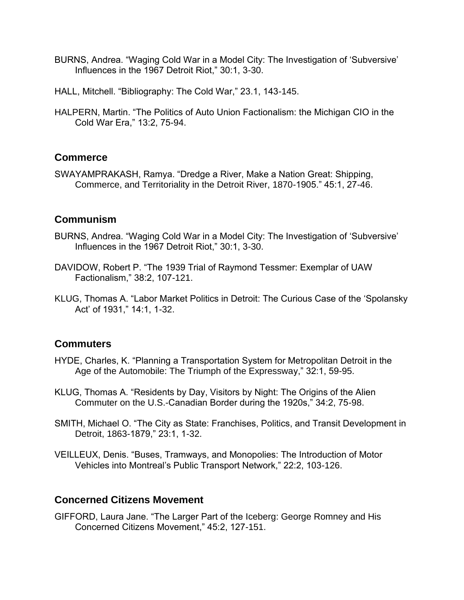- BURNS, Andrea. "Waging Cold War in a Model City: The Investigation of 'Subversive' Influences in the 1967 Detroit Riot," 30:1, 3-30.
- HALL, Mitchell. "Bibliography: The Cold War," 23.1, 143-145.
- HALPERN, Martin. "The Politics of Auto Union Factionalism: the Michigan CIO in the Cold War Era," 13:2, 75-94.

### **Commerce**

SWAYAMPRAKASH, Ramya. "Dredge a River, Make a Nation Great: Shipping, Commerce, and Territoriality in the Detroit River, 1870-1905." 45:1, 27-46.

### **Communism**

- BURNS, Andrea. "Waging Cold War in a Model City: The Investigation of 'Subversive' Influences in the 1967 Detroit Riot," 30:1, 3-30.
- DAVIDOW, Robert P. "The 1939 Trial of Raymond Tessmer: Exemplar of UAW Factionalism," 38:2, 107-121.
- KLUG, Thomas A. "Labor Market Politics in Detroit: The Curious Case of the 'Spolansky Act' of 1931," 14:1, 1-32.

# **Commuters**

- HYDE, Charles, K. "Planning a Transportation System for Metropolitan Detroit in the Age of the Automobile: The Triumph of the Expressway," 32:1, 59-95.
- KLUG, Thomas A. "Residents by Day, Visitors by Night: The Origins of the Alien Commuter on the U.S.-Canadian Border during the 1920s," 34:2, 75-98.
- SMITH, Michael O. "The City as State: Franchises, Politics, and Transit Development in Detroit, 1863-1879," 23:1, 1-32.
- VEILLEUX, Denis. "Buses, Tramways, and Monopolies: The Introduction of Motor Vehicles into Montreal's Public Transport Network," 22:2, 103-126.

#### **Concerned Citizens Movement**

GIFFORD, Laura Jane. "The Larger Part of the Iceberg: George Romney and His Concerned Citizens Movement," 45:2, 127-151.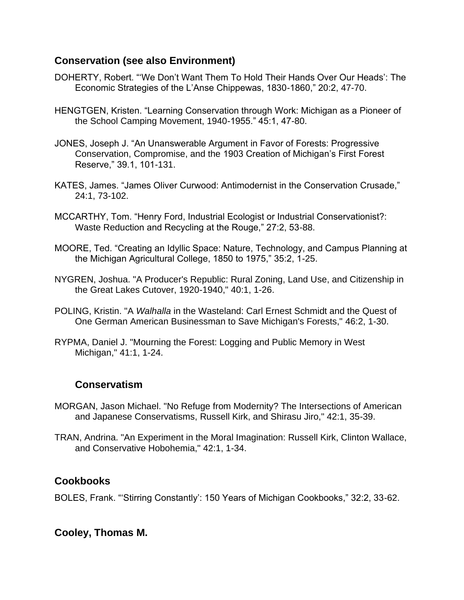### **Conservation (see also Environment)**

- DOHERTY, Robert. "'We Don't Want Them To Hold Their Hands Over Our Heads': The Economic Strategies of the L'Anse Chippewas, 1830-1860," 20:2, 47-70.
- HENGTGEN, Kristen. "Learning Conservation through Work: Michigan as a Pioneer of the School Camping Movement, 1940-1955." 45:1, 47-80.
- JONES, Joseph J. "An Unanswerable Argument in Favor of Forests: Progressive Conservation, Compromise, and the 1903 Creation of Michigan's First Forest Reserve," 39.1, 101-131.
- KATES, James. "James Oliver Curwood: Antimodernist in the Conservation Crusade," 24:1, 73-102.
- MCCARTHY, Tom. "Henry Ford, Industrial Ecologist or Industrial Conservationist?: Waste Reduction and Recycling at the Rouge," 27:2, 53-88.
- MOORE, Ted. "Creating an Idyllic Space: Nature, Technology, and Campus Planning at the Michigan Agricultural College, 1850 to 1975," 35:2, 1-25.
- NYGREN, Joshua. "A Producer's Republic: Rural Zoning, Land Use, and Citizenship in the Great Lakes Cutover, 1920-1940," 40:1, 1-26.
- POLING, Kristin. "A *Walhalla* in the Wasteland: Carl Ernest Schmidt and the Quest of One German American Businessman to Save Michigan's Forests," 46:2, 1-30.
- RYPMA, Daniel J. "Mourning the Forest: Logging and Public Memory in West Michigan," 41:1, 1-24.

# **Conservatism**

- MORGAN, Jason Michael. "No Refuge from Modernity? The Intersections of American and Japanese Conservatisms, Russell Kirk, and Shirasu Jiro," 42:1, 35-39.
- TRAN, Andrina. "An Experiment in the Moral Imagination: Russell Kirk, Clinton Wallace, and Conservative Hobohemia," 42:1, 1-34.

# **Cookbooks**

BOLES, Frank. "'Stirring Constantly': 150 Years of Michigan Cookbooks," 32:2, 33-62.

# **Cooley, Thomas M.**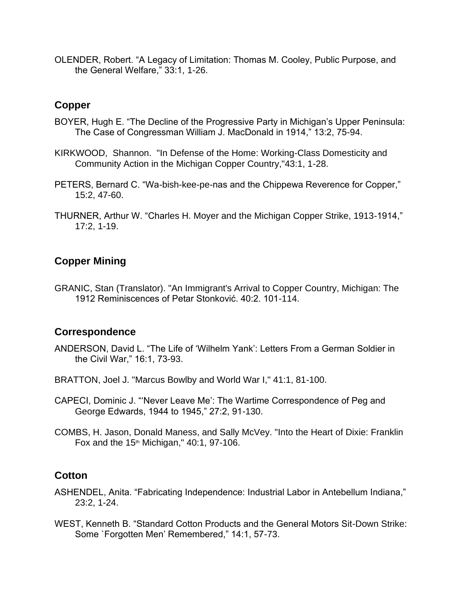OLENDER, Robert. "A Legacy of Limitation: Thomas M. Cooley, Public Purpose, and the General Welfare," 33:1, 1-26.

#### **Copper**

- BOYER, Hugh E. "The Decline of the Progressive Party in Michigan's Upper Peninsula: The Case of Congressman William J. MacDonald in 1914," 13:2, 75-94.
- KIRKWOOD, Shannon. "In Defense of the Home: Working-Class Domesticity and Community Action in the Michigan Copper Country,"43:1, 1-28.
- PETERS, Bernard C. "Wa-bish-kee-pe-nas and the Chippewa Reverence for Copper," 15:2, 47-60.
- THURNER, Arthur W. "Charles H. Moyer and the Michigan Copper Strike, 1913-1914," 17:2, 1-19.

# **Copper Mining**

GRANIC, Stan (Translator). "An Immigrant's Arrival to Copper Country, Michigan: The 1912 Reminiscences of Petar Stonković. 40:2. 101-114.

# **Correspondence**

- ANDERSON, David L. "The Life of 'Wilhelm Yank': Letters From a German Soldier in the Civil War," 16:1, 73-93.
- BRATTON, Joel J. "Marcus Bowlby and World War I," 41:1, 81-100.
- CAPECI, Dominic J. "'Never Leave Me': The Wartime Correspondence of Peg and George Edwards, 1944 to 1945," 27:2, 91-130.
- COMBS, H. Jason, Donald Maness, and Sally McVey. "Into the Heart of Dixie: Franklin Fox and the  $15<sup>th</sup>$  Michigan," 40:1, 97-106.

# **Cotton**

- ASHENDEL, Anita. "Fabricating Independence: Industrial Labor in Antebellum Indiana," 23:2, 1-24.
- WEST, Kenneth B. "Standard Cotton Products and the General Motors Sit-Down Strike: Some `Forgotten Men' Remembered," 14:1, 57-73.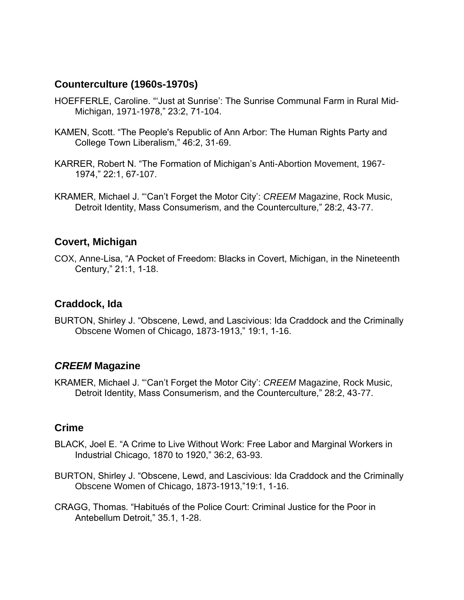# **Counterculture (1960s-1970s)**

- HOEFFERLE, Caroline. "'Just at Sunrise': The Sunrise Communal Farm in Rural Mid-Michigan, 1971-1978," 23:2, 71-104.
- KAMEN, Scott. "The People's Republic of Ann Arbor: The Human Rights Party and College Town Liberalism," 46:2, 31-69.
- KARRER, Robert N. "The Formation of Michigan's Anti-Abortion Movement, 1967- 1974," 22:1, 67-107.
- KRAMER, Michael J. "'Can't Forget the Motor City': *CREEM* Magazine, Rock Music, Detroit Identity, Mass Consumerism, and the Counterculture," 28:2, 43-77.

#### **Covert, Michigan**

COX, Anne-Lisa, "A Pocket of Freedom: Blacks in Covert, Michigan, in the Nineteenth Century," 21:1, 1-18.

#### **Craddock, Ida**

BURTON, Shirley J. "Obscene, Lewd, and Lascivious: Ida Craddock and the Criminally Obscene Women of Chicago, 1873-1913," 19:1, 1-16.

#### *CREEM* **Magazine**

KRAMER, Michael J. "'Can't Forget the Motor City': *CREEM* Magazine, Rock Music, Detroit Identity, Mass Consumerism, and the Counterculture," 28:2, 43-77.

#### **Crime**

- BLACK, Joel E. "A Crime to Live Without Work: Free Labor and Marginal Workers in Industrial Chicago, 1870 to 1920," 36:2, 63-93.
- BURTON, Shirley J. "Obscene, Lewd, and Lascivious: Ida Craddock and the Criminally Obscene Women of Chicago, 1873-1913,"19:1, 1-16.
- CRAGG, Thomas. "Habitués of the Police Court: Criminal Justice for the Poor in Antebellum Detroit," 35.1, 1-28.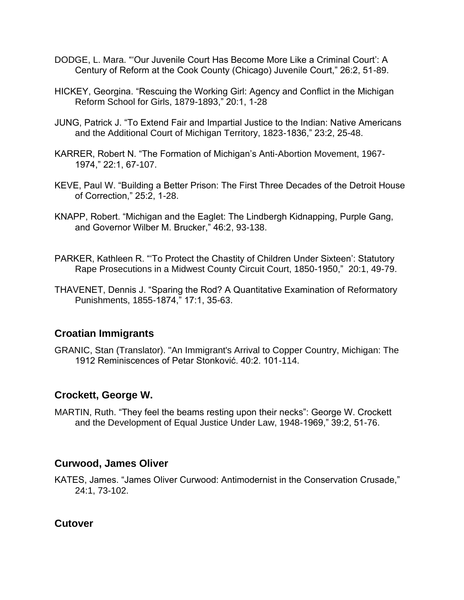- DODGE, L. Mara. "'Our Juvenile Court Has Become More Like a Criminal Court': A Century of Reform at the Cook County (Chicago) Juvenile Court," 26:2, 51-89.
- HICKEY, Georgina. "Rescuing the Working Girl: Agency and Conflict in the Michigan Reform School for Girls, 1879-1893," 20:1, 1-28
- JUNG, Patrick J. "To Extend Fair and Impartial Justice to the Indian: Native Americans and the Additional Court of Michigan Territory, 1823-1836," 23:2, 25-48.
- KARRER, Robert N. "The Formation of Michigan's Anti-Abortion Movement, 1967- 1974," 22:1, 67-107.
- KEVE, Paul W. "Building a Better Prison: The First Three Decades of the Detroit House of Correction," 25:2, 1-28.
- KNAPP, Robert. "Michigan and the Eaglet: The Lindbergh Kidnapping, Purple Gang, and Governor Wilber M. Brucker," 46:2, 93-138.
- PARKER, Kathleen R. "'To Protect the Chastity of Children Under Sixteen': Statutory Rape Prosecutions in a Midwest County Circuit Court, 1850-1950," 20:1, 49-79.
- THAVENET, Dennis J. "Sparing the Rod? A Quantitative Examination of Reformatory Punishments, 1855-1874," 17:1, 35-63.

# **Croatian Immigrants**

GRANIC, Stan (Translator). "An Immigrant's Arrival to Copper Country, Michigan: The 1912 Reminiscences of Petar Stonković. 40:2. 101-114.

# **Crockett, George W.**

MARTIN, Ruth. "They feel the beams resting upon their necks": George W. Crockett and the Development of Equal Justice Under Law, 1948-1969," 39:2, 51-76.

#### **Curwood, James Oliver**

KATES, James. "James Oliver Curwood: Antimodernist in the Conservation Crusade," 24:1, 73-102.

#### **Cutover**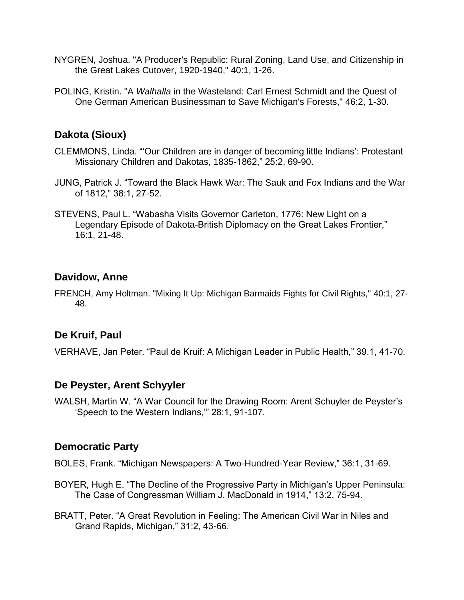- NYGREN, Joshua. "A Producer's Republic: Rural Zoning, Land Use, and Citizenship in the Great Lakes Cutover, 1920-1940," 40:1, 1-26.
- POLING, Kristin. "A *Walhalla* in the Wasteland: Carl Ernest Schmidt and the Quest of One German American Businessman to Save Michigan's Forests," 46:2, 1-30.

# **Dakota (Sioux)**

- CLEMMONS, Linda. "'Our Children are in danger of becoming little Indians': Protestant Missionary Children and Dakotas, 1835-1862," 25:2, 69-90.
- JUNG, Patrick J. "Toward the Black Hawk War: The Sauk and Fox Indians and the War of 1812," 38:1, 27-52.
- STEVENS, Paul L. "Wabasha Visits Governor Carleton, 1776: New Light on a Legendary Episode of Dakota-British Diplomacy on the Great Lakes Frontier," 16:1, 21-48.

### **Davidow, Anne**

FRENCH, Amy Holtman. "Mixing It Up: Michigan Barmaids Fights for Civil Rights," 40:1, 27- 48.

# **De Kruif, Paul**

VERHAVE, Jan Peter. "Paul de Kruif: A Michigan Leader in Public Health," 39.1, 41-70.

#### **De Peyster, Arent Schyyler**

WALSH, Martin W. "A War Council for the Drawing Room: Arent Schuyler de Peyster's 'Speech to the Western Indians,'" 28:1, 91-107.

#### **Democratic Party**

BOLES, Frank. "Michigan Newspapers: A Two-Hundred-Year Review," 36:1, 31-69.

- BOYER, Hugh E. "The Decline of the Progressive Party in Michigan's Upper Peninsula: The Case of Congressman William J. MacDonald in 1914," 13:2, 75-94.
- BRATT, Peter. "A Great Revolution in Feeling: The American Civil War in Niles and Grand Rapids, Michigan," 31:2, 43-66.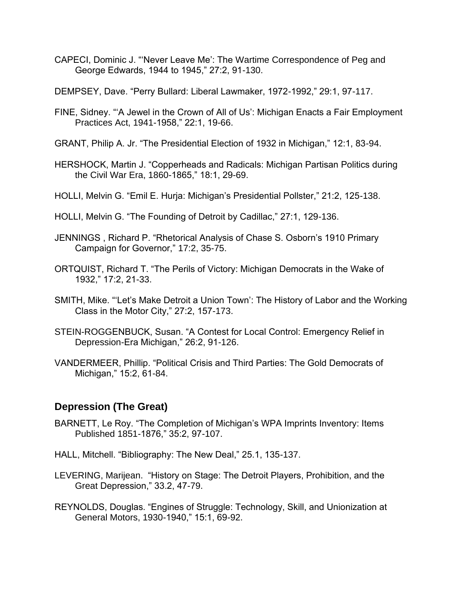- CAPECI, Dominic J. "'Never Leave Me': The Wartime Correspondence of Peg and George Edwards, 1944 to 1945," 27:2, 91-130.
- DEMPSEY, Dave. "Perry Bullard: Liberal Lawmaker, 1972-1992," 29:1, 97-117.
- FINE, Sidney. "'A Jewel in the Crown of All of Us': Michigan Enacts a Fair Employment Practices Act, 1941-1958," 22:1, 19-66.
- GRANT, Philip A. Jr. "The Presidential Election of 1932 in Michigan," 12:1, 83-94.
- HERSHOCK, Martin J. "Copperheads and Radicals: Michigan Partisan Politics during the Civil War Era, 1860-1865," 18:1, 29-69.
- HOLLI, Melvin G. "Emil E. Hurja: Michigan's Presidential Pollster," 21:2, 125-138.
- HOLLI, Melvin G. "The Founding of Detroit by Cadillac," 27:1, 129-136.
- JENNINGS , Richard P. "Rhetorical Analysis of Chase S. Osborn's 1910 Primary Campaign for Governor," 17:2, 35-75.
- ORTQUIST, Richard T. "The Perils of Victory: Michigan Democrats in the Wake of 1932," 17:2, 21-33.
- SMITH, Mike. "'Let's Make Detroit a Union Town': The History of Labor and the Working Class in the Motor City," 27:2, 157-173.
- STEIN-ROGGENBUCK, Susan. "A Contest for Local Control: Emergency Relief in Depression-Era Michigan," 26:2, 91-126.
- VANDERMEER, Phillip. "Political Crisis and Third Parties: The Gold Democrats of Michigan," 15:2, 61-84.

#### **Depression (The Great)**

- BARNETT, Le Roy. "The Completion of Michigan's WPA Imprints Inventory: Items Published 1851-1876," 35:2, 97-107.
- HALL, Mitchell. "Bibliography: The New Deal," 25.1, 135-137.
- LEVERING, Marijean. "History on Stage: The Detroit Players, Prohibition, and the Great Depression," 33.2, 47-79.
- REYNOLDS, Douglas. "Engines of Struggle: Technology, Skill, and Unionization at General Motors, 1930-1940," 15:1, 69-92.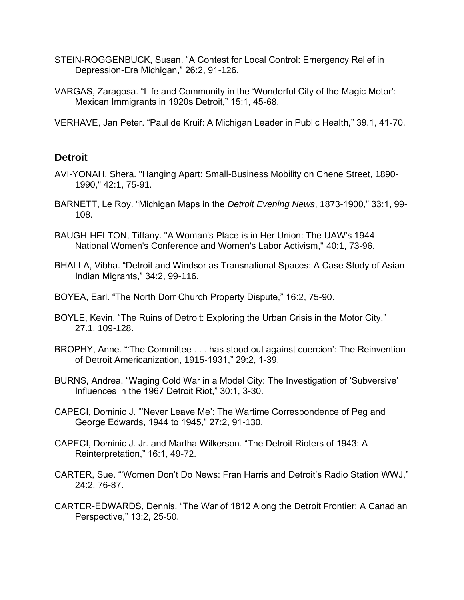- STEIN-ROGGENBUCK, Susan. "A Contest for Local Control: Emergency Relief in Depression-Era Michigan," 26:2, 91-126.
- VARGAS, Zaragosa. "Life and Community in the 'Wonderful City of the Magic Motor': Mexican Immigrants in 1920s Detroit," 15:1, 45-68.

VERHAVE, Jan Peter. "Paul de Kruif: A Michigan Leader in Public Health," 39.1, 41-70.

### **Detroit**

- AVI-YONAH, Shera. "Hanging Apart: Small-Business Mobility on Chene Street, 1890- 1990," 42:1, 75-91.
- BARNETT, Le Roy. "Michigan Maps in the *Detroit Evening News*, 1873-1900," 33:1, 99- 108.
- BAUGH-HELTON, Tiffany. "A Woman's Place is in Her Union: The UAW's 1944 National Women's Conference and Women's Labor Activism," 40:1, 73-96.
- BHALLA, Vibha. "Detroit and Windsor as Transnational Spaces: A Case Study of Asian Indian Migrants," 34:2, 99-116.
- BOYEA, Earl. "The North Dorr Church Property Dispute," 16:2, 75-90.
- BOYLE, Kevin. "The Ruins of Detroit: Exploring the Urban Crisis in the Motor City," 27.1, 109-128.
- BROPHY, Anne. "'The Committee . . . has stood out against coercion': The Reinvention of Detroit Americanization, 1915-1931," 29:2, 1-39.
- BURNS, Andrea. "Waging Cold War in a Model City: The Investigation of 'Subversive' Influences in the 1967 Detroit Riot," 30:1, 3-30.
- CAPECI, Dominic J. "'Never Leave Me': The Wartime Correspondence of Peg and George Edwards, 1944 to 1945," 27:2, 91-130.
- CAPECI, Dominic J. Jr. and Martha Wilkerson. "The Detroit Rioters of 1943: A Reinterpretation," 16:1, 49-72.
- CARTER, Sue. "'Women Don't Do News: Fran Harris and Detroit's Radio Station WWJ," 24:2, 76-87.
- CARTER-EDWARDS, Dennis. "The War of 1812 Along the Detroit Frontier: A Canadian Perspective," 13:2, 25-50.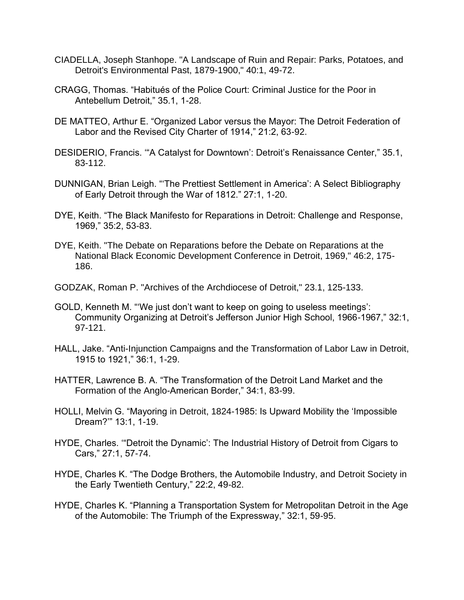- CIADELLA, Joseph Stanhope. "A Landscape of Ruin and Repair: Parks, Potatoes, and Detroit's Environmental Past, 1879-1900," 40:1, 49-72.
- CRAGG, Thomas. "Habitués of the Police Court: Criminal Justice for the Poor in Antebellum Detroit," 35.1, 1-28.
- DE MATTEO, Arthur E. "Organized Labor versus the Mayor: The Detroit Federation of Labor and the Revised City Charter of 1914," 21:2, 63-92.
- DESIDERIO, Francis. '"A Catalyst for Downtown': Detroit's Renaissance Center," 35.1, 83-112.
- DUNNIGAN, Brian Leigh. "'The Prettiest Settlement in America': A Select Bibliography of Early Detroit through the War of 1812." 27:1, 1-20.
- DYE, Keith. "The Black Manifesto for Reparations in Detroit: Challenge and Response, 1969," 35:2, 53-83.
- DYE, Keith. "The Debate on Reparations before the Debate on Reparations at the National Black Economic Development Conference in Detroit, 1969," 46:2, 175- 186.
- GODZAK, Roman P. "Archives of the Archdiocese of Detroit," 23.1, 125-133.
- GOLD, Kenneth M. "'We just don't want to keep on going to useless meetings': Community Organizing at Detroit's Jefferson Junior High School, 1966-1967," 32:1, 97-121.
- HALL, Jake. "Anti-Injunction Campaigns and the Transformation of Labor Law in Detroit, 1915 to 1921," 36:1, 1-29.
- HATTER, Lawrence B. A. "The Transformation of the Detroit Land Market and the Formation of the Anglo-American Border," 34:1, 83-99.
- HOLLI, Melvin G. "Mayoring in Detroit, 1824-1985: Is Upward Mobility the 'Impossible Dream?'" 13:1, 1-19.
- HYDE, Charles. '"Detroit the Dynamic': The Industrial History of Detroit from Cigars to Cars," 27:1, 57-74.
- HYDE, Charles K. "The Dodge Brothers, the Automobile Industry, and Detroit Society in the Early Twentieth Century," 22:2, 49-82.
- HYDE, Charles K. "Planning a Transportation System for Metropolitan Detroit in the Age of the Automobile: The Triumph of the Expressway," 32:1, 59-95.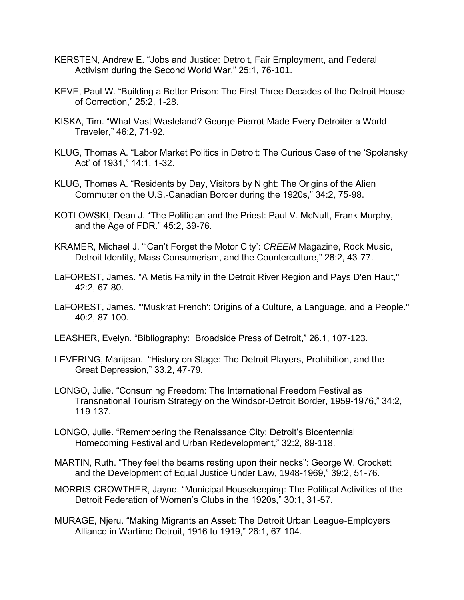- KERSTEN, Andrew E. "Jobs and Justice: Detroit, Fair Employment, and Federal Activism during the Second World War," 25:1, 76-101.
- KEVE, Paul W. "Building a Better Prison: The First Three Decades of the Detroit House of Correction," 25:2, 1-28.
- KISKA, Tim. "What Vast Wasteland? George Pierrot Made Every Detroiter a World Traveler," 46:2, 71-92.
- KLUG, Thomas A. "Labor Market Politics in Detroit: The Curious Case of the 'Spolansky Act' of 1931," 14:1, 1-32.
- KLUG, Thomas A. "Residents by Day, Visitors by Night: The Origins of the Alien Commuter on the U.S.-Canadian Border during the 1920s," 34:2, 75-98.
- KOTLOWSKI, Dean J. "The Politician and the Priest: Paul V. McNutt, Frank Murphy, and the Age of FDR." 45:2, 39-76.
- KRAMER, Michael J. "'Can't Forget the Motor City': *CREEM* Magazine, Rock Music, Detroit Identity, Mass Consumerism, and the Counterculture," 28:2, 43-77.
- LaFOREST, James. "A Metis Family in the Detroit River Region and Pays D'en Haut," 42:2, 67-80.
- LaFOREST, James. "'Muskrat French': Origins of a Culture, a Language, and a People." 40:2, 87-100.
- LEASHER, Evelyn. "Bibliography: Broadside Press of Detroit," 26.1, 107-123.
- LEVERING, Marijean. "History on Stage: The Detroit Players, Prohibition, and the Great Depression," 33.2, 47-79.
- LONGO, Julie. "Consuming Freedom: The International Freedom Festival as Transnational Tourism Strategy on the Windsor-Detroit Border, 1959-1976," 34:2, 119-137.
- LONGO, Julie. "Remembering the Renaissance City: Detroit's Bicentennial Homecoming Festival and Urban Redevelopment," 32:2, 89-118.
- MARTIN, Ruth. "They feel the beams resting upon their necks": George W. Crockett and the Development of Equal Justice Under Law, 1948-1969," 39:2, 51-76.
- MORRIS-CROWTHER, Jayne. "Municipal Housekeeping: The Political Activities of the Detroit Federation of Women's Clubs in the 1920s," 30:1, 31-57.
- MURAGE, Njeru. "Making Migrants an Asset: The Detroit Urban League-Employers Alliance in Wartime Detroit, 1916 to 1919," 26:1, 67-104.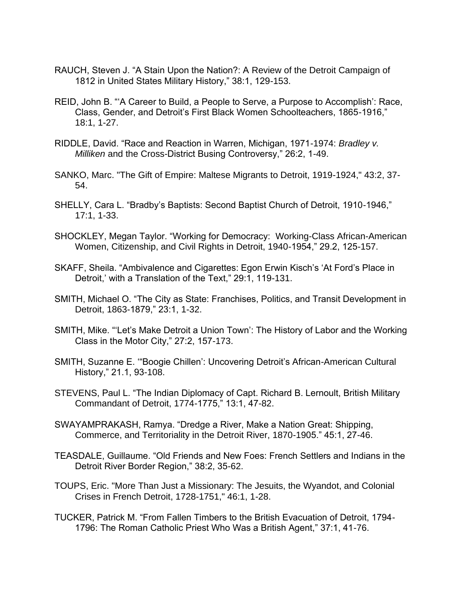- RAUCH, Steven J. "A Stain Upon the Nation?: A Review of the Detroit Campaign of 1812 in United States Military History," 38:1, 129-153.
- REID, John B. "'A Career to Build, a People to Serve, a Purpose to Accomplish': Race, Class, Gender, and Detroit's First Black Women Schoolteachers, 1865-1916," 18:1, 1-27.
- RIDDLE, David. "Race and Reaction in Warren, Michigan, 1971-1974: *Bradley v. Milliken* and the Cross-District Busing Controversy," 26:2, 1-49.
- SANKO, Marc. "The Gift of Empire: Maltese Migrants to Detroit, 1919-1924," 43:2, 37- 54.
- SHELLY, Cara L. "Bradby's Baptists: Second Baptist Church of Detroit, 1910-1946," 17:1, 1-33.
- SHOCKLEY, Megan Taylor. "Working for Democracy: Working-Class African-American Women, Citizenship, and Civil Rights in Detroit, 1940-1954," 29.2, 125-157.
- SKAFF, Sheila. "Ambivalence and Cigarettes: Egon Erwin Kisch's 'At Ford's Place in Detroit,' with a Translation of the Text," 29:1, 119-131.
- SMITH, Michael O. "The City as State: Franchises, Politics, and Transit Development in Detroit, 1863-1879," 23:1, 1-32.
- SMITH, Mike. "'Let's Make Detroit a Union Town': The History of Labor and the Working Class in the Motor City," 27:2, 157-173.
- SMITH, Suzanne E. '"Boogie Chillen': Uncovering Detroit's African-American Cultural History," 21.1, 93-108.
- STEVENS, Paul L. "The Indian Diplomacy of Capt. Richard B. Lernoult, British Military Commandant of Detroit, 1774-1775," 13:1, 47-82.
- SWAYAMPRAKASH, Ramya. "Dredge a River, Make a Nation Great: Shipping, Commerce, and Territoriality in the Detroit River, 1870-1905." 45:1, 27-46.
- TEASDALE, Guillaume. "Old Friends and New Foes: French Settlers and Indians in the Detroit River Border Region," 38:2, 35-62.
- TOUPS, Eric. "More Than Just a Missionary: The Jesuits, the Wyandot, and Colonial Crises in French Detroit, 1728-1751," 46:1, 1-28.
- TUCKER, Patrick M. "From Fallen Timbers to the British Evacuation of Detroit, 1794- 1796: The Roman Catholic Priest Who Was a British Agent," 37:1, 41-76.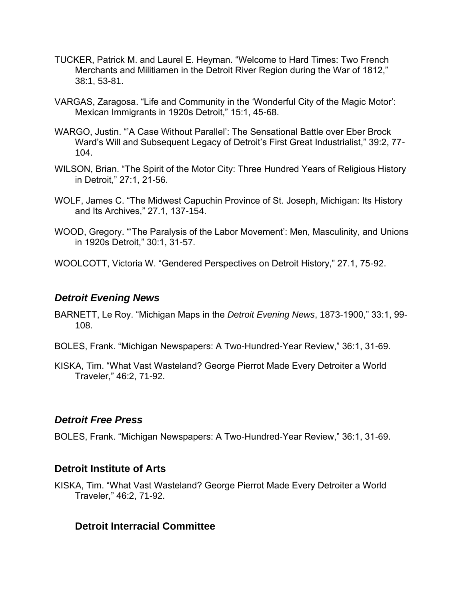- TUCKER, Patrick M. and Laurel E. Heyman. "Welcome to Hard Times: Two French Merchants and Militiamen in the Detroit River Region during the War of 1812," 38:1, 53-81.
- VARGAS, Zaragosa. "Life and Community in the 'Wonderful City of the Magic Motor': Mexican Immigrants in 1920s Detroit," 15:1, 45-68.
- WARGO, Justin. "'A Case Without Parallel': The Sensational Battle over Eber Brock Ward's Will and Subsequent Legacy of Detroit's First Great Industrialist," 39:2, 77- 104.
- WILSON, Brian. "The Spirit of the Motor City: Three Hundred Years of Religious History in Detroit," 27:1, 21-56.
- WOLF, James C. "The Midwest Capuchin Province of St. Joseph, Michigan: Its History and Its Archives," 27.1, 137-154.
- WOOD, Gregory. "'The Paralysis of the Labor Movement': Men, Masculinity, and Unions in 1920s Detroit," 30:1, 31-57.
- WOOLCOTT, Victoria W. "Gendered Perspectives on Detroit History," 27.1, 75-92.

#### *Detroit Evening News*

- BARNETT, Le Roy. "Michigan Maps in the *Detroit Evening News*, 1873-1900," 33:1, 99- 108.
- BOLES, Frank. "Michigan Newspapers: A Two-Hundred-Year Review," 36:1, 31-69.
- KISKA, Tim. "What Vast Wasteland? George Pierrot Made Every Detroiter a World Traveler," 46:2, 71-92.

### *Detroit Free Press*

BOLES, Frank. "Michigan Newspapers: A Two-Hundred-Year Review," 36:1, 31-69.

### **Detroit Institute of Arts**

KISKA, Tim. "What Vast Wasteland? George Pierrot Made Every Detroiter a World Traveler," 46:2, 71-92.

### **Detroit Interracial Committee**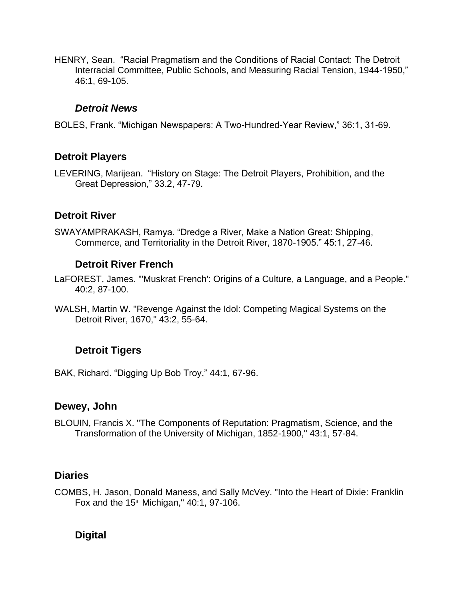HENRY, Sean. "Racial Pragmatism and the Conditions of Racial Contact: The Detroit Interracial Committee, Public Schools, and Measuring Racial Tension, 1944-1950," 46:1, 69-105.

### *Detroit News*

BOLES, Frank. "Michigan Newspapers: A Two-Hundred-Year Review," 36:1, 31-69.

# **Detroit Players**

LEVERING, Marijean. "History on Stage: The Detroit Players, Prohibition, and the Great Depression," 33.2, 47-79.

# **Detroit River**

SWAYAMPRAKASH, Ramya. "Dredge a River, Make a Nation Great: Shipping, Commerce, and Territoriality in the Detroit River, 1870-1905." 45:1, 27-46.

# **Detroit River French**

LaFOREST, James. "'Muskrat French': Origins of a Culture, a Language, and a People." 40:2, 87-100.

WALSH, Martin W. "Revenge Against the Idol: Competing Magical Systems on the Detroit River, 1670," 43:2, 55-64.

# **Detroit Tigers**

BAK, Richard. "Digging Up Bob Troy," 44:1, 67-96.

# **Dewey, John**

BLOUIN, Francis X. "The Components of Reputation: Pragmatism, Science, and the Transformation of the University of Michigan, 1852-1900," 43:1, 57-84.

# **Diaries**

COMBS, H. Jason, Donald Maness, and Sally McVey. "Into the Heart of Dixie: Franklin Fox and the  $15<sup>th</sup>$  Michigan," 40:1, 97-106.

# **Digital**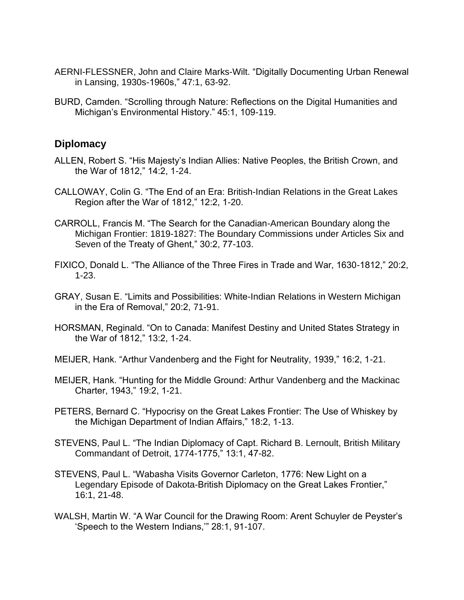- AERNI-FLESSNER, John and Claire Marks-Wilt. "Digitally Documenting Urban Renewal in Lansing, 1930s-1960s," 47:1, 63-92.
- BURD, Camden. "Scrolling through Nature: Reflections on the Digital Humanities and Michigan's Environmental History." 45:1, 109-119.

#### **Diplomacy**

- ALLEN, Robert S. "His Majesty's Indian Allies: Native Peoples, the British Crown, and the War of 1812," 14:2, 1-24.
- CALLOWAY, Colin G. "The End of an Era: British-Indian Relations in the Great Lakes Region after the War of 1812," 12:2, 1-20.
- CARROLL, Francis M. "The Search for the Canadian-American Boundary along the Michigan Frontier: 1819-1827: The Boundary Commissions under Articles Six and Seven of the Treaty of Ghent," 30:2, 77-103.
- FIXICO, Donald L. "The Alliance of the Three Fires in Trade and War, 1630-1812," 20:2, 1-23.
- GRAY, Susan E. "Limits and Possibilities: White-Indian Relations in Western Michigan in the Era of Removal," 20:2, 71-91.
- HORSMAN, Reginald. "On to Canada: Manifest Destiny and United States Strategy in the War of 1812," 13:2, 1-24.
- MEIJER, Hank. "Arthur Vandenberg and the Fight for Neutrality, 1939," 16:2, 1-21.
- MEIJER, Hank. "Hunting for the Middle Ground: Arthur Vandenberg and the Mackinac Charter, 1943," 19:2, 1-21.
- PETERS, Bernard C. "Hypocrisy on the Great Lakes Frontier: The Use of Whiskey by the Michigan Department of Indian Affairs," 18:2, 1-13.
- STEVENS, Paul L. "The Indian Diplomacy of Capt. Richard B. Lernoult, British Military Commandant of Detroit, 1774-1775," 13:1, 47-82.
- STEVENS, Paul L. "Wabasha Visits Governor Carleton, 1776: New Light on a Legendary Episode of Dakota-British Diplomacy on the Great Lakes Frontier," 16:1, 21-48.
- WALSH, Martin W. "A War Council for the Drawing Room: Arent Schuyler de Peyster's 'Speech to the Western Indians,'" 28:1, 91-107.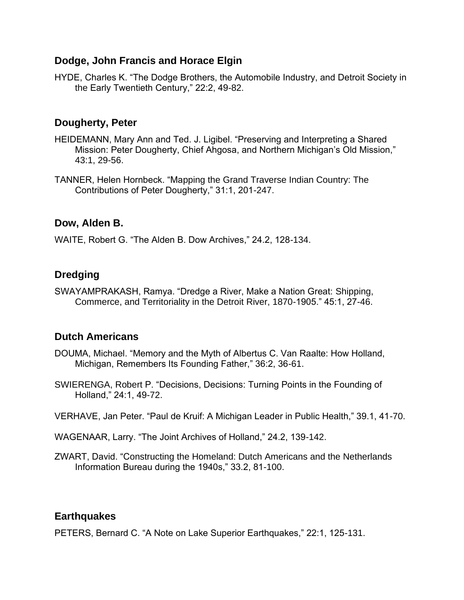# **Dodge, John Francis and Horace Elgin**

HYDE, Charles K. "The Dodge Brothers, the Automobile Industry, and Detroit Society in the Early Twentieth Century," 22:2, 49-82.

# **Dougherty, Peter**

- HEIDEMANN, Mary Ann and Ted. J. Ligibel. "Preserving and Interpreting a Shared Mission: Peter Dougherty, Chief Ahgosa, and Northern Michigan's Old Mission," 43:1, 29-56.
- TANNER, Helen Hornbeck. "Mapping the Grand Traverse Indian Country: The Contributions of Peter Dougherty," 31:1, 201-247.

## **Dow, Alden B.**

WAITE, Robert G. "The Alden B. Dow Archives," 24.2, 128-134.

# **Dredging**

SWAYAMPRAKASH, Ramya. "Dredge a River, Make a Nation Great: Shipping, Commerce, and Territoriality in the Detroit River, 1870-1905." 45:1, 27-46.

# **Dutch Americans**

- DOUMA, Michael. "Memory and the Myth of Albertus C. Van Raalte: How Holland, Michigan, Remembers Its Founding Father," 36:2, 36-61.
- SWIERENGA, Robert P. "Decisions, Decisions: Turning Points in the Founding of Holland," 24:1, 49-72.
- VERHAVE, Jan Peter. "Paul de Kruif: A Michigan Leader in Public Health," 39.1, 41-70.
- WAGENAAR, Larry. "The Joint Archives of Holland," 24.2, 139-142.
- ZWART, David. "Constructing the Homeland: Dutch Americans and the Netherlands Information Bureau during the 1940s," 33.2, 81-100.

### **Earthquakes**

PETERS, Bernard C. "A Note on Lake Superior Earthquakes," 22:1, 125-131.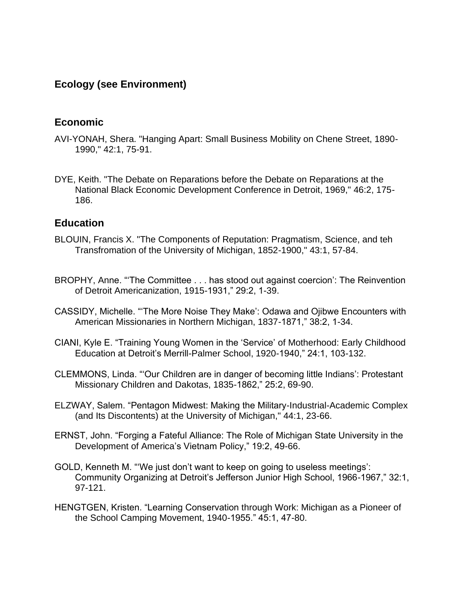# **Ecology (see Environment)**

# **Economic**

- AVI-YONAH, Shera. "Hanging Apart: Small Business Mobility on Chene Street, 1890- 1990," 42:1, 75-91.
- DYE, Keith. "The Debate on Reparations before the Debate on Reparations at the National Black Economic Development Conference in Detroit, 1969," 46:2, 175- 186.

### **Education**

- BLOUIN, Francis X. "The Components of Reputation: Pragmatism, Science, and teh Transfromation of the University of Michigan, 1852-1900," 43:1, 57-84.
- BROPHY, Anne. "'The Committee . . . has stood out against coercion': The Reinvention of Detroit Americanization, 1915-1931," 29:2, 1-39.
- CASSIDY, Michelle. "'The More Noise They Make': Odawa and Ojibwe Encounters with American Missionaries in Northern Michigan, 1837-1871," 38:2, 1-34.
- CIANI, Kyle E. "Training Young Women in the 'Service' of Motherhood: Early Childhood Education at Detroit's Merrill-Palmer School, 1920-1940," 24:1, 103-132.
- CLEMMONS, Linda. "'Our Children are in danger of becoming little Indians': Protestant Missionary Children and Dakotas, 1835-1862," 25:2, 69-90.
- ELZWAY, Salem. "Pentagon Midwest: Making the Military-Industrial-Academic Complex (and Its Discontents) at the University of Michigan," 44:1, 23-66.
- ERNST, John. "Forging a Fateful Alliance: The Role of Michigan State University in the Development of America's Vietnam Policy," 19:2, 49-66.
- GOLD, Kenneth M. "'We just don't want to keep on going to useless meetings': Community Organizing at Detroit's Jefferson Junior High School, 1966-1967," 32:1, 97-121.
- HENGTGEN, Kristen. "Learning Conservation through Work: Michigan as a Pioneer of the School Camping Movement, 1940-1955." 45:1, 47-80.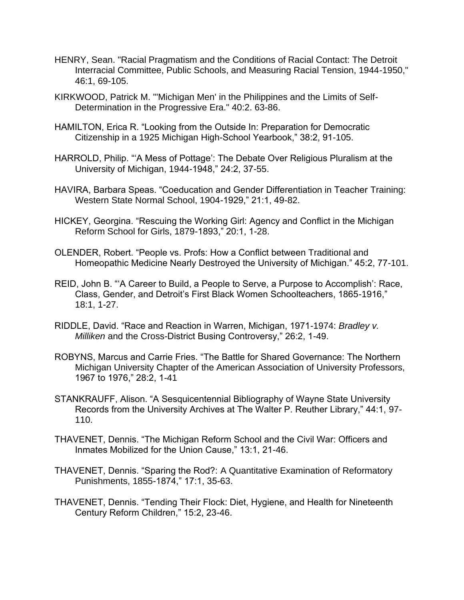- HENRY, Sean. "Racial Pragmatism and the Conditions of Racial Contact: The Detroit Interracial Committee, Public Schools, and Measuring Racial Tension, 1944-1950," 46:1, 69-105.
- KIRKWOOD, Patrick M. "'Michigan Men' in the Philippines and the Limits of Self-Determination in the Progressive Era." 40:2. 63-86.
- HAMILTON, Erica R. "Looking from the Outside In: Preparation for Democratic Citizenship in a 1925 Michigan High-School Yearbook," 38:2, 91-105.
- HARROLD, Philip. "'A Mess of Pottage': The Debate Over Religious Pluralism at the University of Michigan, 1944-1948," 24:2, 37-55.
- HAVIRA, Barbara Speas. "Coeducation and Gender Differentiation in Teacher Training: Western State Normal School, 1904-1929," 21:1, 49-82.
- HICKEY, Georgina. "Rescuing the Working Girl: Agency and Conflict in the Michigan Reform School for Girls, 1879-1893," 20:1, 1-28.
- OLENDER, Robert. "People vs. Profs: How a Conflict between Traditional and Homeopathic Medicine Nearly Destroyed the University of Michigan." 45:2, 77-101.
- REID, John B. "'A Career to Build, a People to Serve, a Purpose to Accomplish': Race, Class, Gender, and Detroit's First Black Women Schoolteachers, 1865-1916," 18:1, 1-27.
- RIDDLE, David. "Race and Reaction in Warren, Michigan, 1971-1974: *Bradley v. Milliken* and the Cross-District Busing Controversy," 26:2, 1-49.
- ROBYNS, Marcus and Carrie Fries. "The Battle for Shared Governance: The Northern Michigan University Chapter of the American Association of University Professors, 1967 to 1976," 28:2, 1-41
- STANKRAUFF, Alison. "A Sesquicentennial Bibliography of Wayne State University Records from the University Archives at The Walter P. Reuther Library," 44:1, 97- 110.
- THAVENET, Dennis. "The Michigan Reform School and the Civil War: Officers and Inmates Mobilized for the Union Cause," 13:1, 21-46.
- THAVENET, Dennis. "Sparing the Rod?: A Quantitative Examination of Reformatory Punishments, 1855-1874," 17:1, 35-63.
- THAVENET, Dennis. "Tending Their Flock: Diet, Hygiene, and Health for Nineteenth Century Reform Children," 15:2, 23-46.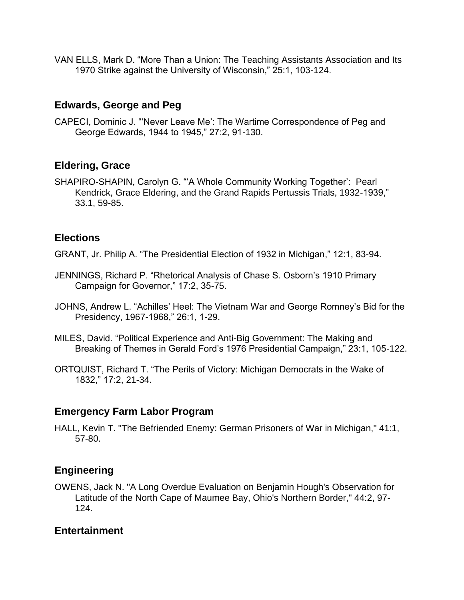VAN ELLS, Mark D. "More Than a Union: The Teaching Assistants Association and Its 1970 Strike against the University of Wisconsin," 25:1, 103-124.

# **Edwards, George and Peg**

CAPECI, Dominic J. "'Never Leave Me': The Wartime Correspondence of Peg and George Edwards, 1944 to 1945," 27:2, 91-130.

# **Eldering, Grace**

SHAPIRO-SHAPIN, Carolyn G. "'A Whole Community Working Together': Pearl Kendrick, Grace Eldering, and the Grand Rapids Pertussis Trials, 1932-1939," 33.1, 59-85.

# **Elections**

GRANT, Jr. Philip A. "The Presidential Election of 1932 in Michigan," 12:1, 83-94.

- JENNINGS, Richard P. "Rhetorical Analysis of Chase S. Osborn's 1910 Primary Campaign for Governor," 17:2, 35-75.
- JOHNS, Andrew L. "Achilles' Heel: The Vietnam War and George Romney's Bid for the Presidency, 1967-1968," 26:1, 1-29.
- MILES, David. "Political Experience and Anti-Big Government: The Making and Breaking of Themes in Gerald Ford's 1976 Presidential Campaign," 23:1, 105-122.
- ORTQUIST, Richard T. "The Perils of Victory: Michigan Democrats in the Wake of 1832," 17:2, 21-34.

# **Emergency Farm Labor Program**

HALL, Kevin T. "The Befriended Enemy: German Prisoners of War in Michigan," 41:1, 57-80.

# **Engineering**

OWENS, Jack N. "A Long Overdue Evaluation on Benjamin Hough's Observation for Latitude of the North Cape of Maumee Bay, Ohio's Northern Border," 44:2, 97- 124.

# **Entertainment**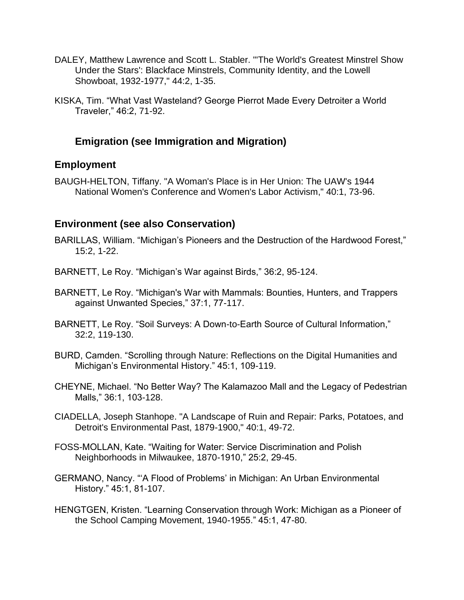- DALEY, Matthew Lawrence and Scott L. Stabler. "'The World's Greatest Minstrel Show Under the Stars': Blackface Minstrels, Community Identity, and the Lowell Showboat, 1932-1977," 44:2, 1-35.
- KISKA, Tim. "What Vast Wasteland? George Pierrot Made Every Detroiter a World Traveler," 46:2, 71-92.

# **Emigration (see Immigration and Migration)**

## **Employment**

BAUGH-HELTON, Tiffany. "A Woman's Place is in Her Union: The UAW's 1944 National Women's Conference and Women's Labor Activism," 40:1, 73-96.

# **Environment (see also Conservation)**

- BARILLAS, William. "Michigan's Pioneers and the Destruction of the Hardwood Forest," 15:2, 1-22.
- BARNETT, Le Roy. "Michigan's War against Birds," 36:2, 95-124.
- BARNETT, Le Roy. "Michigan's War with Mammals: Bounties, Hunters, and Trappers against Unwanted Species," 37:1, 77-117.
- BARNETT, Le Roy. "Soil Surveys: A Down-to-Earth Source of Cultural Information," 32:2, 119-130.
- BURD, Camden. "Scrolling through Nature: Reflections on the Digital Humanities and Michigan's Environmental History." 45:1, 109-119.
- CHEYNE, Michael. "No Better Way? The Kalamazoo Mall and the Legacy of Pedestrian Malls," 36:1, 103-128.
- CIADELLA, Joseph Stanhope. "A Landscape of Ruin and Repair: Parks, Potatoes, and Detroit's Environmental Past, 1879-1900," 40:1, 49-72.
- FOSS-MOLLAN, Kate. "Waiting for Water: Service Discrimination and Polish Neighborhoods in Milwaukee, 1870-1910," 25:2, 29-45.
- GERMANO, Nancy. "'A Flood of Problems' in Michigan: An Urban Environmental History." 45:1, 81-107.
- HENGTGEN, Kristen. "Learning Conservation through Work: Michigan as a Pioneer of the School Camping Movement, 1940-1955." 45:1, 47-80.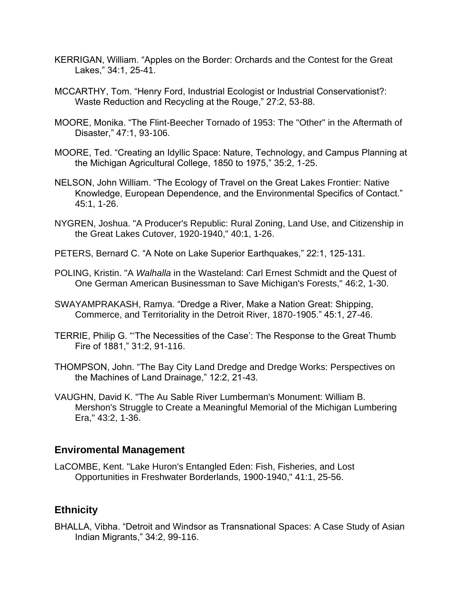- KERRIGAN, William. "Apples on the Border: Orchards and the Contest for the Great Lakes," 34:1, 25-41.
- MCCARTHY, Tom. "Henry Ford, Industrial Ecologist or Industrial Conservationist?: Waste Reduction and Recycling at the Rouge," 27:2, 53-88.
- MOORE, Monika. "The Flint-Beecher Tornado of 1953: The "Other" in the Aftermath of Disaster," 47:1, 93-106.
- MOORE, Ted. "Creating an Idyllic Space: Nature, Technology, and Campus Planning at the Michigan Agricultural College, 1850 to 1975," 35:2, 1-25.
- NELSON, John William. "The Ecology of Travel on the Great Lakes Frontier: Native Knowledge, European Dependence, and the Environmental Specifics of Contact." 45:1, 1-26.
- NYGREN, Joshua. "A Producer's Republic: Rural Zoning, Land Use, and Citizenship in the Great Lakes Cutover, 1920-1940," 40:1, 1-26.
- PETERS, Bernard C. "A Note on Lake Superior Earthquakes," 22:1, 125-131.
- POLING, Kristin. "A *Walhalla* in the Wasteland: Carl Ernest Schmidt and the Quest of One German American Businessman to Save Michigan's Forests," 46:2, 1-30.
- SWAYAMPRAKASH, Ramya. "Dredge a River, Make a Nation Great: Shipping, Commerce, and Territoriality in the Detroit River, 1870-1905." 45:1, 27-46.
- TERRIE, Philip G. "'The Necessities of the Case': The Response to the Great Thumb Fire of 1881," 31:2, 91-116.
- THOMPSON, John. "The Bay City Land Dredge and Dredge Works: Perspectives on the Machines of Land Drainage," 12:2, 21-43.
- VAUGHN, David K. "The Au Sable River Lumberman's Monument: William B. Mershon's Struggle to Create a Meaningful Memorial of the Michigan Lumbering Era," 43:2, 1-36.

### **Enviromental Management**

LaCOMBE, Kent. "Lake Huron's Entangled Eden: Fish, Fisheries, and Lost Opportunities in Freshwater Borderlands, 1900-1940," 41:1, 25-56.

# **Ethnicity**

BHALLA, Vibha. "Detroit and Windsor as Transnational Spaces: A Case Study of Asian Indian Migrants," 34:2, 99-116.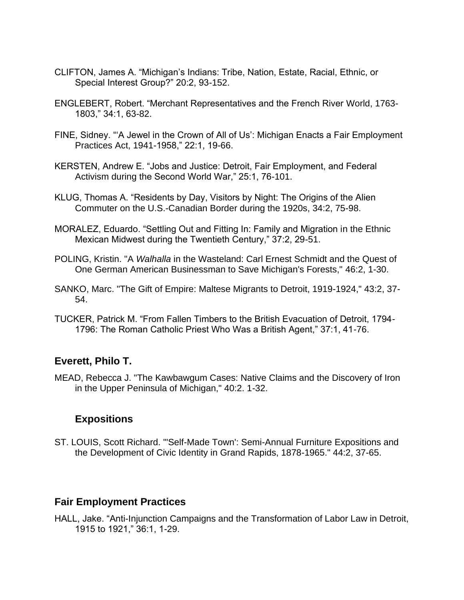- CLIFTON, James A. "Michigan's Indians: Tribe, Nation, Estate, Racial, Ethnic, or Special Interest Group?" 20:2, 93-152.
- ENGLEBERT, Robert. "Merchant Representatives and the French River World, 1763- 1803," 34:1, 63-82.
- FINE, Sidney. "'A Jewel in the Crown of All of Us': Michigan Enacts a Fair Employment Practices Act, 1941-1958," 22:1, 19-66.
- KERSTEN, Andrew E. "Jobs and Justice: Detroit, Fair Employment, and Federal Activism during the Second World War," 25:1, 76-101.
- KLUG, Thomas A. "Residents by Day, Visitors by Night: The Origins of the Alien Commuter on the U.S.-Canadian Border during the 1920s, 34:2, 75-98.
- MORALEZ, Eduardo. "Settling Out and Fitting In: Family and Migration in the Ethnic Mexican Midwest during the Twentieth Century," 37:2, 29-51.
- POLING, Kristin. "A *Walhalla* in the Wasteland: Carl Ernest Schmidt and the Quest of One German American Businessman to Save Michigan's Forests," 46:2, 1-30.
- SANKO, Marc. "The Gift of Empire: Maltese Migrants to Detroit, 1919-1924," 43:2, 37- 54.
- TUCKER, Patrick M. "From Fallen Timbers to the British Evacuation of Detroit, 1794- 1796: The Roman Catholic Priest Who Was a British Agent," 37:1, 41-76.

### **Everett, Philo T.**

MEAD, Rebecca J. "The Kawbawgum Cases: Native Claims and the Discovery of Iron in the Upper Peninsula of Michigan," 40:2. 1-32.

### **Expositions**

ST. LOUIS, Scott Richard. "'Self-Made Town': Semi-Annual Furniture Expositions and the Development of Civic Identity in Grand Rapids, 1878-1965." 44:2, 37-65.

#### **Fair Employment Practices**

HALL, Jake. "Anti-Injunction Campaigns and the Transformation of Labor Law in Detroit, 1915 to 1921," 36:1, 1-29.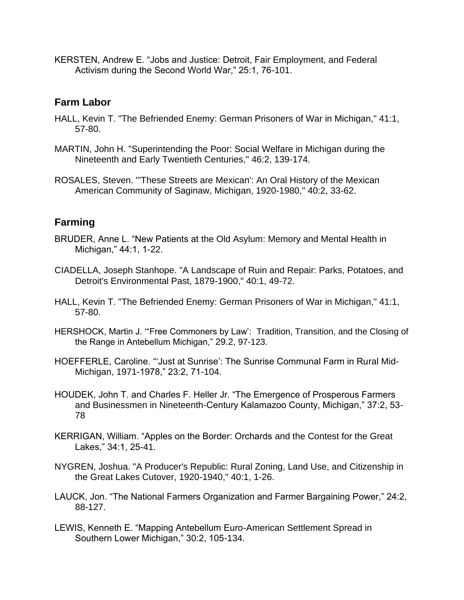KERSTEN, Andrew E. "Jobs and Justice: Detroit, Fair Employment, and Federal Activism during the Second World War," 25:1, 76-101.

### **Farm Labor**

- HALL, Kevin T. "The Befriended Enemy: German Prisoners of War in Michigan," 41:1, 57-80.
- MARTIN, John H. "Superintending the Poor: Social Welfare in Michigan during the Nineteenth and Early Twentieth Centuries," 46:2, 139-174.
- ROSALES, Steven. "'These Streets are Mexican': An Oral History of the Mexican American Community of Saginaw, Michigan, 1920-1980," 40:2, 33-62.

## **Farming**

- BRUDER, Anne L. "New Patients at the Old Asylum: Memory and Mental Health in Michigan," 44:1, 1-22.
- CIADELLA, Joseph Stanhope. "A Landscape of Ruin and Repair: Parks, Potatoes, and Detroit's Environmental Past, 1879-1900," 40:1, 49-72.
- HALL, Kevin T. "The Befriended Enemy: German Prisoners of War in Michigan," 41:1, 57-80.
- HERSHOCK, Martin J. '"Free Commoners by Law': Tradition, Transition, and the Closing of the Range in Antebellum Michigan," 29.2, 97-123.
- HOEFFERLE, Caroline. "'Just at Sunrise': The Sunrise Communal Farm in Rural Mid-Michigan, 1971-1978," 23:2, 71-104.
- HOUDEK, John T. and Charles F. Heller Jr. "The Emergence of Prosperous Farmers and Businessmen in Nineteenth-Century Kalamazoo County, Michigan," 37:2, 53- 78
- KERRIGAN, William. "Apples on the Border: Orchards and the Contest for the Great Lakes," 34:1, 25-41.
- NYGREN, Joshua. "A Producer's Republic: Rural Zoning, Land Use, and Citizenship in the Great Lakes Cutover, 1920-1940," 40:1, 1-26.
- LAUCK, Jon. "The National Farmers Organization and Farmer Bargaining Power," 24:2, 88-127.
- LEWIS, Kenneth E. "Mapping Antebellum Euro-American Settlement Spread in Southern Lower Michigan," 30:2, 105-134.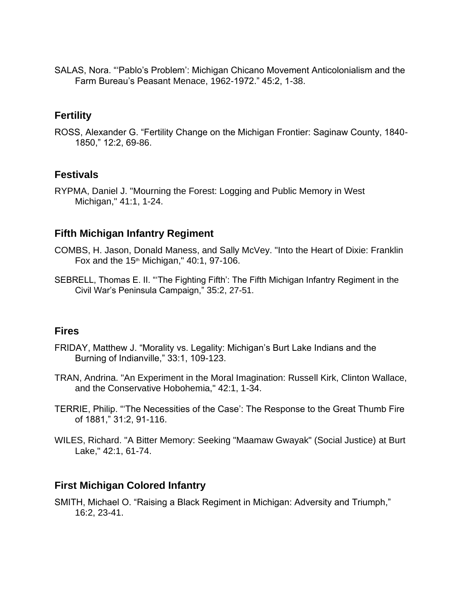SALAS, Nora. "'Pablo's Problem': Michigan Chicano Movement Anticolonialism and the Farm Bureau's Peasant Menace, 1962-1972." 45:2, 1-38.

# **Fertility**

ROSS, Alexander G. "Fertility Change on the Michigan Frontier: Saginaw County, 1840- 1850," 12:2, 69-86.

# **Festivals**

RYPMA, Daniel J. "Mourning the Forest: Logging and Public Memory in West Michigan," 41:1, 1-24.

# **Fifth Michigan Infantry Regiment**

- COMBS, H. Jason, Donald Maness, and Sally McVey. "Into the Heart of Dixie: Franklin Fox and the  $15<sup>th</sup>$  Michigan," 40:1, 97-106.
- SEBRELL, Thomas E. II. "'The Fighting Fifth': The Fifth Michigan Infantry Regiment in the Civil War's Peninsula Campaign," 35:2, 27-51.

### **Fires**

- FRIDAY, Matthew J. "Morality vs. Legality: Michigan's Burt Lake Indians and the Burning of Indianville," 33:1, 109-123.
- TRAN, Andrina. "An Experiment in the Moral Imagination: Russell Kirk, Clinton Wallace, and the Conservative Hobohemia," 42:1, 1-34.
- TERRIE, Philip. "'The Necessities of the Case': The Response to the Great Thumb Fire of 1881," 31:2, 91-116.
- WILES, Richard. "A Bitter Memory: Seeking "Maamaw Gwayak" (Social Justice) at Burt Lake," 42:1, 61-74.

# **First Michigan Colored Infantry**

SMITH, Michael O. "Raising a Black Regiment in Michigan: Adversity and Triumph," 16:2, 23-41.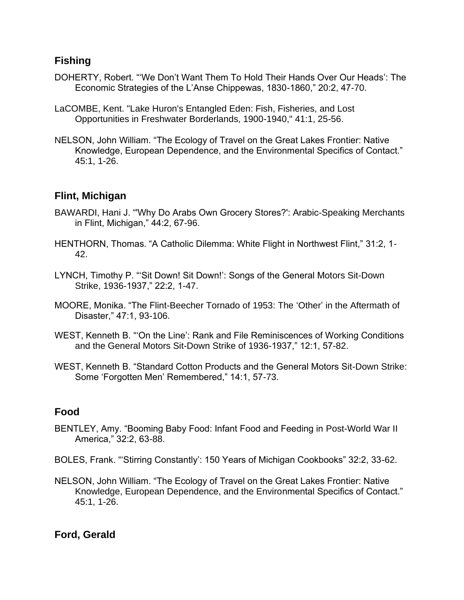## **Fishing**

- DOHERTY, Robert. "'We Don't Want Them To Hold Their Hands Over Our Heads': The Economic Strategies of the L'Anse Chippewas, 1830-1860," 20:2, 47-70.
- LaCOMBE, Kent. "Lake Huron's Entangled Eden: Fish, Fisheries, and Lost Opportunities in Freshwater Borderlands, 1900-1940," 41:1, 25-56.
- NELSON, John William. "The Ecology of Travel on the Great Lakes Frontier: Native Knowledge, European Dependence, and the Environmental Specifics of Contact." 45:1, 1-26.

## **Flint, Michigan**

- BAWARDI, Hani J. "'Why Do Arabs Own Grocery Stores?': Arabic-Speaking Merchants in Flint, Michigan," 44:2, 67-96.
- HENTHORN, Thomas. "A Catholic Dilemma: White Flight in Northwest Flint," 31:2, 1- 42.
- LYNCH, Timothy P. "'Sit Down! Sit Down!': Songs of the General Motors Sit-Down Strike, 1936-1937," 22:2, 1-47.
- MOORE, Monika. "The Flint-Beecher Tornado of 1953: The 'Other' in the Aftermath of Disaster," 47:1, 93-106.
- WEST, Kenneth B. "'On the Line': Rank and File Reminiscences of Working Conditions and the General Motors Sit-Down Strike of 1936-1937," 12:1, 57-82.
- WEST, Kenneth B. "Standard Cotton Products and the General Motors Sit-Down Strike: Some 'Forgotten Men' Remembered," 14:1, 57-73.

# **Food**

- BENTLEY, Amy. "Booming Baby Food: Infant Food and Feeding in Post-World War II America," 32:2, 63-88.
- BOLES, Frank. "'Stirring Constantly': 150 Years of Michigan Cookbooks" 32:2, 33-62.
- NELSON, John William. "The Ecology of Travel on the Great Lakes Frontier: Native Knowledge, European Dependence, and the Environmental Specifics of Contact." 45:1, 1-26.

# **Ford, Gerald**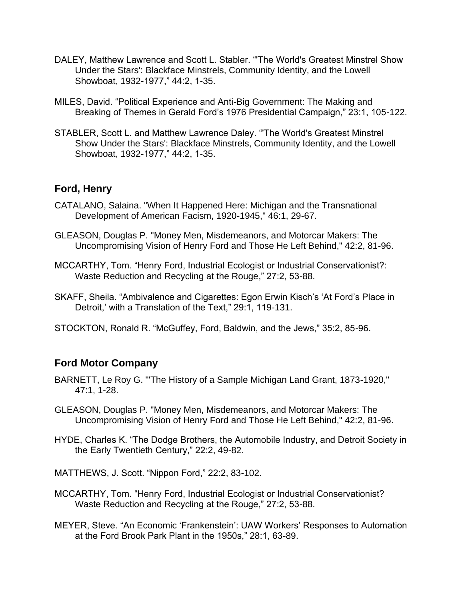- DALEY, Matthew Lawrence and Scott L. Stabler. "'The World's Greatest Minstrel Show Under the Stars': Blackface Minstrels, Community Identity, and the Lowell Showboat, 1932-1977," 44:2, 1-35.
- MILES, David. "Political Experience and Anti-Big Government: The Making and Breaking of Themes in Gerald Ford's 1976 Presidential Campaign," 23:1, 105-122.
- STABLER, Scott L. and Matthew Lawrence Daley. "'The World's Greatest Minstrel Show Under the Stars': Blackface Minstrels, Community Identity, and the Lowell Showboat, 1932-1977," 44:2, 1-35.

## **Ford, Henry**

- CATALANO, Salaina. "When It Happened Here: Michigan and the Transnational Development of American Facism, 1920-1945," 46:1, 29-67.
- GLEASON, Douglas P. "Money Men, Misdemeanors, and Motorcar Makers: The Uncompromising Vision of Henry Ford and Those He Left Behind," 42:2, 81-96.
- MCCARTHY, Tom. "Henry Ford, Industrial Ecologist or Industrial Conservationist?: Waste Reduction and Recycling at the Rouge," 27:2, 53-88.
- SKAFF, Sheila. "Ambivalence and Cigarettes: Egon Erwin Kisch's 'At Ford's Place in Detroit,' with a Translation of the Text," 29:1, 119-131.
- STOCKTON, Ronald R. "McGuffey, Ford, Baldwin, and the Jews," 35:2, 85-96.

# **Ford Motor Company**

- BARNETT, Le Roy G. "'The History of a Sample Michigan Land Grant, 1873-1920," 47:1, 1-28.
- GLEASON, Douglas P. "Money Men, Misdemeanors, and Motorcar Makers: The Uncompromising Vision of Henry Ford and Those He Left Behind," 42:2, 81-96.
- HYDE, Charles K. "The Dodge Brothers, the Automobile Industry, and Detroit Society in the Early Twentieth Century," 22:2, 49-82.
- MATTHEWS, J. Scott. "Nippon Ford," 22:2, 83-102.
- MCCARTHY, Tom. "Henry Ford, Industrial Ecologist or Industrial Conservationist? Waste Reduction and Recycling at the Rouge," 27:2, 53-88.
- MEYER, Steve. "An Economic 'Frankenstein': UAW Workers' Responses to Automation at the Ford Brook Park Plant in the 1950s," 28:1, 63-89.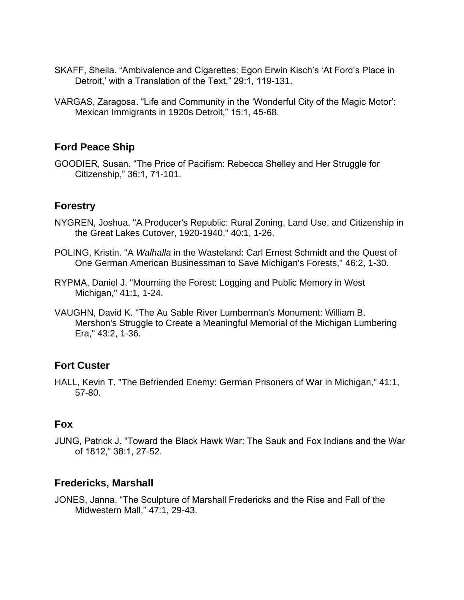- SKAFF, Sheila. "Ambivalence and Cigarettes: Egon Erwin Kisch's 'At Ford's Place in Detroit,' with a Translation of the Text," 29:1, 119-131.
- VARGAS, Zaragosa. "Life and Community in the 'Wonderful City of the Magic Motor': Mexican Immigrants in 1920s Detroit," 15:1, 45-68.

# **Ford Peace Ship**

GOODIER, Susan. "The Price of Pacifism: Rebecca Shelley and Her Struggle for Citizenship," 36:1, 71-101.

# **Forestry**

- NYGREN, Joshua. "A Producer's Republic: Rural Zoning, Land Use, and Citizenship in the Great Lakes Cutover, 1920-1940," 40:1, 1-26.
- POLING, Kristin. "A *Walhalla* in the Wasteland: Carl Ernest Schmidt and the Quest of One German American Businessman to Save Michigan's Forests," 46:2, 1-30.
- RYPMA, Daniel J. "Mourning the Forest: Logging and Public Memory in West Michigan," 41:1, 1-24.
- VAUGHN, David K. "The Au Sable River Lumberman's Monument: William B. Mershon's Struggle to Create a Meaningful Memorial of the Michigan Lumbering Era," 43:2, 1-36.

# **Fort Custer**

HALL, Kevin T. "The Befriended Enemy: German Prisoners of War in Michigan," 41:1, 57-80.

# **Fox**

JUNG, Patrick J. "Toward the Black Hawk War: The Sauk and Fox Indians and the War of 1812," 38:1, 27-52.

# **Fredericks, Marshall**

JONES, Janna. "The Sculpture of Marshall Fredericks and the Rise and Fall of the Midwestern Mall," 47:1, 29-43.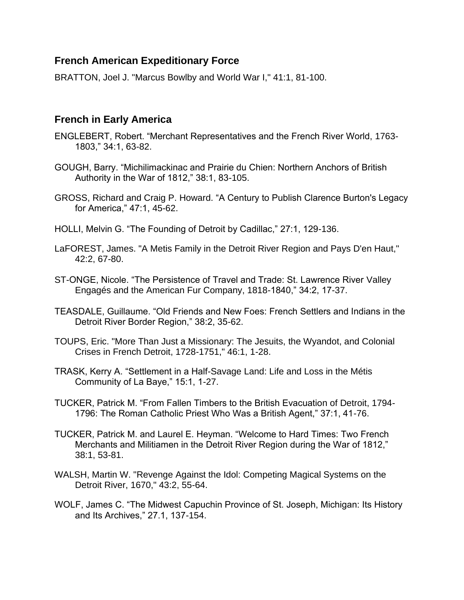# **French American Expeditionary Force**

BRATTON, Joel J. "Marcus Bowlby and World War I," 41:1, 81-100.

## **French in Early America**

- ENGLEBERT, Robert. "Merchant Representatives and the French River World, 1763- 1803," 34:1, 63-82.
- GOUGH, Barry. "Michilimackinac and Prairie du Chien: Northern Anchors of British Authority in the War of 1812," 38:1, 83-105.
- GROSS, Richard and Craig P. Howard. "A Century to Publish Clarence Burton's Legacy for America," 47:1, 45-62.
- HOLLI, Melvin G. "The Founding of Detroit by Cadillac," 27:1, 129-136.
- LaFOREST, James. "A Metis Family in the Detroit River Region and Pays D'en Haut," 42:2, 67-80.
- ST-ONGE, Nicole. "The Persistence of Travel and Trade: St. Lawrence River Valley Engagés and the American Fur Company, 1818-1840," 34:2, 17-37.
- TEASDALE, Guillaume. "Old Friends and New Foes: French Settlers and Indians in the Detroit River Border Region," 38:2, 35-62.
- TOUPS, Eric. "More Than Just a Missionary: The Jesuits, the Wyandot, and Colonial Crises in French Detroit, 1728-1751," 46:1, 1-28.
- TRASK, Kerry A. "Settlement in a Half-Savage Land: Life and Loss in the Métis Community of La Baye," 15:1, 1-27.
- TUCKER, Patrick M. "From Fallen Timbers to the British Evacuation of Detroit, 1794- 1796: The Roman Catholic Priest Who Was a British Agent," 37:1, 41-76.
- TUCKER, Patrick M. and Laurel E. Heyman. "Welcome to Hard Times: Two French Merchants and Militiamen in the Detroit River Region during the War of 1812," 38:1, 53-81.
- WALSH, Martin W. "Revenge Against the Idol: Competing Magical Systems on the Detroit River, 1670," 43:2, 55-64.
- WOLF, James C. "The Midwest Capuchin Province of St. Joseph, Michigan: Its History and Its Archives," 27.1, 137-154.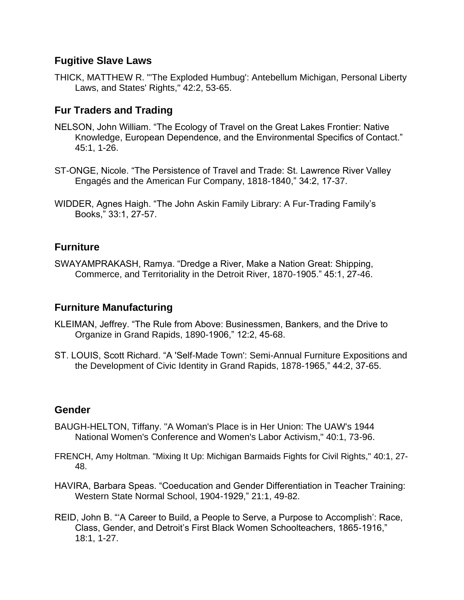### **Fugitive Slave Laws**

THICK, MATTHEW R. "'The Exploded Humbug': Antebellum Michigan, Personal Liberty Laws, and States' Rights," 42:2, 53-65.

# **Fur Traders and Trading**

- NELSON, John William. "The Ecology of Travel on the Great Lakes Frontier: Native Knowledge, European Dependence, and the Environmental Specifics of Contact." 45:1, 1-26.
- ST-ONGE, Nicole. "The Persistence of Travel and Trade: St. Lawrence River Valley Engagés and the American Fur Company, 1818-1840," 34:2, 17-37.
- WIDDER, Agnes Haigh. "The John Askin Family Library: A Fur-Trading Family's Books," 33:1, 27-57.

# **Furniture**

SWAYAMPRAKASH, Ramya. "Dredge a River, Make a Nation Great: Shipping, Commerce, and Territoriality in the Detroit River, 1870-1905." 45:1, 27-46.

# **Furniture Manufacturing**

- KLEIMAN, Jeffrey. "The Rule from Above: Businessmen, Bankers, and the Drive to Organize in Grand Rapids, 1890-1906," 12:2, 45-68.
- ST. LOUIS, Scott Richard. "A 'Self-Made Town': Semi-Annual Furniture Expositions and the Development of Civic Identity in Grand Rapids, 1878-1965," 44:2, 37-65.

# **Gender**

- BAUGH-HELTON, Tiffany. "A Woman's Place is in Her Union: The UAW's 1944 National Women's Conference and Women's Labor Activism," 40:1, 73-96.
- FRENCH, Amy Holtman. "Mixing It Up: Michigan Barmaids Fights for Civil Rights," 40:1, 27- 48.
- HAVIRA, Barbara Speas. "Coeducation and Gender Differentiation in Teacher Training: Western State Normal School, 1904-1929," 21:1, 49-82.
- REID, John B. "'A Career to Build, a People to Serve, a Purpose to Accomplish': Race, Class, Gender, and Detroit's First Black Women Schoolteachers, 1865-1916," 18:1, 1-27.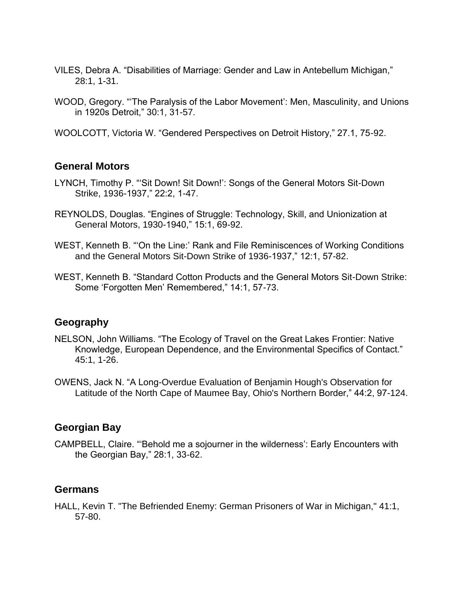- VILES, Debra A. "Disabilities of Marriage: Gender and Law in Antebellum Michigan," 28:1, 1-31.
- WOOD, Gregory. "'The Paralysis of the Labor Movement': Men, Masculinity, and Unions in 1920s Detroit," 30:1, 31-57.
- WOOLCOTT, Victoria W. "Gendered Perspectives on Detroit History," 27.1, 75-92.

#### **General Motors**

- LYNCH, Timothy P. "'Sit Down! Sit Down!': Songs of the General Motors Sit-Down Strike, 1936-1937," 22:2, 1-47.
- REYNOLDS, Douglas. "Engines of Struggle: Technology, Skill, and Unionization at General Motors, 1930-1940," 15:1, 69-92.
- WEST, Kenneth B. "'On the Line:' Rank and File Reminiscences of Working Conditions and the General Motors Sit-Down Strike of 1936-1937," 12:1, 57-82.
- WEST, Kenneth B. "Standard Cotton Products and the General Motors Sit-Down Strike: Some 'Forgotten Men' Remembered," 14:1, 57-73.

### **Geography**

- NELSON, John Williams. "The Ecology of Travel on the Great Lakes Frontier: Native Knowledge, European Dependence, and the Environmental Specifics of Contact." 45:1, 1-26.
- OWENS, Jack N. "A Long-Overdue Evaluation of Benjamin Hough's Observation for Latitude of the North Cape of Maumee Bay, Ohio's Northern Border," 44:2, 97-124.

### **Georgian Bay**

CAMPBELL, Claire. "'Behold me a sojourner in the wilderness': Early Encounters with the Georgian Bay," 28:1, 33-62.

#### **Germans**

HALL, Kevin T. "The Befriended Enemy: German Prisoners of War in Michigan," 41:1, 57-80.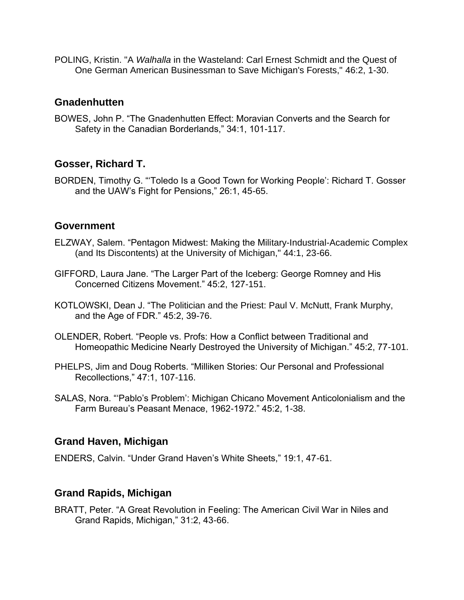POLING, Kristin. "A *Walhalla* in the Wasteland: Carl Ernest Schmidt and the Quest of One German American Businessman to Save Michigan's Forests," 46:2, 1-30.

### **Gnadenhutten**

BOWES, John P. "The Gnadenhutten Effect: Moravian Converts and the Search for Safety in the Canadian Borderlands," 34:1, 101-117.

## **Gosser, Richard T.**

BORDEN, Timothy G. "'Toledo Is a Good Town for Working People': Richard T. Gosser and the UAW's Fight for Pensions," 26:1, 45-65.

### **Government**

- ELZWAY, Salem. "Pentagon Midwest: Making the Military-Industrial-Academic Complex (and Its Discontents) at the University of Michigan," 44:1, 23-66.
- GIFFORD, Laura Jane. "The Larger Part of the Iceberg: George Romney and His Concerned Citizens Movement." 45:2, 127-151.
- KOTLOWSKI, Dean J. "The Politician and the Priest: Paul V. McNutt, Frank Murphy, and the Age of FDR." 45:2, 39-76.
- OLENDER, Robert. "People vs. Profs: How a Conflict between Traditional and Homeopathic Medicine Nearly Destroyed the University of Michigan." 45:2, 77-101.
- PHELPS, Jim and Doug Roberts. "Milliken Stories: Our Personal and Professional Recollections," 47:1, 107-116.
- SALAS, Nora. "'Pablo's Problem': Michigan Chicano Movement Anticolonialism and the Farm Bureau's Peasant Menace, 1962-1972." 45:2, 1-38.

### **Grand Haven, Michigan**

ENDERS, Calvin. "Under Grand Haven's White Sheets," 19:1, 47-61.

# **Grand Rapids, Michigan**

BRATT, Peter. "A Great Revolution in Feeling: The American Civil War in Niles and Grand Rapids, Michigan," 31:2, 43-66.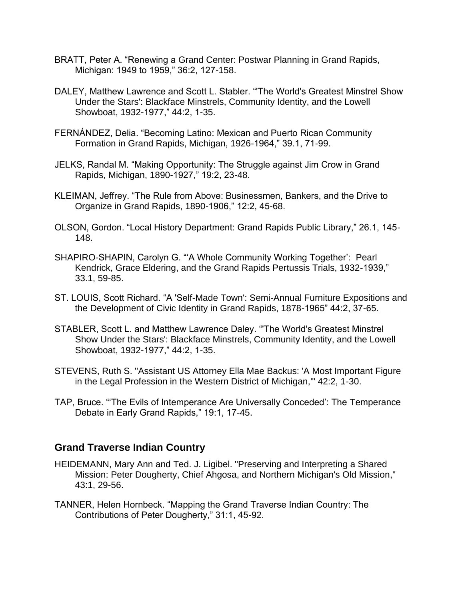- BRATT, Peter A. "Renewing a Grand Center: Postwar Planning in Grand Rapids, Michigan: 1949 to 1959," 36:2, 127-158.
- DALEY, Matthew Lawrence and Scott L. Stabler. "'The World's Greatest Minstrel Show Under the Stars': Blackface Minstrels, Community Identity, and the Lowell Showboat, 1932-1977," 44:2, 1-35.
- FERNÁNDEZ, Delia. "Becoming Latino: Mexican and Puerto Rican Community Formation in Grand Rapids, Michigan, 1926-1964," 39.1, 71-99.
- JELKS, Randal M. "Making Opportunity: The Struggle against Jim Crow in Grand Rapids, Michigan, 1890-1927," 19:2, 23-48.
- KLEIMAN, Jeffrey. "The Rule from Above: Businessmen, Bankers, and the Drive to Organize in Grand Rapids, 1890-1906," 12:2, 45-68.
- OLSON, Gordon. "Local History Department: Grand Rapids Public Library," 26.1, 145- 148.
- SHAPIRO-SHAPIN, Carolyn G. "'A Whole Community Working Together': Pearl Kendrick, Grace Eldering, and the Grand Rapids Pertussis Trials, 1932-1939," 33.1, 59-85.
- ST. LOUIS, Scott Richard. "A 'Self-Made Town': Semi-Annual Furniture Expositions and the Development of Civic Identity in Grand Rapids, 1878-1965" 44:2, 37-65.
- STABLER, Scott L. and Matthew Lawrence Daley. "'The World's Greatest Minstrel Show Under the Stars': Blackface Minstrels, Community Identity, and the Lowell Showboat, 1932-1977," 44:2, 1-35.
- STEVENS, Ruth S. "Assistant US Attorney Ella Mae Backus: 'A Most Important Figure in the Legal Profession in the Western District of Michigan,'" 42:2, 1-30.
- TAP, Bruce. "'The Evils of Intemperance Are Universally Conceded': The Temperance Debate in Early Grand Rapids," 19:1, 17-45.

### **Grand Traverse Indian Country**

- HEIDEMANN, Mary Ann and Ted. J. Ligibel. "Preserving and Interpreting a Shared Mission: Peter Dougherty, Chief Ahgosa, and Northern Michigan's Old Mission," 43:1, 29-56.
- TANNER, Helen Hornbeck. "Mapping the Grand Traverse Indian Country: The Contributions of Peter Dougherty," 31:1, 45-92.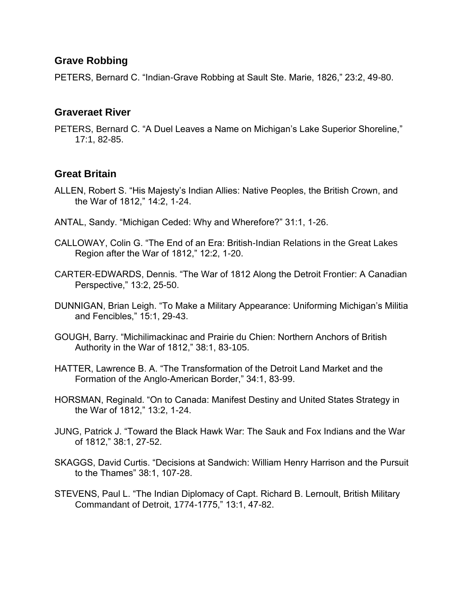## **Grave Robbing**

PETERS, Bernard C. "Indian-Grave Robbing at Sault Ste. Marie, 1826," 23:2, 49-80.

#### **Graveraet River**

PETERS, Bernard C. "A Duel Leaves a Name on Michigan's Lake Superior Shoreline," 17:1, 82-85.

# **Great Britain**

- ALLEN, Robert S. "His Majesty's Indian Allies: Native Peoples, the British Crown, and the War of 1812," 14:2, 1-24.
- ANTAL, Sandy. "Michigan Ceded: Why and Wherefore?" 31:1, 1-26.
- CALLOWAY, Colin G. "The End of an Era: British-Indian Relations in the Great Lakes Region after the War of 1812," 12:2, 1-20.
- CARTER-EDWARDS, Dennis. "The War of 1812 Along the Detroit Frontier: A Canadian Perspective," 13:2, 25-50.
- DUNNIGAN, Brian Leigh. "To Make a Military Appearance: Uniforming Michigan's Militia and Fencibles," 15:1, 29-43.
- GOUGH, Barry. "Michilimackinac and Prairie du Chien: Northern Anchors of British Authority in the War of 1812," 38:1, 83-105.
- HATTER, Lawrence B. A. "The Transformation of the Detroit Land Market and the Formation of the Anglo-American Border," 34:1, 83-99.
- HORSMAN, Reginald. "On to Canada: Manifest Destiny and United States Strategy in the War of 1812," 13:2, 1-24.
- JUNG, Patrick J. "Toward the Black Hawk War: The Sauk and Fox Indians and the War of 1812," 38:1, 27-52.
- SKAGGS, David Curtis. "Decisions at Sandwich: William Henry Harrison and the Pursuit to the Thames" 38:1, 107-28.
- STEVENS, Paul L. "The Indian Diplomacy of Capt. Richard B. Lernoult, British Military Commandant of Detroit, 1774-1775," 13:1, 47-82.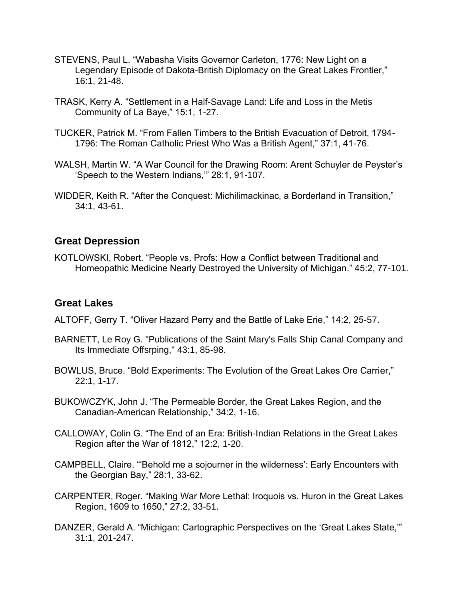- STEVENS, Paul L. "Wabasha Visits Governor Carleton, 1776: New Light on a Legendary Episode of Dakota-British Diplomacy on the Great Lakes Frontier," 16:1, 21-48.
- TRASK, Kerry A. "Settlement in a Half-Savage Land: Life and Loss in the Metis Community of La Baye," 15:1, 1-27.
- TUCKER, Patrick M. "From Fallen Timbers to the British Evacuation of Detroit, 1794- 1796: The Roman Catholic Priest Who Was a British Agent," 37:1, 41-76.
- WALSH, Martin W. "A War Council for the Drawing Room: Arent Schuyler de Peyster's 'Speech to the Western Indians,'" 28:1, 91-107.
- WIDDER, Keith R. "After the Conquest: Michilimackinac, a Borderland in Transition," 34:1, 43-61.

### **Great Depression**

KOTLOWSKI, Robert. "People vs. Profs: How a Conflict between Traditional and Homeopathic Medicine Nearly Destroyed the University of Michigan." 45:2, 77-101.

### **Great Lakes**

ALTOFF, Gerry T. "Oliver Hazard Perry and the Battle of Lake Erie," 14:2, 25-57.

- BARNETT, Le Roy G. "Publications of the Saint Mary's Falls Ship Canal Company and Its Immediate Offsrping," 43:1, 85-98.
- BOWLUS, Bruce. "Bold Experiments: The Evolution of the Great Lakes Ore Carrier," 22:1, 1-17.
- BUKOWCZYK, John J. "The Permeable Border, the Great Lakes Region, and the Canadian-American Relationship," 34:2, 1-16.
- CALLOWAY, Colin G. "The End of an Era: British-Indian Relations in the Great Lakes Region after the War of 1812," 12:2, 1-20.
- CAMPBELL, Claire. "'Behold me a sojourner in the wilderness': Early Encounters with the Georgian Bay," 28:1, 33-62.
- CARPENTER, Roger. "Making War More Lethal: Iroquois vs. Huron in the Great Lakes Region, 1609 to 1650," 27:2, 33-51.
- DANZER, Gerald A. "Michigan: Cartographic Perspectives on the 'Great Lakes State,'" 31:1, 201-247.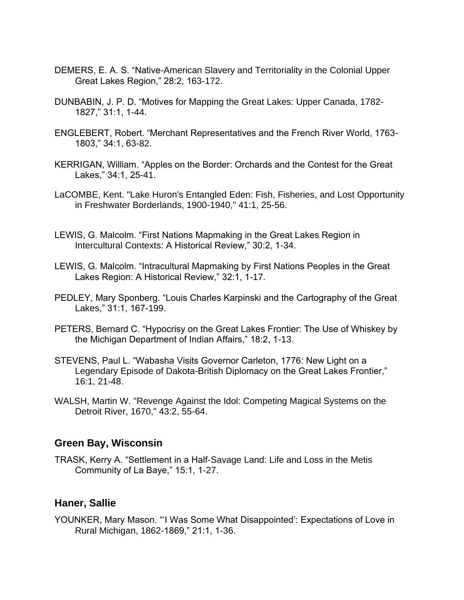- DEMERS, E. A. S. "Native-American Slavery and Territoriality in the Colonial Upper Great Lakes Region," 28:2, 163-172.
- DUNBABIN, J. P. D. "Motives for Mapping the Great Lakes: Upper Canada, 1782- 1827," 31:1, 1-44.
- ENGLEBERT, Robert. "Merchant Representatives and the French River World, 1763- 1803," 34:1, 63-82.
- KERRIGAN, William. "Apples on the Border: Orchards and the Contest for the Great Lakes," 34:1, 25-41.
- LaCOMBE, Kent. "Lake Huron's Entangled Eden: Fish, Fisheries, and Lost Opportunity in Freshwater Borderlands, 1900-1940," 41:1, 25-56.
- LEWIS, G. Malcolm. "First Nations Mapmaking in the Great Lakes Region in Intercultural Contexts: A Historical Review," 30:2, 1-34.
- LEWIS, G. Malcolm. "Intracultural Mapmaking by First Nations Peoples in the Great Lakes Region: A Historical Review," 32:1, 1-17.
- PEDLEY, Mary Sponberg. "Louis Charles Karpinski and the Cartography of the Great Lakes," 31:1, 167-199.
- PETERS, Bernard C. "Hypocrisy on the Great Lakes Frontier: The Use of Whiskey by the Michigan Department of Indian Affairs," 18:2, 1-13.
- STEVENS, Paul L. "Wabasha Visits Governor Carleton, 1776: New Light on a Legendary Episode of Dakota-British Diplomacy on the Great Lakes Frontier," 16:1, 21-48.
- WALSH, Martin W. "Revenge Against the Idol: Competing Magical Systems on the Detroit River, 1670," 43:2, 55-64.

#### **Green Bay, Wisconsin**

TRASK, Kerry A. "Settlement in a Half-Savage Land: Life and Loss in the Metis Community of La Baye," 15:1, 1-27.

### **Haner, Sallie**

YOUNKER, Mary Mason. "'I Was Some What Disappointed': Expectations of Love in Rural Michigan, 1862-1869," 21:1, 1-36.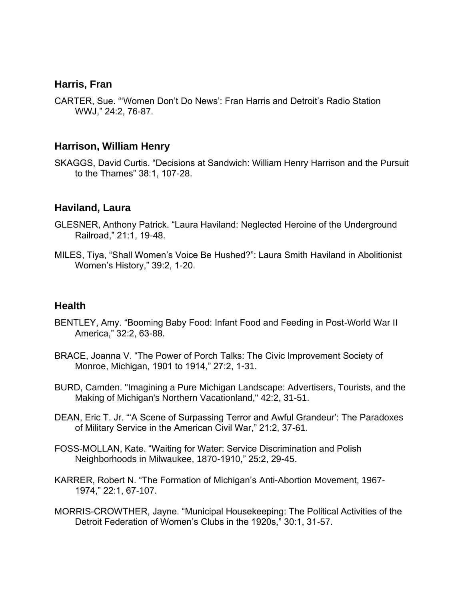### **Harris, Fran**

CARTER, Sue. "'Women Don't Do News': Fran Harris and Detroit's Radio Station WWJ," 24:2, 76-87.

#### **Harrison, William Henry**

SKAGGS, David Curtis. "Decisions at Sandwich: William Henry Harrison and the Pursuit to the Thames" 38:1, 107-28.

#### **Haviland, Laura**

- GLESNER, Anthony Patrick. "Laura Haviland: Neglected Heroine of the Underground Railroad," 21:1, 19-48.
- MILES, Tiya, "Shall Women's Voice Be Hushed?": Laura Smith Haviland in Abolitionist Women's History," 39:2, 1-20.

#### **Health**

- BENTLEY, Amy. "Booming Baby Food: Infant Food and Feeding in Post-World War II America," 32:2, 63-88.
- BRACE, Joanna V. "The Power of Porch Talks: The Civic Improvement Society of Monroe, Michigan, 1901 to 1914," 27:2, 1-31.
- BURD, Camden. "Imagining a Pure Michigan Landscape: Advertisers, Tourists, and the Making of Michigan's Northern Vacationland," 42:2, 31-51.
- DEAN, Eric T. Jr. "'A Scene of Surpassing Terror and Awful Grandeur': The Paradoxes of Military Service in the American Civil War," 21:2, 37-61.
- FOSS-MOLLAN, Kate. "Waiting for Water: Service Discrimination and Polish Neighborhoods in Milwaukee, 1870-1910," 25:2, 29-45.
- KARRER, Robert N. "The Formation of Michigan's Anti-Abortion Movement, 1967- 1974," 22:1, 67-107.
- MORRIS-CROWTHER, Jayne. "Municipal Housekeeping: The Political Activities of the Detroit Federation of Women's Clubs in the 1920s," 30:1, 31-57.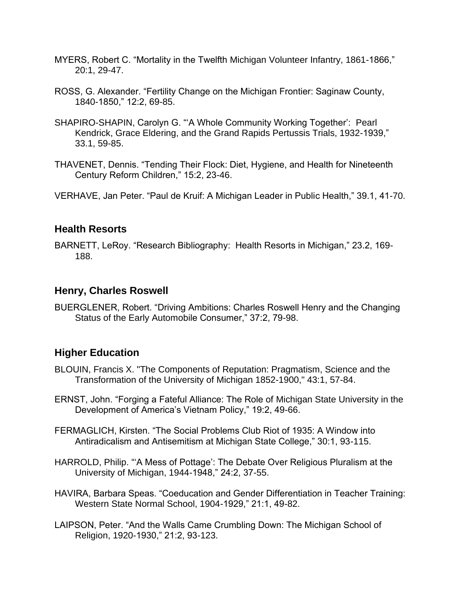- MYERS, Robert C. "Mortality in the Twelfth Michigan Volunteer Infantry, 1861-1866," 20:1, 29-47.
- ROSS, G. Alexander. "Fertility Change on the Michigan Frontier: Saginaw County, 1840-1850," 12:2, 69-85.
- SHAPIRO-SHAPIN, Carolyn G. "'A Whole Community Working Together': Pearl Kendrick, Grace Eldering, and the Grand Rapids Pertussis Trials, 1932-1939," 33.1, 59-85.
- THAVENET, Dennis. "Tending Their Flock: Diet, Hygiene, and Health for Nineteenth Century Reform Children," 15:2, 23-46.

VERHAVE, Jan Peter. "Paul de Kruif: A Michigan Leader in Public Health," 39.1, 41-70.

# **Health Resorts**

BARNETT, LeRoy. "Research Bibliography: Health Resorts in Michigan," 23.2, 169- 188.

# **Henry, Charles Roswell**

BUERGLENER, Robert. "Driving Ambitions: Charles Roswell Henry and the Changing Status of the Early Automobile Consumer," 37:2, 79-98.

# **Higher Education**

- BLOUIN, Francis X. "The Components of Reputation: Pragmatism, Science and the Transformation of the University of Michigan 1852-1900," 43:1, 57-84.
- ERNST, John. "Forging a Fateful Alliance: The Role of Michigan State University in the Development of America's Vietnam Policy," 19:2, 49-66.
- FERMAGLICH, Kirsten. "The Social Problems Club Riot of 1935: A Window into Antiradicalism and Antisemitism at Michigan State College," 30:1, 93-115.
- HARROLD, Philip. "'A Mess of Pottage': The Debate Over Religious Pluralism at the University of Michigan, 1944-1948," 24:2, 37-55.
- HAVIRA, Barbara Speas. "Coeducation and Gender Differentiation in Teacher Training: Western State Normal School, 1904-1929," 21:1, 49-82.
- LAIPSON, Peter. "And the Walls Came Crumbling Down: The Michigan School of Religion, 1920-1930," 21:2, 93-123.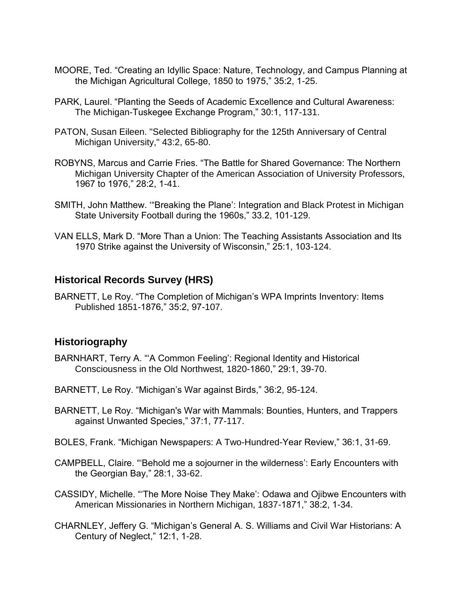- MOORE, Ted. "Creating an Idyllic Space: Nature, Technology, and Campus Planning at the Michigan Agricultural College, 1850 to 1975," 35:2, 1-25.
- PARK, Laurel. "Planting the Seeds of Academic Excellence and Cultural Awareness: The Michigan-Tuskegee Exchange Program," 30:1, 117-131.
- PATON, Susan Eileen. "Selected Bibliography for the 125th Anniversary of Central Michigan University," 43:2, 65-80.
- ROBYNS, Marcus and Carrie Fries. "The Battle for Shared Governance: The Northern Michigan University Chapter of the American Association of University Professors, 1967 to 1976," 28:2, 1-41.
- SMITH, John Matthew. '"Breaking the Plane': Integration and Black Protest in Michigan State University Football during the 1960s," 33.2, 101-129.
- VAN ELLS, Mark D. "More Than a Union: The Teaching Assistants Association and Its 1970 Strike against the University of Wisconsin," 25:1, 103-124.

### **Historical Records Survey (HRS)**

BARNETT, Le Roy. "The Completion of Michigan's WPA Imprints Inventory: Items Published 1851-1876," 35:2, 97-107.

#### **Historiography**

- BARNHART, Terry A. "'A Common Feeling': Regional Identity and Historical Consciousness in the Old Northwest, 1820-1860," 29:1, 39-70.
- BARNETT, Le Roy. "Michigan's War against Birds," 36:2, 95-124.
- BARNETT, Le Roy. "Michigan's War with Mammals: Bounties, Hunters, and Trappers against Unwanted Species," 37:1, 77-117.
- BOLES, Frank. "Michigan Newspapers: A Two-Hundred-Year Review," 36:1, 31-69.
- CAMPBELL, Claire. "'Behold me a sojourner in the wilderness': Early Encounters with the Georgian Bay," 28:1, 33-62.
- CASSIDY, Michelle. "'The More Noise They Make': Odawa and Ojibwe Encounters with American Missionaries in Northern Michigan, 1837-1871," 38:2, 1-34.
- CHARNLEY, Jeffery G. "Michigan's General A. S. Williams and Civil War Historians: A Century of Neglect," 12:1, 1-28.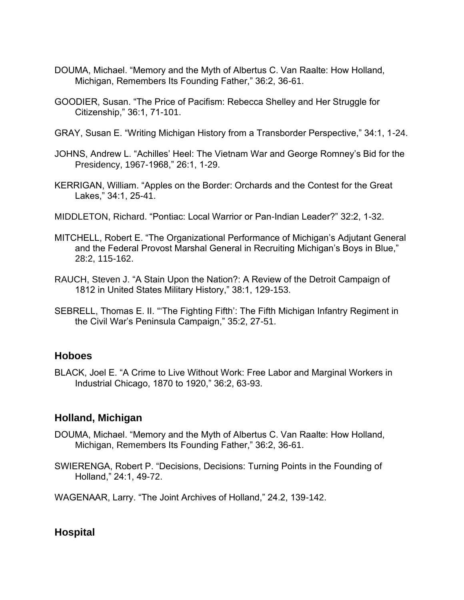- DOUMA, Michael. "Memory and the Myth of Albertus C. Van Raalte: How Holland, Michigan, Remembers Its Founding Father," 36:2, 36-61.
- GOODIER, Susan. "The Price of Pacifism: Rebecca Shelley and Her Struggle for Citizenship," 36:1, 71-101.
- GRAY, Susan E. "Writing Michigan History from a Transborder Perspective," 34:1, 1-24.
- JOHNS, Andrew L. "Achilles' Heel: The Vietnam War and George Romney's Bid for the Presidency, 1967-1968," 26:1, 1-29.
- KERRIGAN, William. "Apples on the Border: Orchards and the Contest for the Great Lakes," 34:1, 25-41.
- MIDDLETON, Richard. "Pontiac: Local Warrior or Pan-Indian Leader?" 32:2, 1-32.
- MITCHELL, Robert E. "The Organizational Performance of Michigan's Adjutant General and the Federal Provost Marshal General in Recruiting Michigan's Boys in Blue," 28:2, 115-162.
- RAUCH, Steven J. "A Stain Upon the Nation?: A Review of the Detroit Campaign of 1812 in United States Military History," 38:1, 129-153.
- SEBRELL, Thomas E. II. "'The Fighting Fifth': The Fifth Michigan Infantry Regiment in the Civil War's Peninsula Campaign," 35:2, 27-51.

### **Hoboes**

BLACK, Joel E. "A Crime to Live Without Work: Free Labor and Marginal Workers in Industrial Chicago, 1870 to 1920," 36:2, 63-93.

### **Holland, Michigan**

- DOUMA, Michael. "Memory and the Myth of Albertus C. Van Raalte: How Holland, Michigan, Remembers Its Founding Father," 36:2, 36-61.
- SWIERENGA, Robert P. "Decisions, Decisions: Turning Points in the Founding of Holland," 24:1, 49-72.

WAGENAAR, Larry. "The Joint Archives of Holland," 24.2, 139-142.

# **Hospital**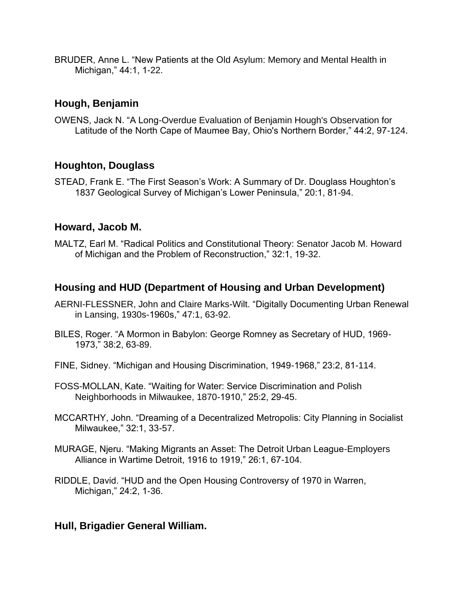BRUDER, Anne L. "New Patients at the Old Asylum: Memory and Mental Health in Michigan," 44:1, 1-22.

# **Hough, Benjamin**

OWENS, Jack N. "A Long-Overdue Evaluation of Benjamin Hough's Observation for Latitude of the North Cape of Maumee Bay, Ohio's Northern Border," 44:2, 97-124.

# **Houghton, Douglass**

STEAD, Frank E. "The First Season's Work: A Summary of Dr. Douglass Houghton's 1837 Geological Survey of Michigan's Lower Peninsula," 20:1, 81-94.

### **Howard, Jacob M.**

MALTZ, Earl M. "Radical Politics and Constitutional Theory: Senator Jacob M. Howard of Michigan and the Problem of Reconstruction," 32:1, 19-32.

## **Housing and HUD (Department of Housing and Urban Development)**

- AERNI-FLESSNER, John and Claire Marks-Wilt. "Digitally Documenting Urban Renewal in Lansing, 1930s-1960s," 47:1, 63-92.
- BILES, Roger. "A Mormon in Babylon: George Romney as Secretary of HUD, 1969- 1973," 38:2, 63-89.
- FINE, Sidney. "Michigan and Housing Discrimination, 1949-1968," 23:2, 81-114.
- FOSS-MOLLAN, Kate. "Waiting for Water: Service Discrimination and Polish Neighborhoods in Milwaukee, 1870-1910," 25:2, 29-45.
- MCCARTHY, John. "Dreaming of a Decentralized Metropolis: City Planning in Socialist Milwaukee," 32:1, 33-57.
- MURAGE, Njeru. "Making Migrants an Asset: The Detroit Urban League-Employers Alliance in Wartime Detroit, 1916 to 1919," 26:1, 67-104.
- RIDDLE, David. "HUD and the Open Housing Controversy of 1970 in Warren, Michigan," 24:2, 1-36.

### **Hull, Brigadier General William.**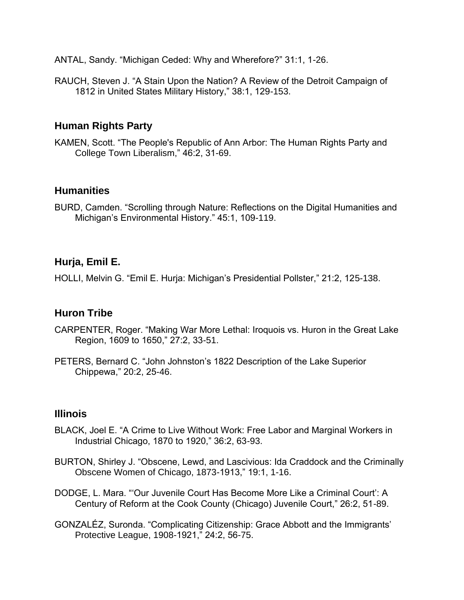ANTAL, Sandy. "Michigan Ceded: Why and Wherefore?" 31:1, 1-26.

RAUCH, Steven J. "A Stain Upon the Nation? A Review of the Detroit Campaign of 1812 in United States Military History," 38:1, 129-153.

# **Human Rights Party**

KAMEN, Scott. "The People's Republic of Ann Arbor: The Human Rights Party and College Town Liberalism," 46:2, 31-69.

### **Humanities**

BURD, Camden. "Scrolling through Nature: Reflections on the Digital Humanities and Michigan's Environmental History." 45:1, 109-119.

## **Hurja, Emil E.**

HOLLI, Melvin G. "Emil E. Hurja: Michigan's Presidential Pollster," 21:2, 125-138.

#### **Huron Tribe**

- CARPENTER, Roger. "Making War More Lethal: Iroquois vs. Huron in the Great Lake Region, 1609 to 1650," 27:2, 33-51.
- PETERS, Bernard C. "John Johnston's 1822 Description of the Lake Superior Chippewa," 20:2, 25-46.

#### **Illinois**

- BLACK, Joel E. "A Crime to Live Without Work: Free Labor and Marginal Workers in Industrial Chicago, 1870 to 1920," 36:2, 63-93.
- BURTON, Shirley J. "Obscene, Lewd, and Lascivious: Ida Craddock and the Criminally Obscene Women of Chicago, 1873-1913," 19:1, 1-16.
- DODGE, L. Mara. "'Our Juvenile Court Has Become More Like a Criminal Court': A Century of Reform at the Cook County (Chicago) Juvenile Court," 26:2, 51-89.
- GONZALÉZ, Suronda. "Complicating Citizenship: Grace Abbott and the Immigrants' Protective League, 1908-1921," 24:2, 56-75.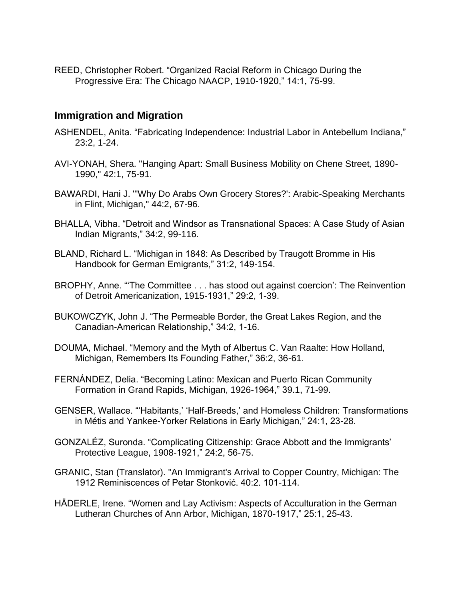REED, Christopher Robert. "Organized Racial Reform in Chicago During the Progressive Era: The Chicago NAACP, 1910-1920," 14:1, 75-99.

### **Immigration and Migration**

- ASHENDEL, Anita. "Fabricating Independence: Industrial Labor in Antebellum Indiana," 23:2, 1-24.
- AVI-YONAH, Shera. "Hanging Apart: Small Business Mobility on Chene Street, 1890- 1990," 42:1, 75-91.
- BAWARDI, Hani J. "'Why Do Arabs Own Grocery Stores?': Arabic-Speaking Merchants in Flint, Michigan," 44:2, 67-96.
- BHALLA, Vibha. "Detroit and Windsor as Transnational Spaces: A Case Study of Asian Indian Migrants," 34:2, 99-116.
- BLAND, Richard L. "Michigan in 1848: As Described by Traugott Bromme in His Handbook for German Emigrants," 31:2, 149-154.
- BROPHY, Anne. "'The Committee . . . has stood out against coercion': The Reinvention of Detroit Americanization, 1915-1931," 29:2, 1-39.
- BUKOWCZYK, John J. "The Permeable Border, the Great Lakes Region, and the Canadian-American Relationship," 34:2, 1-16.
- DOUMA, Michael. "Memory and the Myth of Albertus C. Van Raalte: How Holland, Michigan, Remembers Its Founding Father," 36:2, 36-61.
- FERNÁNDEZ, Delia. "Becoming Latino: Mexican and Puerto Rican Community Formation in Grand Rapids, Michigan, 1926-1964," 39.1, 71-99.
- GENSER, Wallace. "'Habitants,' 'Half-Breeds,' and Homeless Children: Transformations in Métis and Yankee-Yorker Relations in Early Michigan," 24:1, 23-28.
- GONZALÉZ, Suronda. "Complicating Citizenship: Grace Abbott and the Immigrants' Protective League, 1908-1921," 24:2, 56-75.
- GRANIC, Stan (Translator). "An Immigrant's Arrival to Copper Country, Michigan: The 1912 Reminiscences of Petar Stonković. 40:2. 101-114.
- HÄDERLE, Irene. "Women and Lay Activism: Aspects of Acculturation in the German Lutheran Churches of Ann Arbor, Michigan, 1870-1917," 25:1, 25-43.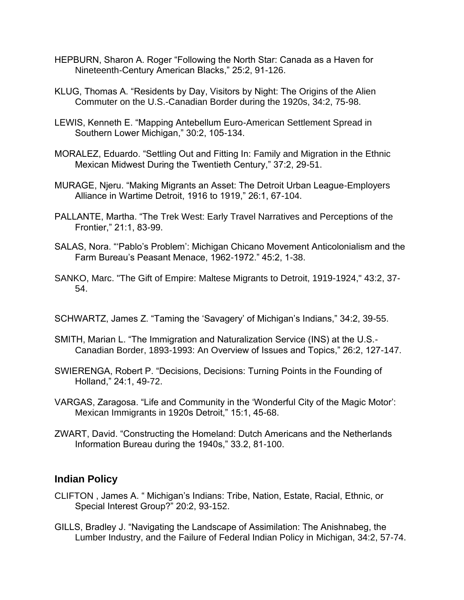- HEPBURN, Sharon A. Roger "Following the North Star: Canada as a Haven for Nineteenth-Century American Blacks," 25:2, 91-126.
- KLUG, Thomas A. "Residents by Day, Visitors by Night: The Origins of the Alien Commuter on the U.S.-Canadian Border during the 1920s, 34:2, 75-98.
- LEWIS, Kenneth E. "Mapping Antebellum Euro-American Settlement Spread in Southern Lower Michigan," 30:2, 105-134.
- MORALEZ, Eduardo. "Settling Out and Fitting In: Family and Migration in the Ethnic Mexican Midwest During the Twentieth Century," 37:2, 29-51.
- MURAGE, Njeru. "Making Migrants an Asset: The Detroit Urban League-Employers Alliance in Wartime Detroit, 1916 to 1919," 26:1, 67-104.
- PALLANTE, Martha. "The Trek West: Early Travel Narratives and Perceptions of the Frontier," 21:1, 83-99.
- SALAS, Nora. "'Pablo's Problem': Michigan Chicano Movement Anticolonialism and the Farm Bureau's Peasant Menace, 1962-1972." 45:2, 1-38.
- SANKO, Marc. "The Gift of Empire: Maltese Migrants to Detroit, 1919-1924," 43:2, 37- 54.
- SCHWARTZ, James Z. "Taming the 'Savagery' of Michigan's Indians," 34:2, 39-55.
- SMITH, Marian L. "The Immigration and Naturalization Service (INS) at the U.S.- Canadian Border, 1893-1993: An Overview of Issues and Topics," 26:2, 127-147.
- SWIERENGA, Robert P. "Decisions, Decisions: Turning Points in the Founding of Holland," 24:1, 49-72.
- VARGAS, Zaragosa. "Life and Community in the 'Wonderful City of the Magic Motor': Mexican Immigrants in 1920s Detroit," 15:1, 45-68.
- ZWART, David. "Constructing the Homeland: Dutch Americans and the Netherlands Information Bureau during the 1940s," 33.2, 81-100.

### **Indian Policy**

- CLIFTON , James A. " Michigan's Indians: Tribe, Nation, Estate, Racial, Ethnic, or Special Interest Group?" 20:2, 93-152.
- GILLS, Bradley J. "Navigating the Landscape of Assimilation: The Anishnabeg, the Lumber Industry, and the Failure of Federal Indian Policy in Michigan, 34:2, 57-74.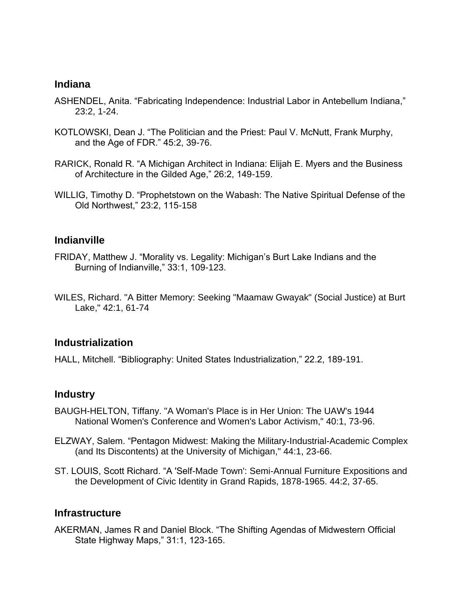#### **Indiana**

- ASHENDEL, Anita. "Fabricating Independence: Industrial Labor in Antebellum Indiana," 23:2, 1-24.
- KOTLOWSKI, Dean J. "The Politician and the Priest: Paul V. McNutt, Frank Murphy, and the Age of FDR." 45:2, 39-76.
- RARICK, Ronald R. "A Michigan Architect in Indiana: Elijah E. Myers and the Business of Architecture in the Gilded Age," 26:2, 149-159.
- WILLIG, Timothy D. "Prophetstown on the Wabash: The Native Spiritual Defense of the Old Northwest," 23:2, 115-158

#### **Indianville**

- FRIDAY, Matthew J. "Morality vs. Legality: Michigan's Burt Lake Indians and the Burning of Indianville," 33:1, 109-123.
- WILES, Richard. "A Bitter Memory: Seeking "Maamaw Gwayak" (Social Justice) at Burt Lake," 42:1, 61-74

#### **Industrialization**

HALL, Mitchell. "Bibliography: United States Industrialization," 22.2, 189-191.

#### **Industry**

- BAUGH-HELTON, Tiffany. "A Woman's Place is in Her Union: The UAW's 1944 National Women's Conference and Women's Labor Activism," 40:1, 73-96.
- ELZWAY, Salem. "Pentagon Midwest: Making the Military-Industrial-Academic Complex (and Its Discontents) at the University of Michigan," 44:1, 23-66.
- ST. LOUIS, Scott Richard. "A 'Self-Made Town': Semi-Annual Furniture Expositions and the Development of Civic Identity in Grand Rapids, 1878-1965. 44:2, 37-65.

#### **Infrastructure**

AKERMAN, James R and Daniel Block. "The Shifting Agendas of Midwestern Official State Highway Maps," 31:1, 123-165.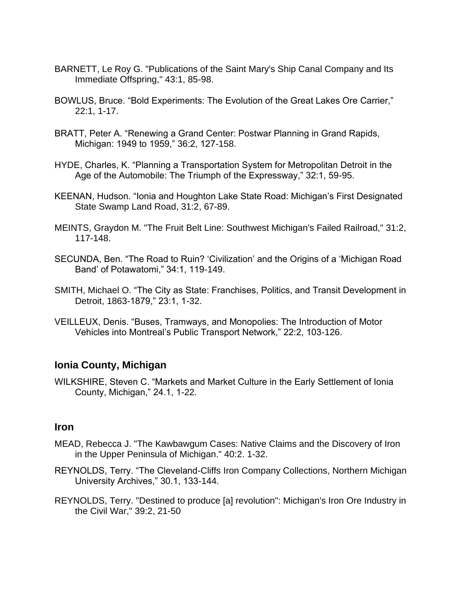- BARNETT, Le Roy G. "Publications of the Saint Mary's Ship Canal Company and Its Immediate Offspring," 43:1, 85-98.
- BOWLUS, Bruce. "Bold Experiments: The Evolution of the Great Lakes Ore Carrier," 22:1, 1-17.
- BRATT, Peter A. "Renewing a Grand Center: Postwar Planning in Grand Rapids, Michigan: 1949 to 1959," 36:2, 127-158.
- HYDE, Charles, K. "Planning a Transportation System for Metropolitan Detroit in the Age of the Automobile: The Triumph of the Expressway," 32:1, 59-95.
- KEENAN, Hudson. "Ionia and Houghton Lake State Road: Michigan's First Designated State Swamp Land Road, 31:2, 67-89.
- MEINTS, Graydon M. "The Fruit Belt Line: Southwest Michigan's Failed Railroad," 31:2, 117-148.
- SECUNDA, Ben. "The Road to Ruin? 'Civilization' and the Origins of a 'Michigan Road Band' of Potawatomi," 34:1, 119-149.
- SMITH, Michael O. "The City as State: Franchises, Politics, and Transit Development in Detroit, 1863-1879," 23:1, 1-32.
- VEILLEUX, Denis. "Buses, Tramways, and Monopolies: The Introduction of Motor Vehicles into Montreal's Public Transport Network," 22:2, 103-126.

### **Ionia County, Michigan**

WILKSHIRE, Steven C. "Markets and Market Culture in the Early Settlement of Ionia County, Michigan," 24.1, 1-22.

#### **Iron**

- MEAD, Rebecca J. "The Kawbawgum Cases: Native Claims and the Discovery of Iron in the Upper Peninsula of Michigan." 40:2. 1-32.
- REYNOLDS, Terry. "The Cleveland-Cliffs Iron Company Collections, Northern Michigan University Archives," 30.1, 133-144.
- REYNOLDS, Terry. "Destined to produce [a] revolution": Michigan's Iron Ore Industry in the Civil War," 39:2, 21-50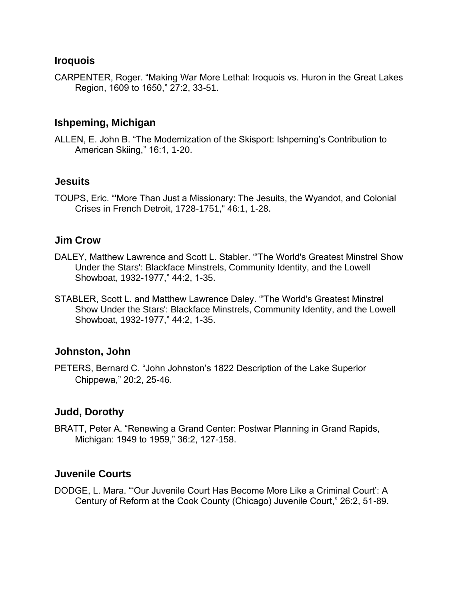#### **Iroquois**

CARPENTER, Roger. "Making War More Lethal: Iroquois vs. Huron in the Great Lakes Region, 1609 to 1650," 27:2, 33-51.

## **Ishpeming, Michigan**

ALLEN, E. John B. "The Modernization of the Skisport: Ishpeming's Contribution to American Skiing," 16:1, 1-20.

#### **Jesuits**

TOUPS, Eric. "'More Than Just a Missionary: The Jesuits, the Wyandot, and Colonial Crises in French Detroit, 1728-1751," 46:1, 1-28.

## **Jim Crow**

- DALEY, Matthew Lawrence and Scott L. Stabler. "'The World's Greatest Minstrel Show Under the Stars': Blackface Minstrels, Community Identity, and the Lowell Showboat, 1932-1977," 44:2, 1-35.
- STABLER, Scott L. and Matthew Lawrence Daley. "'The World's Greatest Minstrel Show Under the Stars': Blackface Minstrels, Community Identity, and the Lowell Showboat, 1932-1977," 44:2, 1-35.

#### **Johnston, John**

PETERS, Bernard C. "John Johnston's 1822 Description of the Lake Superior Chippewa," 20:2, 25-46.

## **Judd, Dorothy**

BRATT, Peter A. "Renewing a Grand Center: Postwar Planning in Grand Rapids, Michigan: 1949 to 1959," 36:2, 127-158.

## **Juvenile Courts**

DODGE, L. Mara. "'Our Juvenile Court Has Become More Like a Criminal Court': A Century of Reform at the Cook County (Chicago) Juvenile Court," 26:2, 51-89.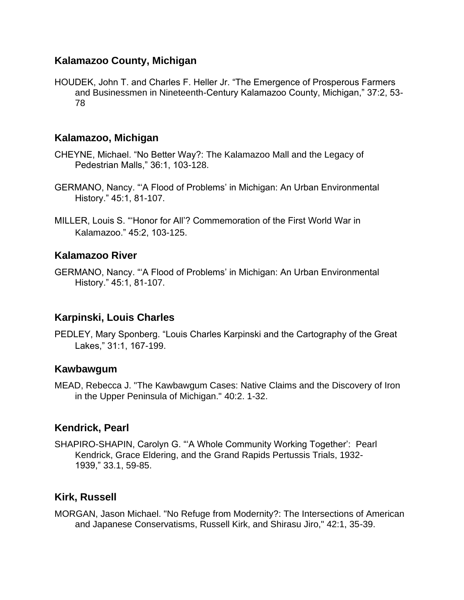## **Kalamazoo County, Michigan**

HOUDEK, John T. and Charles F. Heller Jr. "The Emergence of Prosperous Farmers and Businessmen in Nineteenth-Century Kalamazoo County, Michigan," 37:2, 53- 78

#### **Kalamazoo, Michigan**

- CHEYNE, Michael. "No Better Way?: The Kalamazoo Mall and the Legacy of Pedestrian Malls," 36:1, 103-128.
- GERMANO, Nancy. "'A Flood of Problems' in Michigan: An Urban Environmental History." 45:1, 81-107.
- MILLER, Louis S. "'Honor for All'? Commemoration of the First World War in Kalamazoo." 45:2, 103-125.

#### **Kalamazoo River**

GERMANO, Nancy. "'A Flood of Problems' in Michigan: An Urban Environmental History." 45:1, 81-107.

#### **Karpinski, Louis Charles**

PEDLEY, Mary Sponberg. "Louis Charles Karpinski and the Cartography of the Great Lakes," 31:1, 167-199.

#### **Kawbawgum**

MEAD, Rebecca J. "The Kawbawgum Cases: Native Claims and the Discovery of Iron in the Upper Peninsula of Michigan." 40:2. 1-32.

#### **Kendrick, Pearl**

SHAPIRO-SHAPIN, Carolyn G. "'A Whole Community Working Together': Pearl Kendrick, Grace Eldering, and the Grand Rapids Pertussis Trials, 1932- 1939," 33.1, 59-85.

## **Kirk, Russell**

MORGAN, Jason Michael. "No Refuge from Modernity?: The Intersections of American and Japanese Conservatisms, Russell Kirk, and Shirasu Jiro," 42:1, 35-39.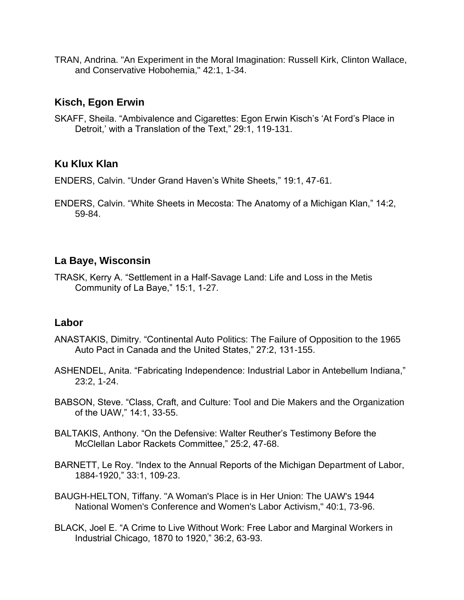TRAN, Andrina. "An Experiment in the Moral Imagination: Russell Kirk, Clinton Wallace, and Conservative Hobohemia," 42:1, 1-34.

#### **Kisch, Egon Erwin**

SKAFF, Sheila. "Ambivalence and Cigarettes: Egon Erwin Kisch's 'At Ford's Place in Detroit,' with a Translation of the Text," 29:1, 119-131.

# **Ku Klux Klan**

ENDERS, Calvin. "Under Grand Haven's White Sheets," 19:1, 47-61.

ENDERS, Calvin. "White Sheets in Mecosta: The Anatomy of a Michigan Klan," 14:2, 59-84.

## **La Baye, Wisconsin**

TRASK, Kerry A. "Settlement in a Half-Savage Land: Life and Loss in the Metis Community of La Baye," 15:1, 1-27.

## **Labor**

- ANASTAKIS, Dimitry. "Continental Auto Politics: The Failure of Opposition to the 1965 Auto Pact in Canada and the United States," 27:2, 131-155.
- ASHENDEL, Anita. "Fabricating Independence: Industrial Labor in Antebellum Indiana," 23:2, 1-24.
- BABSON, Steve. "Class, Craft, and Culture: Tool and Die Makers and the Organization of the UAW," 14:1, 33-55.
- BALTAKIS, Anthony. "On the Defensive: Walter Reuther's Testimony Before the McClellan Labor Rackets Committee," 25:2, 47-68.
- BARNETT, Le Roy. "Index to the Annual Reports of the Michigan Department of Labor, 1884-1920," 33:1, 109-23.
- BAUGH-HELTON, Tiffany. "A Woman's Place is in Her Union: The UAW's 1944 National Women's Conference and Women's Labor Activism," 40:1, 73-96.
- BLACK, Joel E. "A Crime to Live Without Work: Free Labor and Marginal Workers in Industrial Chicago, 1870 to 1920," 36:2, 63-93.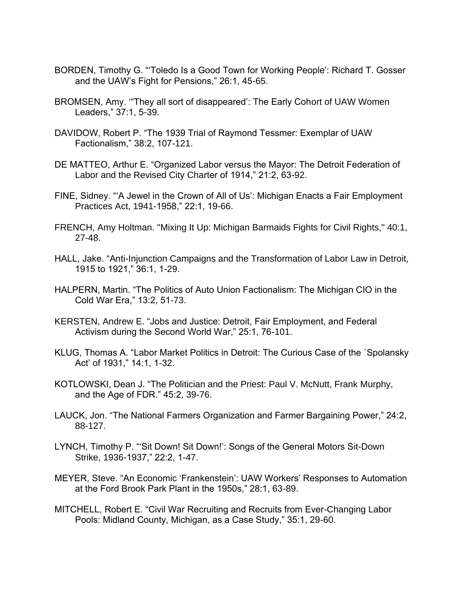- BORDEN, Timothy G. "'Toledo Is a Good Town for Working People': Richard T. Gosser and the UAW's Fight for Pensions," 26:1, 45-65.
- BROMSEN, Amy. '"They all sort of disappeared': The Early Cohort of UAW Women Leaders," 37:1, 5-39.
- DAVIDOW, Robert P. "The 1939 Trial of Raymond Tessmer: Exemplar of UAW Factionalism," 38:2, 107-121.
- DE MATTEO, Arthur E. "Organized Labor versus the Mayor: The Detroit Federation of Labor and the Revised City Charter of 1914," 21:2, 63-92.
- FINE, Sidney. "'A Jewel in the Crown of All of Us': Michigan Enacts a Fair Employment Practices Act, 1941-1958," 22:1, 19-66.
- FRENCH, Amy Holtman. "Mixing It Up: Michigan Barmaids Fights for Civil Rights," 40:1, 27-48.
- HALL, Jake. "Anti-Injunction Campaigns and the Transformation of Labor Law in Detroit, 1915 to 1921," 36:1, 1-29.
- HALPERN, Martin. "The Politics of Auto Union Factionalism: The Michigan CIO in the Cold War Era," 13:2, 51-73.
- KERSTEN, Andrew E. "Jobs and Justice: Detroit, Fair Employment, and Federal Activism during the Second World War," 25:1, 76-101.
- KLUG, Thomas A. "Labor Market Politics in Detroit: The Curious Case of the `Spolansky Act' of 1931," 14:1, 1-32.
- KOTLOWSKI, Dean J. "The Politician and the Priest: Paul V. McNutt, Frank Murphy, and the Age of FDR." 45:2, 39-76.
- LAUCK, Jon. "The National Farmers Organization and Farmer Bargaining Power," 24:2, 88-127.
- LYNCH, Timothy P. "'Sit Down! Sit Down!': Songs of the General Motors Sit-Down Strike, 1936-1937," 22:2, 1-47.
- MEYER, Steve. "An Economic 'Frankenstein': UAW Workers' Responses to Automation at the Ford Brook Park Plant in the 1950s," 28:1, 63-89.
- MITCHELL, Robert E. "Civil War Recruiting and Recruits from Ever-Changing Labor Pools: Midland County, Michigan, as a Case Study," 35:1, 29-60.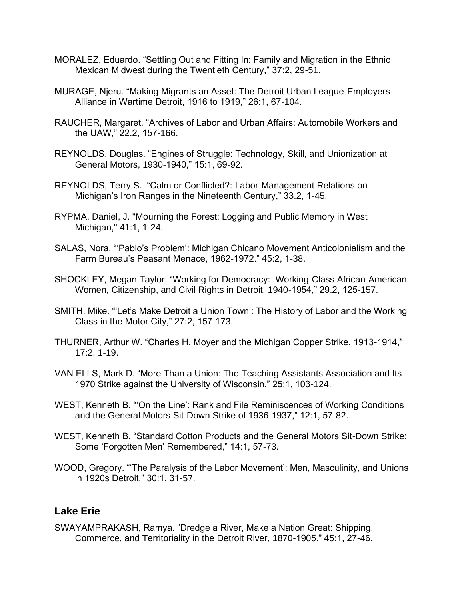- MORALEZ, Eduardo. "Settling Out and Fitting In: Family and Migration in the Ethnic Mexican Midwest during the Twentieth Century," 37:2, 29-51.
- MURAGE, Njeru. "Making Migrants an Asset: The Detroit Urban League-Employers Alliance in Wartime Detroit, 1916 to 1919," 26:1, 67-104.
- RAUCHER, Margaret. "Archives of Labor and Urban Affairs: Automobile Workers and the UAW," 22.2, 157-166.
- REYNOLDS, Douglas. "Engines of Struggle: Technology, Skill, and Unionization at General Motors, 1930-1940," 15:1, 69-92.
- REYNOLDS, Terry S. "Calm or Conflicted?: Labor-Management Relations on Michigan's Iron Ranges in the Nineteenth Century," 33.2, 1-45.
- RYPMA, Daniel, J. "Mourning the Forest: Logging and Public Memory in West Michigan," 41:1, 1-24.
- SALAS, Nora. "'Pablo's Problem': Michigan Chicano Movement Anticolonialism and the Farm Bureau's Peasant Menace, 1962-1972." 45:2, 1-38.
- SHOCKLEY, Megan Taylor. "Working for Democracy: Working-Class African-American Women, Citizenship, and Civil Rights in Detroit, 1940-1954," 29.2, 125-157.
- SMITH, Mike. "'Let's Make Detroit a Union Town': The History of Labor and the Working Class in the Motor City," 27:2, 157-173.
- THURNER, Arthur W. "Charles H. Moyer and the Michigan Copper Strike, 1913-1914," 17:2, 1-19.
- VAN ELLS, Mark D. "More Than a Union: The Teaching Assistants Association and Its 1970 Strike against the University of Wisconsin," 25:1, 103-124.
- WEST, Kenneth B. "'On the Line': Rank and File Reminiscences of Working Conditions and the General Motors Sit-Down Strike of 1936-1937," 12:1, 57-82.
- WEST, Kenneth B. "Standard Cotton Products and the General Motors Sit-Down Strike: Some 'Forgotten Men' Remembered," 14:1, 57-73.
- WOOD, Gregory. "'The Paralysis of the Labor Movement': Men, Masculinity, and Unions in 1920s Detroit," 30:1, 31-57.

#### **Lake Erie**

SWAYAMPRAKASH, Ramya. "Dredge a River, Make a Nation Great: Shipping, Commerce, and Territoriality in the Detroit River, 1870-1905." 45:1, 27-46.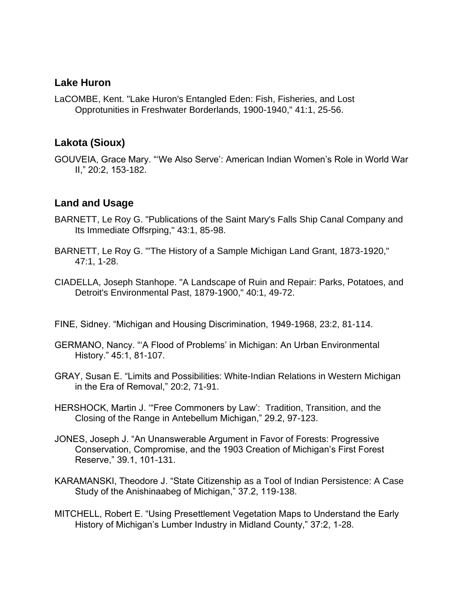#### **Lake Huron**

LaCOMBE, Kent. "Lake Huron's Entangled Eden: Fish, Fisheries, and Lost Opprotunities in Freshwater Borderlands, 1900-1940," 41:1, 25-56.

## **Lakota (Sioux)**

GOUVEIA, Grace Mary. "'We Also Serve': American Indian Women's Role in World War II," 20:2, 153-182.

# **Land and Usage**

- BARNETT, Le Roy G. "Publications of the Saint Mary's Falls Ship Canal Company and Its Immediate Offsrping," 43:1, 85-98.
- BARNETT, Le Roy G. "'The History of a Sample Michigan Land Grant, 1873-1920," 47:1, 1-28.
- CIADELLA, Joseph Stanhope. "A Landscape of Ruin and Repair: Parks, Potatoes, and Detroit's Environmental Past, 1879-1900," 40:1, 49-72.
- FINE, Sidney. "Michigan and Housing Discrimination, 1949-1968, 23:2, 81-114.
- GERMANO, Nancy. "'A Flood of Problems' in Michigan: An Urban Environmental History." 45:1, 81-107.
- GRAY, Susan E. "Limits and Possibilities: White-Indian Relations in Western Michigan in the Era of Removal," 20:2, 71-91.
- HERSHOCK, Martin J. '"Free Commoners by Law': Tradition, Transition, and the Closing of the Range in Antebellum Michigan," 29.2, 97-123.
- JONES, Joseph J. "An Unanswerable Argument in Favor of Forests: Progressive Conservation, Compromise, and the 1903 Creation of Michigan's First Forest Reserve," 39.1, 101-131.
- KARAMANSKI, Theodore J. "State Citizenship as a Tool of Indian Persistence: A Case Study of the Anishinaabeg of Michigan," 37.2, 119-138.
- MITCHELL, Robert E. "Using Presettlement Vegetation Maps to Understand the Early History of Michigan's Lumber Industry in Midland County," 37:2, 1-28.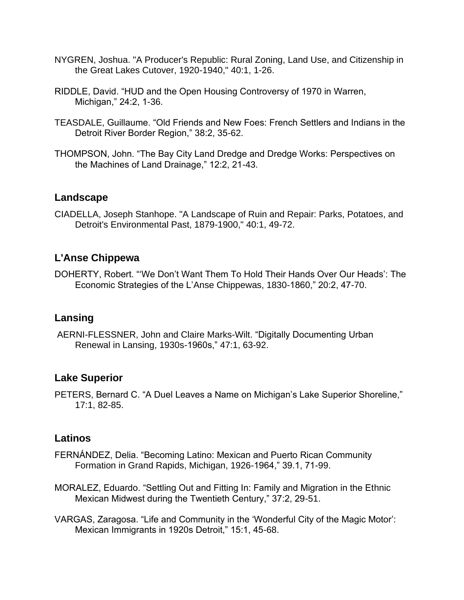- NYGREN, Joshua. "A Producer's Republic: Rural Zoning, Land Use, and Citizenship in the Great Lakes Cutover, 1920-1940," 40:1, 1-26.
- RIDDLE, David. "HUD and the Open Housing Controversy of 1970 in Warren, Michigan," 24:2, 1-36.
- TEASDALE, Guillaume. "Old Friends and New Foes: French Settlers and Indians in the Detroit River Border Region," 38:2, 35-62.
- THOMPSON, John. "The Bay City Land Dredge and Dredge Works: Perspectives on the Machines of Land Drainage," 12:2, 21-43.

#### **Landscape**

CIADELLA, Joseph Stanhope. "A Landscape of Ruin and Repair: Parks, Potatoes, and Detroit's Environmental Past, 1879-1900," 40:1, 49-72.

# **L'Anse Chippewa**

DOHERTY, Robert. "'We Don't Want Them To Hold Their Hands Over Our Heads': The Economic Strategies of the L'Anse Chippewas, 1830-1860," 20:2, 47-70.

## **Lansing**

AERNI-FLESSNER, John and Claire Marks-Wilt. "Digitally Documenting Urban Renewal in Lansing, 1930s-1960s," 47:1, 63-92.

## **Lake Superior**

PETERS, Bernard C. "A Duel Leaves a Name on Michigan's Lake Superior Shoreline," 17:1, 82-85.

## **Latinos**

- FERNÁNDEZ, Delia. "Becoming Latino: Mexican and Puerto Rican Community Formation in Grand Rapids, Michigan, 1926-1964," 39.1, 71-99.
- MORALEZ, Eduardo. "Settling Out and Fitting In: Family and Migration in the Ethnic Mexican Midwest during the Twentieth Century," 37:2, 29-51.
- VARGAS, Zaragosa. "Life and Community in the 'Wonderful City of the Magic Motor': Mexican Immigrants in 1920s Detroit," 15:1, 45-68.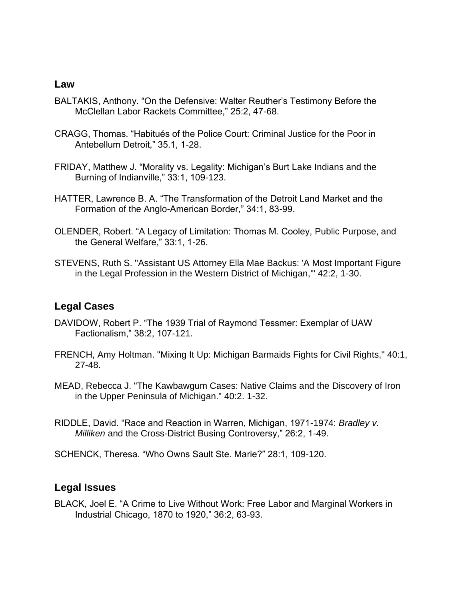#### **Law**

- BALTAKIS, Anthony. "On the Defensive: Walter Reuther's Testimony Before the McClellan Labor Rackets Committee," 25:2, 47-68.
- CRAGG, Thomas. "Habitués of the Police Court: Criminal Justice for the Poor in Antebellum Detroit," 35.1, 1-28.
- FRIDAY, Matthew J. "Morality vs. Legality: Michigan's Burt Lake Indians and the Burning of Indianville," 33:1, 109-123.
- HATTER, Lawrence B. A. "The Transformation of the Detroit Land Market and the Formation of the Anglo-American Border," 34:1, 83-99.
- OLENDER, Robert. "A Legacy of Limitation: Thomas M. Cooley, Public Purpose, and the General Welfare," 33:1, 1-26.
- STEVENS, Ruth S. "Assistant US Attorney Ella Mae Backus: 'A Most Important Figure in the Legal Profession in the Western District of Michigan,'" 42:2, 1-30.

#### **Legal Cases**

- DAVIDOW, Robert P. "The 1939 Trial of Raymond Tessmer: Exemplar of UAW Factionalism," 38:2, 107-121.
- FRENCH, Amy Holtman. "Mixing It Up: Michigan Barmaids Fights for Civil Rights," 40:1, 27-48.
- MEAD, Rebecca J. "The Kawbawgum Cases: Native Claims and the Discovery of Iron in the Upper Peninsula of Michigan." 40:2. 1-32.
- RIDDLE, David. "Race and Reaction in Warren, Michigan, 1971-1974: *Bradley v. Milliken* and the Cross-District Busing Controversy," 26:2, 1-49.
- SCHENCK, Theresa. "Who Owns Sault Ste. Marie?" 28:1, 109-120.

#### **Legal Issues**

BLACK, Joel E. "A Crime to Live Without Work: Free Labor and Marginal Workers in Industrial Chicago, 1870 to 1920," 36:2, 63-93.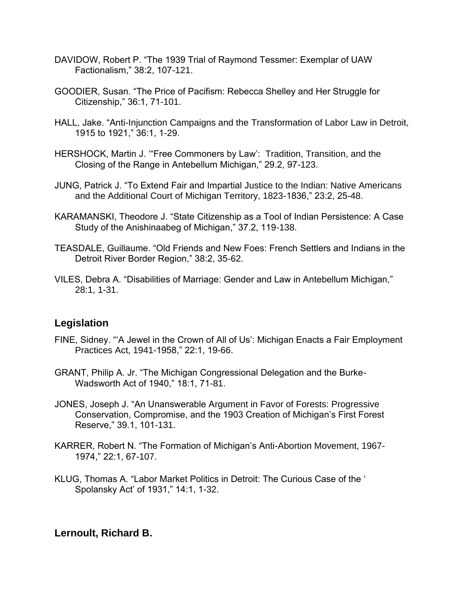- DAVIDOW, Robert P. "The 1939 Trial of Raymond Tessmer: Exemplar of UAW Factionalism," 38:2, 107-121.
- GOODIER, Susan. "The Price of Pacifism: Rebecca Shelley and Her Struggle for Citizenship," 36:1, 71-101.
- HALL, Jake. "Anti-Injunction Campaigns and the Transformation of Labor Law in Detroit, 1915 to 1921," 36:1, 1-29.
- HERSHOCK, Martin J. '"Free Commoners by Law': Tradition, Transition, and the Closing of the Range in Antebellum Michigan," 29.2, 97-123.
- JUNG, Patrick J. "To Extend Fair and Impartial Justice to the Indian: Native Americans and the Additional Court of Michigan Territory, 1823-1836," 23:2, 25-48.
- KARAMANSKI, Theodore J. "State Citizenship as a Tool of Indian Persistence: A Case Study of the Anishinaabeg of Michigan," 37.2, 119-138.
- TEASDALE, Guillaume. "Old Friends and New Foes: French Settlers and Indians in the Detroit River Border Region," 38:2, 35-62.
- VILES, Debra A. "Disabilities of Marriage: Gender and Law in Antebellum Michigan," 28:1, 1-31.

## **Legislation**

- FINE, Sidney. "'A Jewel in the Crown of All of Us': Michigan Enacts a Fair Employment Practices Act, 1941-1958," 22:1, 19-66.
- GRANT, Philip A. Jr. "The Michigan Congressional Delegation and the Burke-Wadsworth Act of 1940," 18:1, 71-81.
- JONES, Joseph J. "An Unanswerable Argument in Favor of Forests: Progressive Conservation, Compromise, and the 1903 Creation of Michigan's First Forest Reserve," 39.1, 101-131.
- KARRER, Robert N. "The Formation of Michigan's Anti-Abortion Movement, 1967- 1974," 22:1, 67-107.
- KLUG, Thomas A. "Labor Market Politics in Detroit: The Curious Case of the ' Spolansky Act' of 1931," 14:1, 1-32.

## **Lernoult, Richard B.**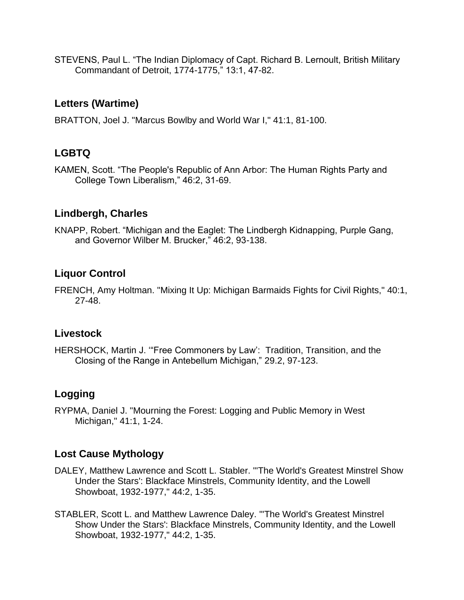STEVENS, Paul L. "The Indian Diplomacy of Capt. Richard B. Lernoult, British Military Commandant of Detroit, 1774-1775," 13:1, 47-82.

# **Letters (Wartime)**

BRATTON, Joel J. "Marcus Bowlby and World War I," 41:1, 81-100.

# **LGBTQ**

KAMEN, Scott. "The People's Republic of Ann Arbor: The Human Rights Party and College Town Liberalism," 46:2, 31-69.

# **Lindbergh, Charles**

KNAPP, Robert. "Michigan and the Eaglet: The Lindbergh Kidnapping, Purple Gang, and Governor Wilber M. Brucker," 46:2, 93-138.

# **Liquor Control**

FRENCH, Amy Holtman. "Mixing It Up: Michigan Barmaids Fights for Civil Rights," 40:1, 27-48.

# **Livestock**

HERSHOCK, Martin J. '"Free Commoners by Law': Tradition, Transition, and the Closing of the Range in Antebellum Michigan," 29.2, 97-123.

# **Logging**

RYPMA, Daniel J. "Mourning the Forest: Logging and Public Memory in West Michigan," 41:1, 1-24.

# **Lost Cause Mythology**

- DALEY, Matthew Lawrence and Scott L. Stabler. "'The World's Greatest Minstrel Show Under the Stars': Blackface Minstrels, Community Identity, and the Lowell Showboat, 1932-1977," 44:2, 1-35.
- STABLER, Scott L. and Matthew Lawrence Daley. "'The World's Greatest Minstrel Show Under the Stars': Blackface Minstrels, Community Identity, and the Lowell Showboat, 1932-1977," 44:2, 1-35.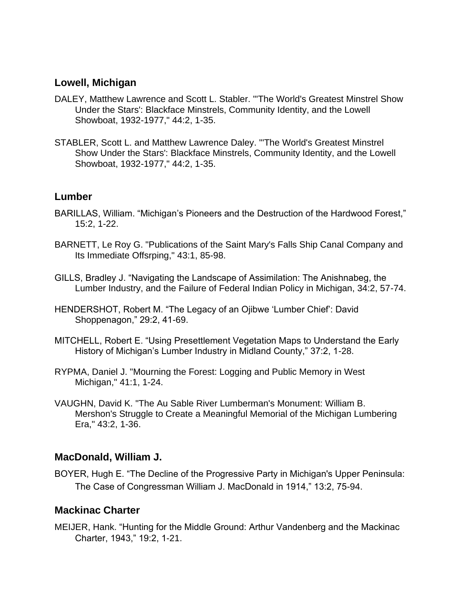#### **Lowell, Michigan**

- DALEY, Matthew Lawrence and Scott L. Stabler. "'The World's Greatest Minstrel Show Under the Stars': Blackface Minstrels, Community Identity, and the Lowell Showboat, 1932-1977," 44:2, 1-35.
- STABLER, Scott L. and Matthew Lawrence Daley. "'The World's Greatest Minstrel Show Under the Stars': Blackface Minstrels, Community Identity, and the Lowell Showboat, 1932-1977," 44:2, 1-35.

#### **Lumber**

- BARILLAS, William. "Michigan's Pioneers and the Destruction of the Hardwood Forest," 15:2, 1-22.
- BARNETT, Le Roy G. "Publications of the Saint Mary's Falls Ship Canal Company and Its Immediate Offsrping," 43:1, 85-98.
- GILLS, Bradley J. "Navigating the Landscape of Assimilation: The Anishnabeg, the Lumber Industry, and the Failure of Federal Indian Policy in Michigan, 34:2, 57-74.
- HENDERSHOT, Robert M. "The Legacy of an Ojibwe 'Lumber Chief': David Shoppenagon," 29:2, 41-69.
- MITCHELL, Robert E. "Using Presettlement Vegetation Maps to Understand the Early History of Michigan's Lumber Industry in Midland County," 37:2, 1-28.
- RYPMA, Daniel J. "Mourning the Forest: Logging and Public Memory in West Michigan," 41:1, 1-24.
- VAUGHN, David K. "The Au Sable River Lumberman's Monument: William B. Mershon's Struggle to Create a Meaningful Memorial of the Michigan Lumbering Era," 43:2, 1-36.

#### **MacDonald, William J.**

BOYER, Hugh E. "The Decline of the Progressive Party in Michigan's Upper Peninsula: The Case of Congressman William J. MacDonald in 1914," 13:2, 75-94.

## **Mackinac Charter**

MEIJER, Hank. "Hunting for the Middle Ground: Arthur Vandenberg and the Mackinac Charter, 1943," 19:2, 1-21.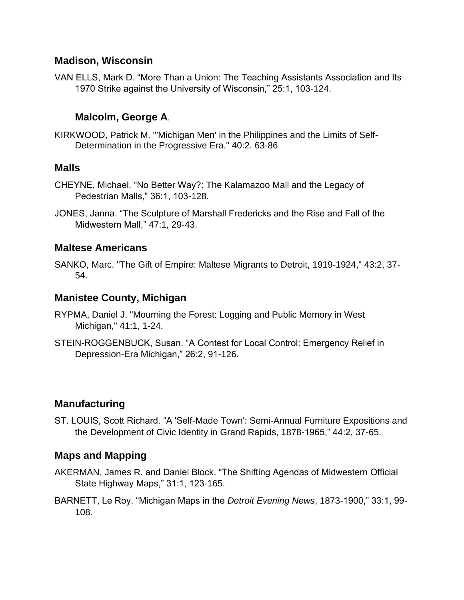#### **Madison, Wisconsin**

VAN ELLS, Mark D. "More Than a Union: The Teaching Assistants Association and Its 1970 Strike against the University of Wisconsin," 25:1, 103-124.

#### **Malcolm, George A**.

KIRKWOOD, Patrick M. "'Michigan Men' in the Philippines and the Limits of Self-Determination in the Progressive Era." 40:2. 63-86

#### **Malls**

- CHEYNE, Michael. "No Better Way?: The Kalamazoo Mall and the Legacy of Pedestrian Malls," 36:1, 103-128.
- JONES, Janna. "The Sculpture of Marshall Fredericks and the Rise and Fall of the Midwestern Mall," 47:1, 29-43.

#### **Maltese Americans**

SANKO, Marc. "The Gift of Empire: Maltese Migrants to Detroit, 1919-1924," 43:2, 37- 54.

#### **Manistee County, Michigan**

- RYPMA, Daniel J. "Mourning the Forest: Logging and Public Memory in West Michigan," 41:1, 1-24.
- STEIN-ROGGENBUCK, Susan. "A Contest for Local Control: Emergency Relief in Depression-Era Michigan," 26:2, 91-126.

## **Manufacturing**

ST. LOUIS, Scott Richard. "A 'Self-Made Town': Semi-Annual Furniture Expositions and the Development of Civic Identity in Grand Rapids, 1878-1965," 44:2, 37-65.

#### **Maps and Mapping**

- AKERMAN, James R. and Daniel Block. "The Shifting Agendas of Midwestern Official State Highway Maps," 31:1, 123-165.
- BARNETT, Le Roy. "Michigan Maps in the *Detroit Evening News*, 1873-1900," 33:1, 99- 108.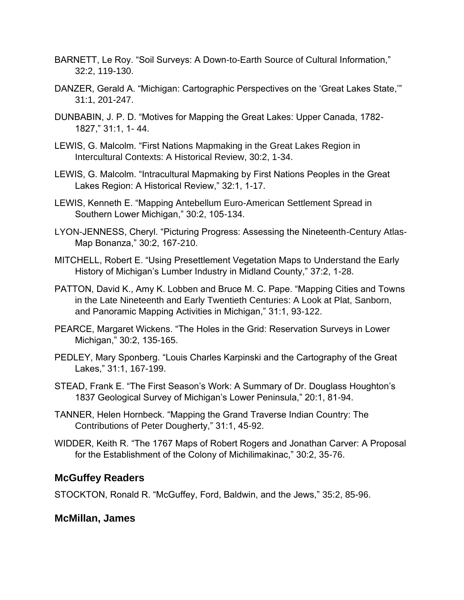- BARNETT, Le Roy. "Soil Surveys: A Down-to-Earth Source of Cultural Information," 32:2, 119-130.
- DANZER, Gerald A. "Michigan: Cartographic Perspectives on the 'Great Lakes State,'" 31:1, 201-247.
- DUNBABIN, J. P. D. "Motives for Mapping the Great Lakes: Upper Canada, 1782- 1827," 31:1, 1- 44.
- LEWIS, G. Malcolm. "First Nations Mapmaking in the Great Lakes Region in Intercultural Contexts: A Historical Review, 30:2, 1-34.
- LEWIS, G. Malcolm. "Intracultural Mapmaking by First Nations Peoples in the Great Lakes Region: A Historical Review," 32:1, 1-17.
- LEWIS, Kenneth E. "Mapping Antebellum Euro-American Settlement Spread in Southern Lower Michigan," 30:2, 105-134.
- LYON-JENNESS, Cheryl. "Picturing Progress: Assessing the Nineteenth-Century Atlas-Map Bonanza," 30:2, 167-210.
- MITCHELL, Robert E. "Using Presettlement Vegetation Maps to Understand the Early History of Michigan's Lumber Industry in Midland County," 37:2, 1-28.
- PATTON, David K., Amy K. Lobben and Bruce M. C. Pape. "Mapping Cities and Towns in the Late Nineteenth and Early Twentieth Centuries: A Look at Plat, Sanborn, and Panoramic Mapping Activities in Michigan," 31:1, 93-122.
- PEARCE, Margaret Wickens. "The Holes in the Grid: Reservation Surveys in Lower Michigan," 30:2, 135-165.
- PEDLEY, Mary Sponberg. "Louis Charles Karpinski and the Cartography of the Great Lakes," 31:1, 167-199.
- STEAD, Frank E. "The First Season's Work: A Summary of Dr. Douglass Houghton's 1837 Geological Survey of Michigan's Lower Peninsula," 20:1, 81-94.
- TANNER, Helen Hornbeck. "Mapping the Grand Traverse Indian Country: The Contributions of Peter Dougherty," 31:1, 45-92.
- WIDDER, Keith R. "The 1767 Maps of Robert Rogers and Jonathan Carver: A Proposal for the Establishment of the Colony of Michilimakinac," 30:2, 35-76.

## **McGuffey Readers**

STOCKTON, Ronald R. "McGuffey, Ford, Baldwin, and the Jews," 35:2, 85-96.

#### **McMillan, James**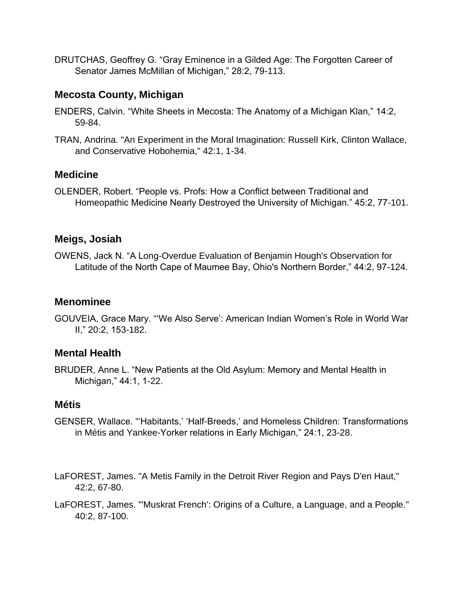DRUTCHAS, Geoffrey G. "Gray Eminence in a Gilded Age: The Forgotten Career of Senator James McMillan of Michigan," 28:2, 79-113.

## **Mecosta County, Michigan**

- ENDERS, Calvin. "White Sheets in Mecosta: The Anatomy of a Michigan Klan," 14:2, 59-84.
- TRAN, Andrina. "An Experiment in the Moral Imagination: Russell Kirk, Clinton Wallace, and Conservative Hobohemia," 42:1, 1-34.

# **Medicine**

OLENDER, Robert. "People vs. Profs: How a Conflict between Traditional and Homeopathic Medicine Nearly Destroyed the University of Michigan." 45:2, 77-101.

## **Meigs, Josiah**

OWENS, Jack N. "A Long-Overdue Evaluation of Benjamin Hough's Observation for Latitude of the North Cape of Maumee Bay, Ohio's Northern Border," 44:2, 97-124.

#### **Menominee**

GOUVEIA, Grace Mary. "'We Also Serve': American Indian Women's Role in World War II," 20:2, 153-182.

## **Mental Health**

BRUDER, Anne L. "New Patients at the Old Asylum: Memory and Mental Health in Michigan," 44:1, 1-22.

## **Métis**

- GENSER, Wallace. "'Habitants,' 'Half-Breeds,' and Homeless Children: Transformations in Métis and Yankee-Yorker relations in Early Michigan," 24:1, 23-28.
- LaFOREST, James. "A Metis Family in the Detroit River Region and Pays D'en Haut," 42:2, 67-80.
- LaFOREST, James. "'Muskrat French': Origins of a Culture, a Language, and a People." 40:2, 87-100.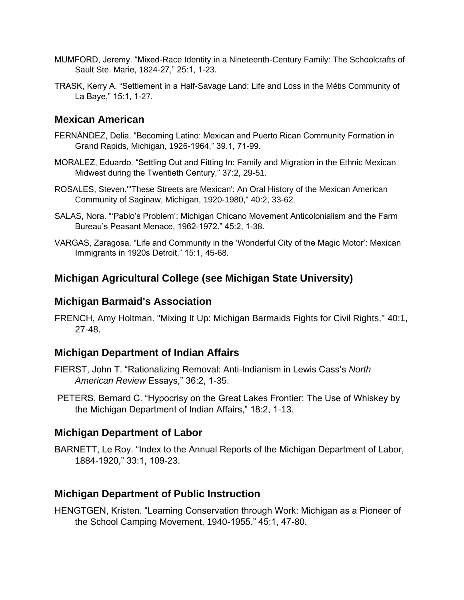- MUMFORD, Jeremy. "Mixed-Race Identity in a Nineteenth-Century Family: The Schoolcrafts of Sault Ste. Marie, 1824-27," 25:1, 1-23.
- TRASK, Kerry A. "Settlement in a Half-Savage Land: Life and Loss in the Métis Community of La Baye," 15:1, 1-27.

#### **Mexican American**

- FERNÁNDEZ, Delia. "Becoming Latino: Mexican and Puerto Rican Community Formation in Grand Rapids, Michigan, 1926-1964," 39.1, 71-99.
- MORALEZ, Eduardo. "Settling Out and Fitting In: Family and Migration in the Ethnic Mexican Midwest during the Twentieth Century," 37:2, 29-51.
- ROSALES, Steven."'These Streets are Mexican': An Oral History of the Mexican American Community of Saginaw, Michigan, 1920-1980," 40:2, 33-62.
- SALAS, Nora. "'Pablo's Problem': Michigan Chicano Movement Anticolonialism and the Farm Bureau's Peasant Menace, 1962-1972." 45:2, 1-38.
- VARGAS, Zaragosa. "Life and Community in the 'Wonderful City of the Magic Motor': Mexican Immigrants in 1920s Detroit," 15:1, 45-68.

# **Michigan Agricultural College (see Michigan State University)**

#### **Michigan Barmaid's Association**

FRENCH, Amy Holtman. "Mixing It Up: Michigan Barmaids Fights for Civil Rights," 40:1, 27-48.

#### **Michigan Department of Indian Affairs**

- FIERST, John T. "Rationalizing Removal: Anti-Indianism in Lewis Cass's *North American Review* Essays," 36:2, 1-35.
- PETERS, Bernard C. "Hypocrisy on the Great Lakes Frontier: The Use of Whiskey by the Michigan Department of Indian Affairs," 18:2, 1-13.

## **Michigan Department of Labor**

BARNETT, Le Roy. "Index to the Annual Reports of the Michigan Department of Labor, 1884-1920," 33:1, 109-23.

#### **Michigan Department of Public Instruction**

HENGTGEN, Kristen. "Learning Conservation through Work: Michigan as a Pioneer of the School Camping Movement, 1940-1955." 45:1, 47-80.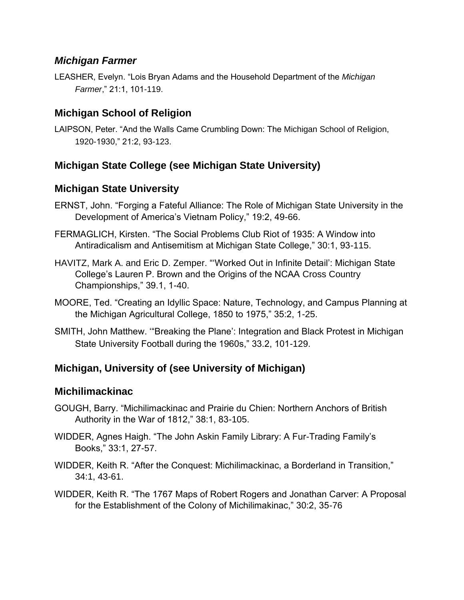#### *Michigan Farmer*

LEASHER, Evelyn. "Lois Bryan Adams and the Household Department of the *Michigan Farmer*," 21:1, 101-119.

# **Michigan School of Religion**

LAIPSON, Peter. "And the Walls Came Crumbling Down: The Michigan School of Religion, 1920-1930," 21:2, 93-123.

# **Michigan State College (see Michigan State University)**

# **Michigan State University**

- ERNST, John. "Forging a Fateful Alliance: The Role of Michigan State University in the Development of America's Vietnam Policy," 19:2, 49-66.
- FERMAGLICH, Kirsten. "The Social Problems Club Riot of 1935: A Window into Antiradicalism and Antisemitism at Michigan State College," 30:1, 93-115.
- HAVITZ, Mark A. and Eric D. Zemper. "'Worked Out in Infinite Detail': Michigan State College's Lauren P. Brown and the Origins of the NCAA Cross Country Championships," 39.1, 1-40.
- MOORE, Ted. "Creating an Idyllic Space: Nature, Technology, and Campus Planning at the Michigan Agricultural College, 1850 to 1975," 35:2, 1-25.
- SMITH, John Matthew. '"Breaking the Plane': Integration and Black Protest in Michigan State University Football during the 1960s," 33.2, 101-129.

# **Michigan, University of (see University of Michigan)**

## **Michilimackinac**

- GOUGH, Barry. "Michilimackinac and Prairie du Chien: Northern Anchors of British Authority in the War of 1812," 38:1, 83-105.
- WIDDER, Agnes Haigh. "The John Askin Family Library: A Fur-Trading Family's Books," 33:1, 27-57.
- WIDDER, Keith R. "After the Conquest: Michilimackinac, a Borderland in Transition," 34:1, 43-61.
- WIDDER, Keith R. "The 1767 Maps of Robert Rogers and Jonathan Carver: A Proposal for the Establishment of the Colony of Michilimakinac," 30:2, 35-76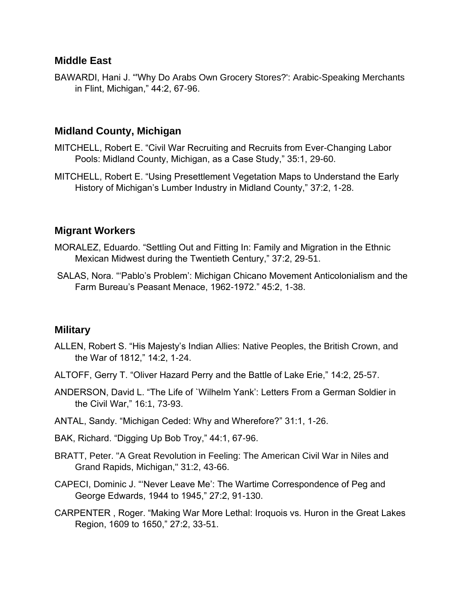#### **Middle East**

BAWARDI, Hani J. "'Why Do Arabs Own Grocery Stores?': Arabic-Speaking Merchants in Flint, Michigan," 44:2, 67-96.

#### **Midland County, Michigan**

- MITCHELL, Robert E. "Civil War Recruiting and Recruits from Ever-Changing Labor Pools: Midland County, Michigan, as a Case Study," 35:1, 29-60.
- MITCHELL, Robert E. "Using Presettlement Vegetation Maps to Understand the Early History of Michigan's Lumber Industry in Midland County," 37:2, 1-28.

#### **Migrant Workers**

- MORALEZ, Eduardo. "Settling Out and Fitting In: Family and Migration in the Ethnic Mexican Midwest during the Twentieth Century," 37:2, 29-51.
- SALAS, Nora. "'Pablo's Problem': Michigan Chicano Movement Anticolonialism and the Farm Bureau's Peasant Menace, 1962-1972." 45:2, 1-38.

#### **Military**

- ALLEN, Robert S. "His Majesty's Indian Allies: Native Peoples, the British Crown, and the War of 1812," 14:2, 1-24.
- ALTOFF, Gerry T. "Oliver Hazard Perry and the Battle of Lake Erie," 14:2, 25-57.
- ANDERSON, David L. "The Life of `Wilhelm Yank': Letters From a German Soldier in the Civil War," 16:1, 73-93.
- ANTAL, Sandy. "Michigan Ceded: Why and Wherefore?" 31:1, 1-26.
- BAK, Richard. "Digging Up Bob Troy," 44:1, 67-96.
- BRATT, Peter. "A Great Revolution in Feeling: The American Civil War in Niles and Grand Rapids, Michigan," 31:2, 43-66.
- CAPECI, Dominic J. "'Never Leave Me': The Wartime Correspondence of Peg and George Edwards, 1944 to 1945," 27:2, 91-130.
- CARPENTER , Roger. "Making War More Lethal: Iroquois vs. Huron in the Great Lakes Region, 1609 to 1650," 27:2, 33-51.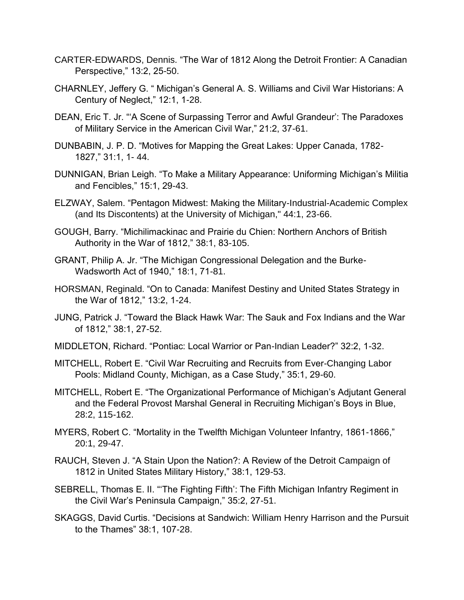- CARTER-EDWARDS, Dennis. "The War of 1812 Along the Detroit Frontier: A Canadian Perspective," 13:2, 25-50.
- CHARNLEY, Jeffery G. " Michigan's General A. S. Williams and Civil War Historians: A Century of Neglect," 12:1, 1-28.
- DEAN, Eric T. Jr. "'A Scene of Surpassing Terror and Awful Grandeur': The Paradoxes of Military Service in the American Civil War," 21:2, 37-61.
- DUNBABIN, J. P. D. "Motives for Mapping the Great Lakes: Upper Canada, 1782- 1827," 31:1, 1- 44.
- DUNNIGAN, Brian Leigh. "To Make a Military Appearance: Uniforming Michigan's Militia and Fencibles," 15:1, 29-43.
- ELZWAY, Salem. "Pentagon Midwest: Making the Military-Industrial-Academic Complex (and Its Discontents) at the University of Michigan," 44:1, 23-66.
- GOUGH, Barry. "Michilimackinac and Prairie du Chien: Northern Anchors of British Authority in the War of 1812," 38:1, 83-105.
- GRANT, Philip A. Jr. "The Michigan Congressional Delegation and the Burke-Wadsworth Act of 1940," 18:1, 71-81.
- HORSMAN, Reginald. "On to Canada: Manifest Destiny and United States Strategy in the War of 1812," 13:2, 1-24.
- JUNG, Patrick J. "Toward the Black Hawk War: The Sauk and Fox Indians and the War of 1812," 38:1, 27-52.
- MIDDLETON, Richard. "Pontiac: Local Warrior or Pan-Indian Leader?" 32:2, 1-32.
- MITCHELL, Robert E. "Civil War Recruiting and Recruits from Ever-Changing Labor Pools: Midland County, Michigan, as a Case Study," 35:1, 29-60.
- MITCHELL, Robert E. "The Organizational Performance of Michigan's Adjutant General and the Federal Provost Marshal General in Recruiting Michigan's Boys in Blue, 28:2, 115-162.
- MYERS, Robert C. "Mortality in the Twelfth Michigan Volunteer Infantry, 1861-1866," 20:1, 29-47.
- RAUCH, Steven J. "A Stain Upon the Nation?: A Review of the Detroit Campaign of 1812 in United States Military History," 38:1, 129-53.
- SEBRELL, Thomas E. II. "'The Fighting Fifth': The Fifth Michigan Infantry Regiment in the Civil War's Peninsula Campaign," 35:2, 27-51.
- SKAGGS, David Curtis. "Decisions at Sandwich: William Henry Harrison and the Pursuit to the Thames" 38:1, 107-28.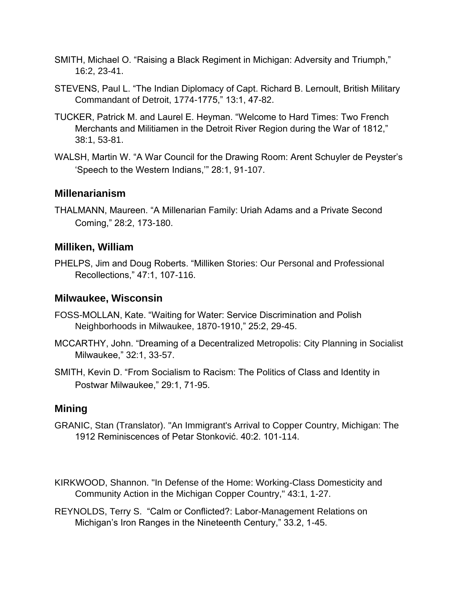- SMITH, Michael O. "Raising a Black Regiment in Michigan: Adversity and Triumph," 16:2, 23-41.
- STEVENS, Paul L. "The Indian Diplomacy of Capt. Richard B. Lernoult, British Military Commandant of Detroit, 1774-1775," 13:1, 47-82.
- TUCKER, Patrick M. and Laurel E. Heyman. "Welcome to Hard Times: Two French Merchants and Militiamen in the Detroit River Region during the War of 1812," 38:1, 53-81.
- WALSH, Martin W. "A War Council for the Drawing Room: Arent Schuyler de Peyster's 'Speech to the Western Indians,'" 28:1, 91-107.

## **Millenarianism**

THALMANN, Maureen. "A Millenarian Family: Uriah Adams and a Private Second Coming," 28:2, 173-180.

#### **Milliken, William**

PHELPS, Jim and Doug Roberts. "Milliken Stories: Our Personal and Professional Recollections," 47:1, 107-116.

#### **Milwaukee, Wisconsin**

- FOSS-MOLLAN, Kate. "Waiting for Water: Service Discrimination and Polish Neighborhoods in Milwaukee, 1870-1910," 25:2, 29-45.
- MCCARTHY, John. "Dreaming of a Decentralized Metropolis: City Planning in Socialist Milwaukee," 32:1, 33-57.
- SMITH, Kevin D. "From Socialism to Racism: The Politics of Class and Identity in Postwar Milwaukee," 29:1, 71-95.

## **Mining**

- GRANIC, Stan (Translator). "An Immigrant's Arrival to Copper Country, Michigan: The 1912 Reminiscences of Petar Stonković. 40:2. 101-114.
- KIRKWOOD, Shannon. "In Defense of the Home: Working-Class Domesticity and Community Action in the Michigan Copper Country," 43:1, 1-27.
- REYNOLDS, Terry S. "Calm or Conflicted?: Labor-Management Relations on Michigan's Iron Ranges in the Nineteenth Century," 33.2, 1-45.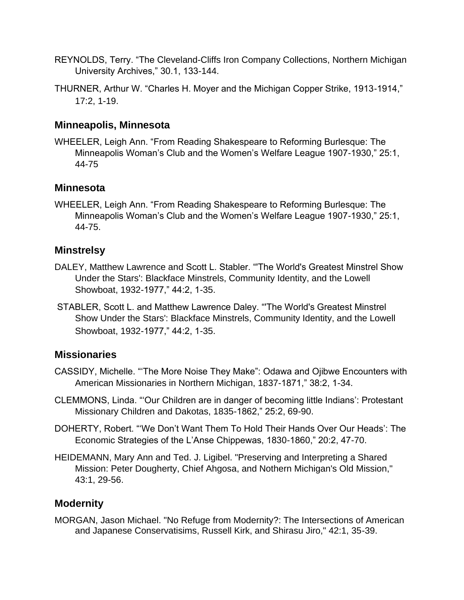- REYNOLDS, Terry. "The Cleveland-Cliffs Iron Company Collections, Northern Michigan University Archives," 30.1, 133-144.
- THURNER, Arthur W. "Charles H. Moyer and the Michigan Copper Strike, 1913-1914," 17:2, 1-19.

## **Minneapolis, Minnesota**

WHEELER, Leigh Ann. "From Reading Shakespeare to Reforming Burlesque: The Minneapolis Woman's Club and the Women's Welfare League 1907-1930," 25:1, 44-75

## **Minnesota**

WHEELER, Leigh Ann. "From Reading Shakespeare to Reforming Burlesque: The Minneapolis Woman's Club and the Women's Welfare League 1907-1930," 25:1, 44-75.

# **Minstrelsy**

- DALEY, Matthew Lawrence and Scott L. Stabler. "'The World's Greatest Minstrel Show Under the Stars': Blackface Minstrels, Community Identity, and the Lowell Showboat, 1932-1977," 44:2, 1-35.
- STABLER, Scott L. and Matthew Lawrence Daley. "'The World's Greatest Minstrel Show Under the Stars': Blackface Minstrels, Community Identity, and the Lowell Showboat, 1932-1977," 44:2, 1-35.

# **Missionaries**

- CASSIDY, Michelle. "'The More Noise They Make": Odawa and Ojibwe Encounters with American Missionaries in Northern Michigan, 1837-1871," 38:2, 1-34.
- CLEMMONS, Linda. "'Our Children are in danger of becoming little Indians': Protestant Missionary Children and Dakotas, 1835-1862," 25:2, 69-90.
- DOHERTY, Robert. "'We Don't Want Them To Hold Their Hands Over Our Heads': The Economic Strategies of the L'Anse Chippewas, 1830-1860," 20:2, 47-70.
- HEIDEMANN, Mary Ann and Ted. J. Ligibel. "Preserving and Interpreting a Shared Mission: Peter Dougherty, Chief Ahgosa, and Nothern Michigan's Old Mission," 43:1, 29-56.

# **Modernity**

MORGAN, Jason Michael. "No Refuge from Modernity?: The Intersections of American and Japanese Conservatisims, Russell Kirk, and Shirasu Jiro," 42:1, 35-39.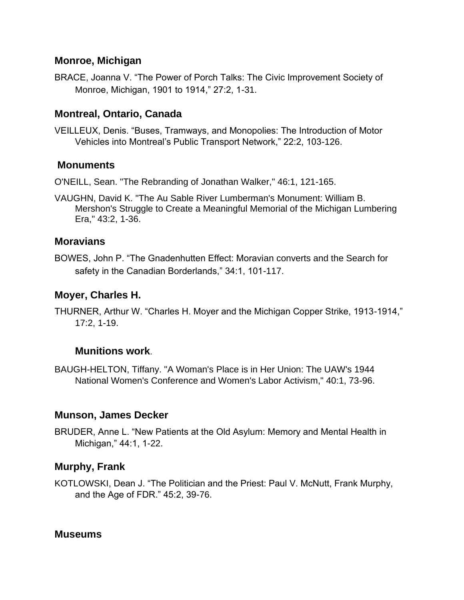#### **Monroe, Michigan**

BRACE, Joanna V. "The Power of Porch Talks: The Civic Improvement Society of Monroe, Michigan, 1901 to 1914," 27:2, 1-31.

# **Montreal, Ontario, Canada**

VEILLEUX, Denis. "Buses, Tramways, and Monopolies: The Introduction of Motor Vehicles into Montreal's Public Transport Network," 22:2, 103-126.

#### **Monuments**

O'NEILL, Sean. "The Rebranding of Jonathan Walker," 46:1, 121-165.

VAUGHN, David K. "The Au Sable River Lumberman's Monument: William B. Mershon's Struggle to Create a Meaningful Memorial of the Michigan Lumbering Era," 43:2, 1-36.

#### **Moravians**

BOWES, John P. "The Gnadenhutten Effect: Moravian converts and the Search for safety in the Canadian Borderlands," 34:1, 101-117.

#### **Moyer, Charles H.**

THURNER, Arthur W. "Charles H. Moyer and the Michigan Copper Strike, 1913-1914," 17:2, 1-19.

#### **Munitions work**.

BAUGH-HELTON, Tiffany. "A Woman's Place is in Her Union: The UAW's 1944 National Women's Conference and Women's Labor Activism," 40:1, 73-96.

## **Munson, James Decker**

BRUDER, Anne L. "New Patients at the Old Asylum: Memory and Mental Health in Michigan," 44:1, 1-22.

## **Murphy, Frank**

KOTLOWSKI, Dean J. "The Politician and the Priest: Paul V. McNutt, Frank Murphy, and the Age of FDR." 45:2, 39-76.

#### **Museums**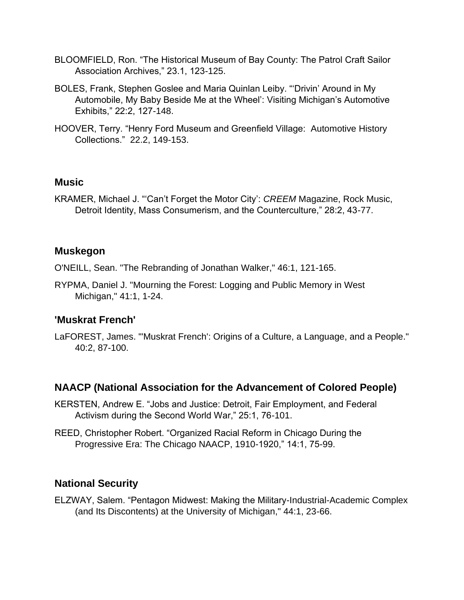- BLOOMFIELD, Ron. "The Historical Museum of Bay County: The Patrol Craft Sailor Association Archives," 23.1, 123-125.
- BOLES, Frank, Stephen Goslee and Maria Quinlan Leiby. "'Drivin' Around in My Automobile, My Baby Beside Me at the Wheel': Visiting Michigan's Automotive Exhibits," 22:2, 127-148.
- HOOVER, Terry. "Henry Ford Museum and Greenfield Village: Automotive History Collections." 22.2, 149-153.

#### **Music**

KRAMER, Michael J. "'Can't Forget the Motor City': *CREEM* Magazine, Rock Music, Detroit Identity, Mass Consumerism, and the Counterculture," 28:2, 43-77.

#### **Muskegon**

O'NEILL, Sean. "The Rebranding of Jonathan Walker," 46:1, 121-165.

RYPMA, Daniel J. "Mourning the Forest: Logging and Public Memory in West Michigan," 41:1, 1-24.

#### **'Muskrat French'**

LaFOREST, James. "'Muskrat French': Origins of a Culture, a Language, and a People." 40:2, 87-100.

#### **NAACP (National Association for the Advancement of Colored People)**

- KERSTEN, Andrew E. "Jobs and Justice: Detroit, Fair Employment, and Federal Activism during the Second World War," 25:1, 76-101.
- REED, Christopher Robert. "Organized Racial Reform in Chicago During the Progressive Era: The Chicago NAACP, 1910-1920," 14:1, 75-99.

#### **National Security**

ELZWAY, Salem. "Pentagon Midwest: Making the Military-Industrial-Academic Complex (and Its Discontents) at the University of Michigan," 44:1, 23-66.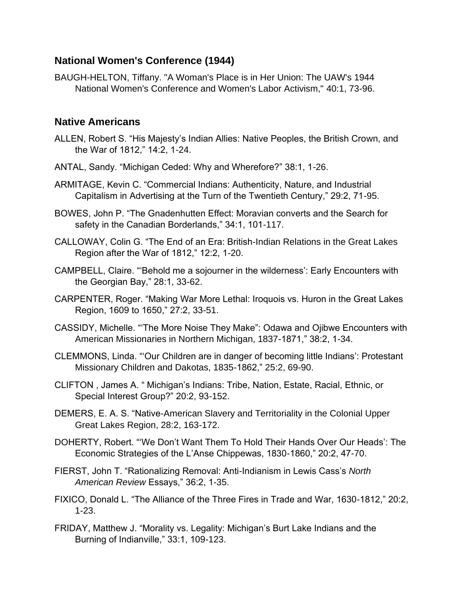## **National Women's Conference (1944)**

BAUGH-HELTON, Tiffany. "A Woman's Place is in Her Union: The UAW's 1944 National Women's Conference and Women's Labor Activism," 40:1, 73-96.

## **Native Americans**

- ALLEN, Robert S. "His Majesty's Indian Allies: Native Peoples, the British Crown, and the War of 1812," 14:2, 1-24.
- ANTAL, Sandy. "Michigan Ceded: Why and Wherefore?" 38:1, 1-26.
- ARMITAGE, Kevin C. "Commercial Indians: Authenticity, Nature, and Industrial Capitalism in Advertising at the Turn of the Twentieth Century," 29:2, 71-95.
- BOWES, John P. "The Gnadenhutten Effect: Moravian converts and the Search for safety in the Canadian Borderlands," 34:1, 101-117.
- CALLOWAY, Colin G. "The End of an Era: British-Indian Relations in the Great Lakes Region after the War of 1812," 12:2, 1-20.
- CAMPBELL, Claire. "'Behold me a sojourner in the wilderness': Early Encounters with the Georgian Bay," 28:1, 33-62.
- CARPENTER, Roger. "Making War More Lethal: Iroquois vs. Huron in the Great Lakes Region, 1609 to 1650," 27:2, 33-51.
- CASSIDY, Michelle. "'The More Noise They Make": Odawa and Ojibwe Encounters with American Missionaries in Northern Michigan, 1837-1871," 38:2, 1-34.
- CLEMMONS, Linda. "'Our Children are in danger of becoming little Indians': Protestant Missionary Children and Dakotas, 1835-1862," 25:2, 69-90.
- CLIFTON , James A. " Michigan's Indians: Tribe, Nation, Estate, Racial, Ethnic, or Special Interest Group?" 20:2, 93-152.
- DEMERS, E. A. S. "Native-American Slavery and Territoriality in the Colonial Upper Great Lakes Region, 28:2, 163-172.
- DOHERTY, Robert. "'We Don't Want Them To Hold Their Hands Over Our Heads': The Economic Strategies of the L'Anse Chippewas, 1830-1860," 20:2, 47-70.
- FIERST, John T. "Rationalizing Removal: Anti-Indianism in Lewis Cass's *North American Review* Essays," 36:2, 1-35.
- FIXICO, Donald L. "The Alliance of the Three Fires in Trade and War, 1630-1812," 20:2, 1-23.
- FRIDAY, Matthew J. "Morality vs. Legality: Michigan's Burt Lake Indians and the Burning of Indianville," 33:1, 109-123.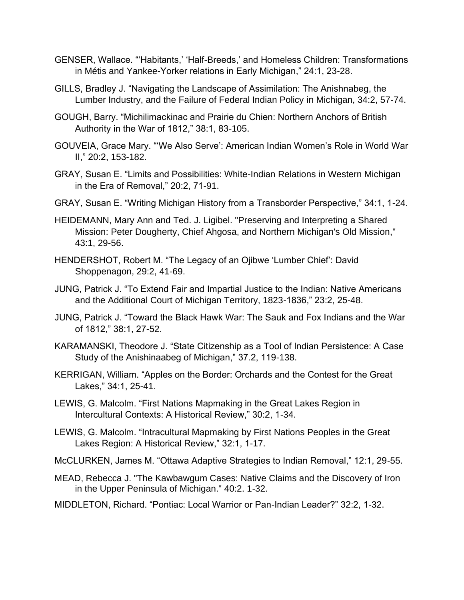- GENSER, Wallace. "'Habitants,' 'Half-Breeds,' and Homeless Children: Transformations in Métis and Yankee-Yorker relations in Early Michigan," 24:1, 23-28.
- GILLS, Bradley J. "Navigating the Landscape of Assimilation: The Anishnabeg, the Lumber Industry, and the Failure of Federal Indian Policy in Michigan, 34:2, 57-74.
- GOUGH, Barry. "Michilimackinac and Prairie du Chien: Northern Anchors of British Authority in the War of 1812," 38:1, 83-105.
- GOUVEIA, Grace Mary. "'We Also Serve': American Indian Women's Role in World War II," 20:2, 153-182.
- GRAY, Susan E. "Limits and Possibilities: White-Indian Relations in Western Michigan in the Era of Removal," 20:2, 71-91.
- GRAY, Susan E. "Writing Michigan History from a Transborder Perspective," 34:1, 1-24.
- HEIDEMANN, Mary Ann and Ted. J. Ligibel. "Preserving and Interpreting a Shared Mission: Peter Dougherty, Chief Ahgosa, and Northern Michigan's Old Mission," 43:1, 29-56.
- HENDERSHOT, Robert M. "The Legacy of an Ojibwe 'Lumber Chief': David Shoppenagon, 29:2, 41-69.
- JUNG, Patrick J. "To Extend Fair and Impartial Justice to the Indian: Native Americans and the Additional Court of Michigan Territory, 1823-1836," 23:2, 25-48.
- JUNG, Patrick J. "Toward the Black Hawk War: The Sauk and Fox Indians and the War of 1812," 38:1, 27-52.
- KARAMANSKI, Theodore J. "State Citizenship as a Tool of Indian Persistence: A Case Study of the Anishinaabeg of Michigan," 37.2, 119-138.
- KERRIGAN, William. "Apples on the Border: Orchards and the Contest for the Great Lakes," 34:1, 25-41.
- LEWIS, G. Malcolm. "First Nations Mapmaking in the Great Lakes Region in Intercultural Contexts: A Historical Review," 30:2, 1-34.
- LEWIS, G. Malcolm. "Intracultural Mapmaking by First Nations Peoples in the Great Lakes Region: A Historical Review," 32:1, 1-17.
- McCLURKEN, James M. "Ottawa Adaptive Strategies to Indian Removal," 12:1, 29-55.
- MEAD, Rebecca J. "The Kawbawgum Cases: Native Claims and the Discovery of Iron in the Upper Peninsula of Michigan." 40:2. 1-32.
- MIDDLETON, Richard. "Pontiac: Local Warrior or Pan-Indian Leader?" 32:2, 1-32.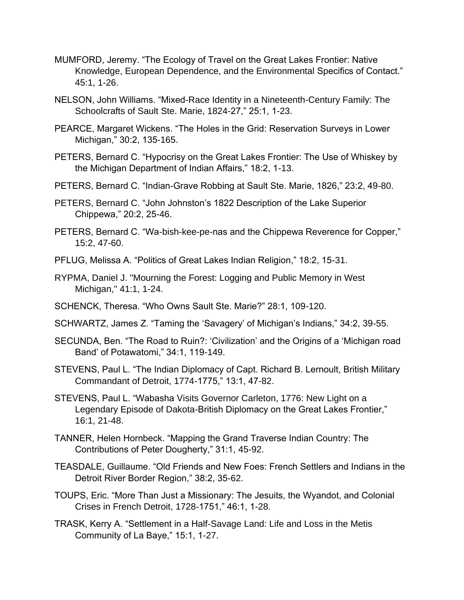- MUMFORD, Jeremy. "The Ecology of Travel on the Great Lakes Frontier: Native Knowledge, European Dependence, and the Environmental Specifics of Contact." 45:1, 1-26.
- NELSON, John Williams. "Mixed-Race Identity in a Nineteenth-Century Family: The Schoolcrafts of Sault Ste. Marie, 1824-27," 25:1, 1-23.
- PEARCE, Margaret Wickens. "The Holes in the Grid: Reservation Surveys in Lower Michigan," 30:2, 135-165.
- PETERS, Bernard C. "Hypocrisy on the Great Lakes Frontier: The Use of Whiskey by the Michigan Department of Indian Affairs," 18:2, 1-13.
- PETERS, Bernard C. "Indian-Grave Robbing at Sault Ste. Marie, 1826," 23:2, 49-80.
- PETERS, Bernard C. "John Johnston's 1822 Description of the Lake Superior Chippewa," 20:2, 25-46.
- PETERS, Bernard C. "Wa-bish-kee-pe-nas and the Chippewa Reverence for Copper," 15:2, 47-60.
- PFLUG, Melissa A. "Politics of Great Lakes Indian Religion," 18:2, 15-31.
- RYPMA, Daniel J. "Mourning the Forest: Logging and Public Memory in West Michigan," 41:1, 1-24.
- SCHENCK, Theresa. "Who Owns Sault Ste. Marie?" 28:1, 109-120.
- SCHWARTZ, James Z. "Taming the 'Savagery' of Michigan's Indians," 34:2, 39-55.
- SECUNDA, Ben. "The Road to Ruin?: 'Civilization' and the Origins of a 'Michigan road Band' of Potawatomi," 34:1, 119-149.
- STEVENS, Paul L. "The Indian Diplomacy of Capt. Richard B. Lernoult, British Military Commandant of Detroit, 1774-1775," 13:1, 47-82.
- STEVENS, Paul L. "Wabasha Visits Governor Carleton, 1776: New Light on a Legendary Episode of Dakota-British Diplomacy on the Great Lakes Frontier," 16:1, 21-48.
- TANNER, Helen Hornbeck. "Mapping the Grand Traverse Indian Country: The Contributions of Peter Dougherty," 31:1, 45-92.
- TEASDALE, Guillaume. "Old Friends and New Foes: French Settlers and Indians in the Detroit River Border Region," 38:2, 35-62.
- TOUPS, Eric. "More Than Just a Missionary: The Jesuits, the Wyandot, and Colonial Crises in French Detroit, 1728-1751," 46:1, 1-28.
- TRASK, Kerry A. "Settlement in a Half-Savage Land: Life and Loss in the Metis Community of La Baye," 15:1, 1-27.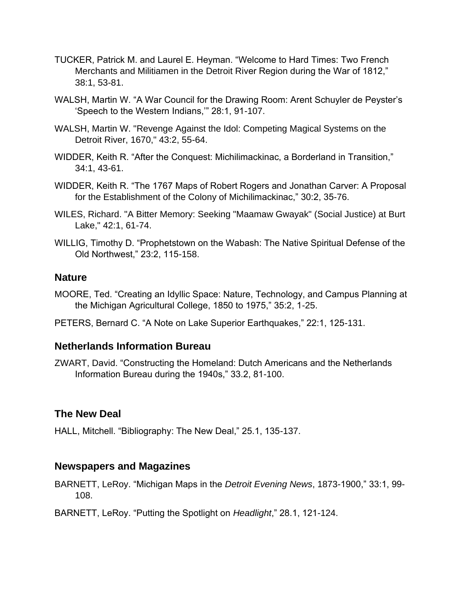- TUCKER, Patrick M. and Laurel E. Heyman. "Welcome to Hard Times: Two French Merchants and Militiamen in the Detroit River Region during the War of 1812," 38:1, 53-81.
- WALSH, Martin W. "A War Council for the Drawing Room: Arent Schuyler de Peyster's 'Speech to the Western Indians,'" 28:1, 91-107.
- WALSH, Martin W. "Revenge Against the Idol: Competing Magical Systems on the Detroit River, 1670," 43:2, 55-64.
- WIDDER, Keith R. "After the Conquest: Michilimackinac, a Borderland in Transition," 34:1, 43-61.
- WIDDER, Keith R. "The 1767 Maps of Robert Rogers and Jonathan Carver: A Proposal for the Establishment of the Colony of Michilimackinac," 30:2, 35-76.
- WILES, Richard. "A Bitter Memory: Seeking "Maamaw Gwayak" (Social Justice) at Burt Lake," 42:1, 61-74.
- WILLIG, Timothy D. "Prophetstown on the Wabash: The Native Spiritual Defense of the Old Northwest," 23:2, 115-158.

#### **Nature**

- MOORE, Ted. "Creating an Idyllic Space: Nature, Technology, and Campus Planning at the Michigan Agricultural College, 1850 to 1975," 35:2, 1-25.
- PETERS, Bernard C. "A Note on Lake Superior Earthquakes," 22:1, 125-131.

## **Netherlands Information Bureau**

ZWART, David. "Constructing the Homeland: Dutch Americans and the Netherlands Information Bureau during the 1940s," 33.2, 81-100.

## **The New Deal**

HALL, Mitchell. "Bibliography: The New Deal," 25.1, 135-137.

## **Newspapers and Magazines**

BARNETT, LeRoy. "Michigan Maps in the *Detroit Evening News*, 1873-1900," 33:1, 99- 108.

BARNETT, LeRoy. "Putting the Spotlight on *Headlight*," 28.1, 121-124.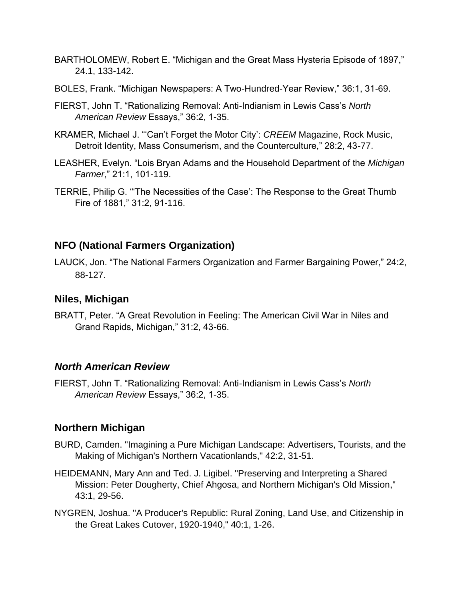- BARTHOLOMEW, Robert E. "Michigan and the Great Mass Hysteria Episode of 1897," 24.1, 133-142.
- BOLES, Frank. "Michigan Newspapers: A Two-Hundred-Year Review," 36:1, 31-69.
- FIERST, John T. "Rationalizing Removal: Anti-Indianism in Lewis Cass's *North American Review* Essays," 36:2, 1-35.
- KRAMER, Michael J. "'Can't Forget the Motor City': *CREEM* Magazine, Rock Music, Detroit Identity, Mass Consumerism, and the Counterculture," 28:2, 43-77.
- LEASHER, Evelyn. "Lois Bryan Adams and the Household Department of the *Michigan Farmer*," 21:1, 101-119.
- TERRIE, Philip G. '"The Necessities of the Case': The Response to the Great Thumb Fire of 1881," 31:2, 91-116.

# **NFO (National Farmers Organization)**

LAUCK, Jon. "The National Farmers Organization and Farmer Bargaining Power," 24:2, 88-127.

## **Niles, Michigan**

BRATT, Peter. "A Great Revolution in Feeling: The American Civil War in Niles and Grand Rapids, Michigan," 31:2, 43-66.

#### *North American Review*

FIERST, John T. "Rationalizing Removal: Anti-Indianism in Lewis Cass's *North American Review* Essays," 36:2, 1-35.

## **Northern Michigan**

- BURD, Camden. "Imagining a Pure Michigan Landscape: Advertisers, Tourists, and the Making of Michigan's Northern Vacationlands," 42:2, 31-51.
- HEIDEMANN, Mary Ann and Ted. J. Ligibel. "Preserving and Interpreting a Shared Mission: Peter Dougherty, Chief Ahgosa, and Northern Michigan's Old Mission," 43:1, 29-56.
- NYGREN, Joshua. "A Producer's Republic: Rural Zoning, Land Use, and Citizenship in the Great Lakes Cutover, 1920-1940," 40:1, 1-26.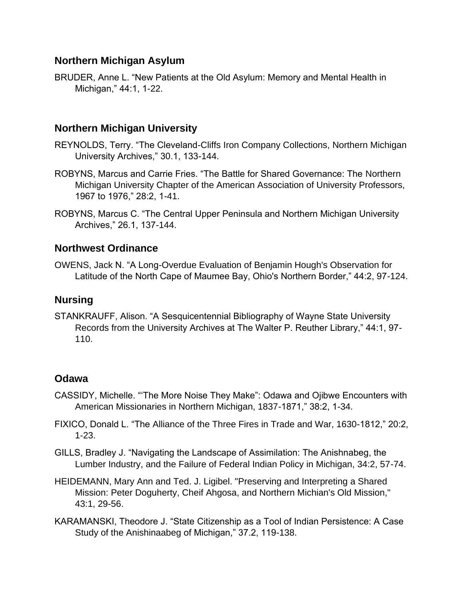## **Northern Michigan Asylum**

BRUDER, Anne L. "New Patients at the Old Asylum: Memory and Mental Health in Michigan," 44:1, 1-22.

# **Northern Michigan University**

- REYNOLDS, Terry. "The Cleveland-Cliffs Iron Company Collections, Northern Michigan University Archives," 30.1, 133-144.
- ROBYNS, Marcus and Carrie Fries. "The Battle for Shared Governance: The Northern Michigan University Chapter of the American Association of University Professors, 1967 to 1976," 28:2, 1-41.
- ROBYNS, Marcus C. "The Central Upper Peninsula and Northern Michigan University Archives," 26.1, 137-144.

## **Northwest Ordinance**

OWENS, Jack N. "A Long-Overdue Evaluation of Benjamin Hough's Observation for Latitude of the North Cape of Maumee Bay, Ohio's Northern Border," 44:2, 97-124.

## **Nursing**

STANKRAUFF, Alison. "A Sesquicentennial Bibliography of Wayne State University Records from the University Archives at The Walter P. Reuther Library," 44:1, 97- 110.

## **Odawa**

- CASSIDY, Michelle. "'The More Noise They Make": Odawa and Ojibwe Encounters with American Missionaries in Northern Michigan, 1837-1871," 38:2, 1-34.
- FIXICO, Donald L. "The Alliance of the Three Fires in Trade and War, 1630-1812," 20:2, 1-23.
- GILLS, Bradley J. "Navigating the Landscape of Assimilation: The Anishnabeg, the Lumber Industry, and the Failure of Federal Indian Policy in Michigan, 34:2, 57-74.
- HEIDEMANN, Mary Ann and Ted. J. Ligibel. "Preserving and Interpreting a Shared Mission: Peter Doguherty, Cheif Ahgosa, and Northern Michian's Old Mission," 43:1, 29-56.
- KARAMANSKI, Theodore J. "State Citizenship as a Tool of Indian Persistence: A Case Study of the Anishinaabeg of Michigan," 37.2, 119-138.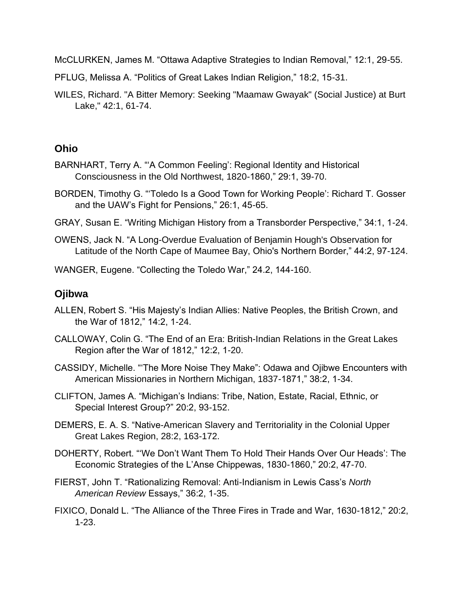McCLURKEN, James M. "Ottawa Adaptive Strategies to Indian Removal," 12:1, 29-55.

- PFLUG, Melissa A. "Politics of Great Lakes Indian Religion," 18:2, 15-31.
- WILES, Richard. "A Bitter Memory: Seeking "Maamaw Gwayak" (Social Justice) at Burt Lake," 42:1, 61-74.

#### **Ohio**

- BARNHART, Terry A. "'A Common Feeling': Regional Identity and Historical Consciousness in the Old Northwest, 1820-1860," 29:1, 39-70.
- BORDEN, Timothy G. "'Toledo Is a Good Town for Working People': Richard T. Gosser and the UAW's Fight for Pensions," 26:1, 45-65.
- GRAY, Susan E. "Writing Michigan History from a Transborder Perspective," 34:1, 1-24.
- OWENS, Jack N. "A Long-Overdue Evaluation of Benjamin Hough's Observation for Latitude of the North Cape of Maumee Bay, Ohio's Northern Border," 44:2, 97-124.

WANGER, Eugene. "Collecting the Toledo War," 24.2, 144-160.

#### **Ojibwa**

- ALLEN, Robert S. "His Majesty's Indian Allies: Native Peoples, the British Crown, and the War of 1812," 14:2, 1-24.
- CALLOWAY, Colin G. "The End of an Era: British-Indian Relations in the Great Lakes Region after the War of 1812," 12:2, 1-20.
- CASSIDY, Michelle. "'The More Noise They Make": Odawa and Ojibwe Encounters with American Missionaries in Northern Michigan, 1837-1871," 38:2, 1-34.
- CLIFTON, James A. "Michigan's Indians: Tribe, Nation, Estate, Racial, Ethnic, or Special Interest Group?" 20:2, 93-152.
- DEMERS, E. A. S. "Native-American Slavery and Territoriality in the Colonial Upper Great Lakes Region, 28:2, 163-172.
- DOHERTY, Robert. "'We Don't Want Them To Hold Their Hands Over Our Heads': The Economic Strategies of the L'Anse Chippewas, 1830-1860," 20:2, 47-70.
- FIERST, John T. "Rationalizing Removal: Anti-Indianism in Lewis Cass's *North American Review* Essays," 36:2, 1-35.
- FIXICO, Donald L. "The Alliance of the Three Fires in Trade and War, 1630-1812," 20:2, 1-23.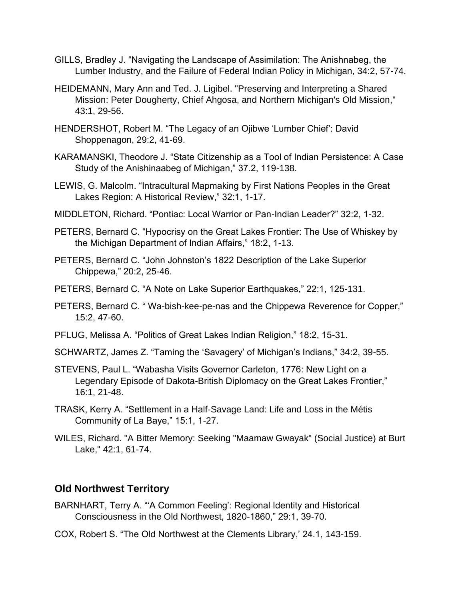- GILLS, Bradley J. "Navigating the Landscape of Assimilation: The Anishnabeg, the Lumber Industry, and the Failure of Federal Indian Policy in Michigan, 34:2, 57-74.
- HEIDEMANN, Mary Ann and Ted. J. Ligibel. "Preserving and Interpreting a Shared Mission: Peter Dougherty, Chief Ahgosa, and Northern Michigan's Old Mission," 43:1, 29-56.
- HENDERSHOT, Robert M. "The Legacy of an Ojibwe 'Lumber Chief': David Shoppenagon, 29:2, 41-69.
- KARAMANSKI, Theodore J. "State Citizenship as a Tool of Indian Persistence: A Case Study of the Anishinaabeg of Michigan," 37.2, 119-138.
- LEWIS, G. Malcolm. "Intracultural Mapmaking by First Nations Peoples in the Great Lakes Region: A Historical Review," 32:1, 1-17.
- MIDDLETON, Richard. "Pontiac: Local Warrior or Pan-Indian Leader?" 32:2, 1-32.
- PETERS, Bernard C. "Hypocrisy on the Great Lakes Frontier: The Use of Whiskey by the Michigan Department of Indian Affairs," 18:2, 1-13.
- PETERS, Bernard C. "John Johnston's 1822 Description of the Lake Superior Chippewa," 20:2, 25-46.
- PETERS, Bernard C. "A Note on Lake Superior Earthquakes," 22:1, 125-131.
- PETERS, Bernard C. " Wa-bish-kee-pe-nas and the Chippewa Reverence for Copper," 15:2, 47-60.
- PFLUG, Melissa A. "Politics of Great Lakes Indian Religion," 18:2, 15-31.
- SCHWARTZ, James Z. "Taming the 'Savagery' of Michigan's Indians," 34:2, 39-55.
- STEVENS, Paul L. "Wabasha Visits Governor Carleton, 1776: New Light on a Legendary Episode of Dakota-British Diplomacy on the Great Lakes Frontier," 16:1, 21-48.
- TRASK, Kerry A. "Settlement in a Half-Savage Land: Life and Loss in the Métis Community of La Baye," 15:1, 1-27.
- WILES, Richard. "A Bitter Memory: Seeking "Maamaw Gwayak" (Social Justice) at Burt Lake," 42:1, 61-74.

#### **Old Northwest Territory**

- BARNHART, Terry A. "'A Common Feeling': Regional Identity and Historical Consciousness in the Old Northwest, 1820-1860," 29:1, 39-70.
- COX, Robert S. "The Old Northwest at the Clements Library,' 24.1, 143-159.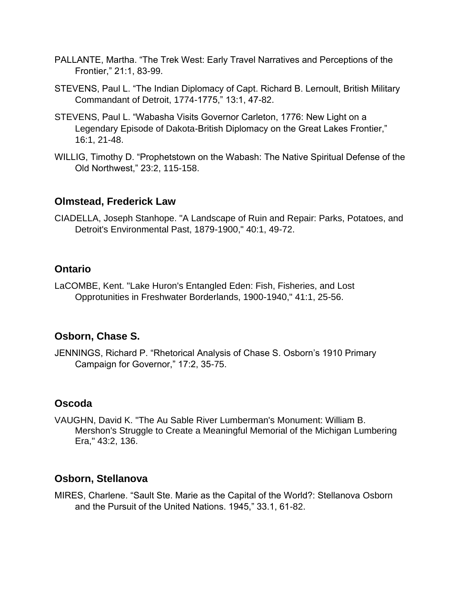- PALLANTE, Martha. "The Trek West: Early Travel Narratives and Perceptions of the Frontier," 21:1, 83-99.
- STEVENS, Paul L. "The Indian Diplomacy of Capt. Richard B. Lernoult, British Military Commandant of Detroit, 1774-1775," 13:1, 47-82.
- STEVENS, Paul L. "Wabasha Visits Governor Carleton, 1776: New Light on a Legendary Episode of Dakota-British Diplomacy on the Great Lakes Frontier," 16:1, 21-48.
- WILLIG, Timothy D. "Prophetstown on the Wabash: The Native Spiritual Defense of the Old Northwest," 23:2, 115-158.

#### **Olmstead, Frederick Law**

CIADELLA, Joseph Stanhope. "A Landscape of Ruin and Repair: Parks, Potatoes, and Detroit's Environmental Past, 1879-1900," 40:1, 49-72.

# **Ontario**

LaCOMBE, Kent. "Lake Huron's Entangled Eden: Fish, Fisheries, and Lost Opprotunities in Freshwater Borderlands, 1900-1940," 41:1, 25-56.

## **Osborn, Chase S.**

JENNINGS, Richard P. "Rhetorical Analysis of Chase S. Osborn's 1910 Primary Campaign for Governor," 17:2, 35-75.

# **Oscoda**

VAUGHN, David K. "The Au Sable River Lumberman's Monument: William B. Mershon's Struggle to Create a Meaningful Memorial of the Michigan Lumbering Era," 43:2, 136.

# **Osborn, Stellanova**

MIRES, Charlene. "Sault Ste. Marie as the Capital of the World?: Stellanova Osborn and the Pursuit of the United Nations. 1945," 33.1, 61-82.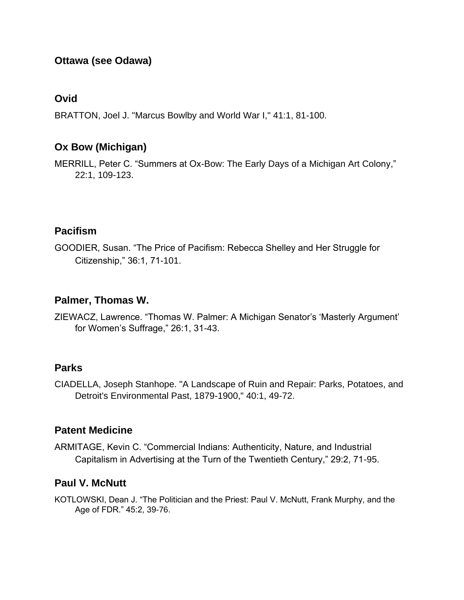# **Ottawa (see Odawa)**

#### **Ovid**

BRATTON, Joel J. "Marcus Bowlby and World War I," 41:1, 81-100.

#### **Ox Bow (Michigan)**

MERRILL, Peter C. "Summers at Ox-Bow: The Early Days of a Michigan Art Colony," 22:1, 109-123.

## **Pacifism**

GOODIER, Susan. "The Price of Pacifism: Rebecca Shelley and Her Struggle for Citizenship," 36:1, 71-101.

#### **Palmer, Thomas W.**

ZIEWACZ, Lawrence. "Thomas W. Palmer: A Michigan Senator's 'Masterly Argument' for Women's Suffrage," 26:1, 31-43.

#### **Parks**

CIADELLA, Joseph Stanhope. "A Landscape of Ruin and Repair: Parks, Potatoes, and Detroit's Environmental Past, 1879-1900," 40:1, 49-72.

## **Patent Medicine**

ARMITAGE, Kevin C. "Commercial Indians: Authenticity, Nature, and Industrial Capitalism in Advertising at the Turn of the Twentieth Century," 29:2, 71-95.

#### **Paul V. McNutt**

KOTLOWSKI, Dean J. "The Politician and the Priest: Paul V. McNutt, Frank Murphy, and the Age of FDR." 45:2, 39-76.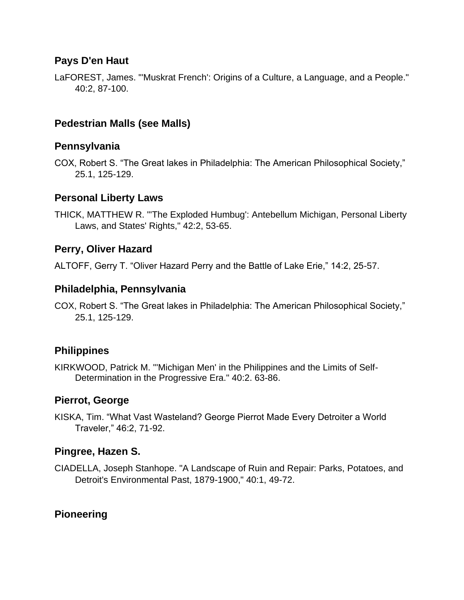# **Pays D'en Haut**

LaFOREST, James. "'Muskrat French': Origins of a Culture, a Language, and a People." 40:2, 87-100.

# **Pedestrian Malls (see Malls)**

#### **Pennsylvania**

COX, Robert S. "The Great lakes in Philadelphia: The American Philosophical Society," 25.1, 125-129.

#### **Personal Liberty Laws**

THICK, MATTHEW R. "'The Exploded Humbug': Antebellum Michigan, Personal Liberty Laws, and States' Rights," 42:2, 53-65.

## **Perry, Oliver Hazard**

ALTOFF, Gerry T. "Oliver Hazard Perry and the Battle of Lake Erie," 14:2, 25-57.

## **Philadelphia, Pennsylvania**

COX, Robert S. "The Great lakes in Philadelphia: The American Philosophical Society," 25.1, 125-129.

## **Philippines**

KIRKWOOD, Patrick M. "'Michigan Men' in the Philippines and the Limits of Self-Determination in the Progressive Era." 40:2. 63-86.

## **Pierrot, George**

KISKA, Tim. "What Vast Wasteland? George Pierrot Made Every Detroiter a World Traveler," 46:2, 71-92.

## **Pingree, Hazen S.**

CIADELLA, Joseph Stanhope. "A Landscape of Ruin and Repair: Parks, Potatoes, and Detroit's Environmental Past, 1879-1900," 40:1, 49-72.

# **Pioneering**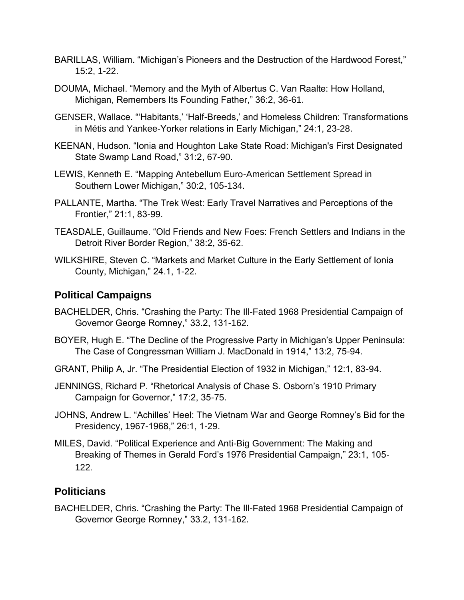- BARILLAS, William. "Michigan's Pioneers and the Destruction of the Hardwood Forest," 15:2, 1-22.
- DOUMA, Michael. "Memory and the Myth of Albertus C. Van Raalte: How Holland, Michigan, Remembers Its Founding Father," 36:2, 36-61.
- GENSER, Wallace. "'Habitants,' 'Half-Breeds,' and Homeless Children: Transformations in Métis and Yankee-Yorker relations in Early Michigan," 24:1, 23-28.
- KEENAN, Hudson. "Ionia and Houghton Lake State Road: Michigan's First Designated State Swamp Land Road," 31:2, 67-90.
- LEWIS, Kenneth E. "Mapping Antebellum Euro-American Settlement Spread in Southern Lower Michigan," 30:2, 105-134.
- PALLANTE, Martha. "The Trek West: Early Travel Narratives and Perceptions of the Frontier," 21:1, 83-99.
- TEASDALE, Guillaume. "Old Friends and New Foes: French Settlers and Indians in the Detroit River Border Region," 38:2, 35-62.
- WILKSHIRE, Steven C. "Markets and Market Culture in the Early Settlement of Ionia County, Michigan," 24.1, 1-22.

## **Political Campaigns**

- BACHELDER, Chris. "Crashing the Party: The Ill-Fated 1968 Presidential Campaign of Governor George Romney," 33.2, 131-162.
- BOYER, Hugh E. "The Decline of the Progressive Party in Michigan's Upper Peninsula: The Case of Congressman William J. MacDonald in 1914," 13:2, 75-94.
- GRANT, Philip A, Jr. "The Presidential Election of 1932 in Michigan," 12:1, 83-94.
- JENNINGS, Richard P. "Rhetorical Analysis of Chase S. Osborn's 1910 Primary Campaign for Governor," 17:2, 35-75.
- JOHNS, Andrew L. "Achilles' Heel: The Vietnam War and George Romney's Bid for the Presidency, 1967-1968," 26:1, 1-29.
- MILES, David. "Political Experience and Anti-Big Government: The Making and Breaking of Themes in Gerald Ford's 1976 Presidential Campaign," 23:1, 105- 122.

## **Politicians**

BACHELDER, Chris. "Crashing the Party: The Ill-Fated 1968 Presidential Campaign of Governor George Romney," 33.2, 131-162.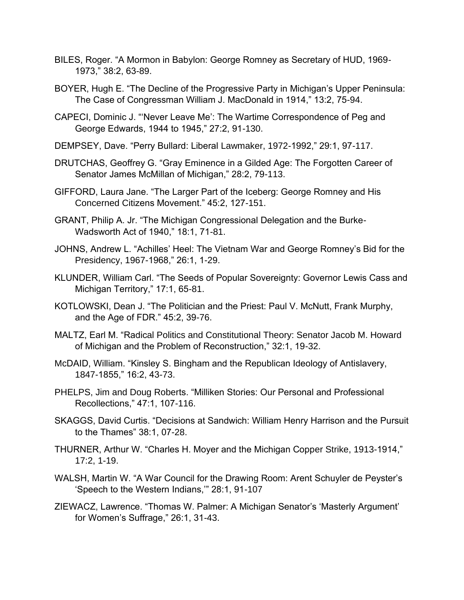- BILES, Roger. "A Mormon in Babylon: George Romney as Secretary of HUD, 1969- 1973," 38:2, 63-89.
- BOYER, Hugh E. "The Decline of the Progressive Party in Michigan's Upper Peninsula: The Case of Congressman William J. MacDonald in 1914," 13:2, 75-94.
- CAPECI, Dominic J. "'Never Leave Me': The Wartime Correspondence of Peg and George Edwards, 1944 to 1945," 27:2, 91-130.
- DEMPSEY, Dave. "Perry Bullard: Liberal Lawmaker, 1972-1992," 29:1, 97-117.
- DRUTCHAS, Geoffrey G. "Gray Eminence in a Gilded Age: The Forgotten Career of Senator James McMillan of Michigan," 28:2, 79-113.
- GIFFORD, Laura Jane. "The Larger Part of the Iceberg: George Romney and His Concerned Citizens Movement." 45:2, 127-151.
- GRANT, Philip A. Jr. "The Michigan Congressional Delegation and the Burke-Wadsworth Act of 1940," 18:1, 71-81.
- JOHNS, Andrew L. "Achilles' Heel: The Vietnam War and George Romney's Bid for the Presidency, 1967-1968," 26:1, 1-29.
- KLUNDER, William Carl. "The Seeds of Popular Sovereignty: Governor Lewis Cass and Michigan Territory," 17:1, 65-81.
- KOTLOWSKI, Dean J. "The Politician and the Priest: Paul V. McNutt, Frank Murphy, and the Age of FDR." 45:2, 39-76.
- MALTZ, Earl M. "Radical Politics and Constitutional Theory: Senator Jacob M. Howard of Michigan and the Problem of Reconstruction," 32:1, 19-32.
- McDAID, William. "Kinsley S. Bingham and the Republican Ideology of Antislavery, 1847-1855," 16:2, 43-73.
- PHELPS, Jim and Doug Roberts. "Milliken Stories: Our Personal and Professional Recollections," 47:1, 107-116.
- SKAGGS, David Curtis. "Decisions at Sandwich: William Henry Harrison and the Pursuit to the Thames" 38:1, 07-28.
- THURNER, Arthur W. "Charles H. Moyer and the Michigan Copper Strike, 1913-1914," 17:2, 1-19.
- WALSH, Martin W. "A War Council for the Drawing Room: Arent Schuyler de Peyster's 'Speech to the Western Indians,'" 28:1, 91-107
- ZIEWACZ, Lawrence. "Thomas W. Palmer: A Michigan Senator's 'Masterly Argument' for Women's Suffrage," 26:1, 31-43.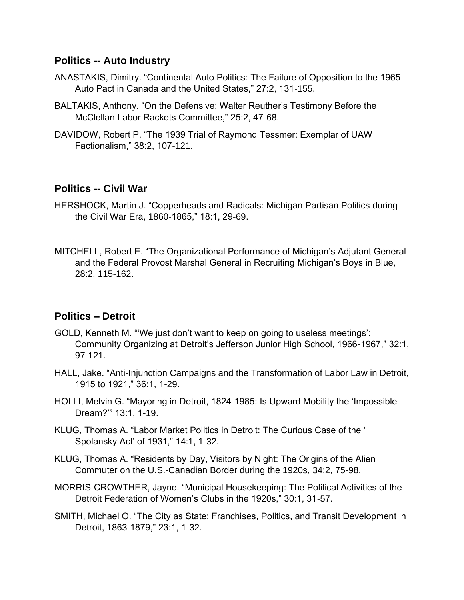#### **Politics -- Auto Industry**

- ANASTAKIS, Dimitry. "Continental Auto Politics: The Failure of Opposition to the 1965 Auto Pact in Canada and the United States," 27:2, 131-155.
- BALTAKIS, Anthony. "On the Defensive: Walter Reuther's Testimony Before the McClellan Labor Rackets Committee," 25:2, 47-68.
- DAVIDOW, Robert P. "The 1939 Trial of Raymond Tessmer: Exemplar of UAW Factionalism," 38:2, 107-121.

#### **Politics -- Civil War**

- HERSHOCK, Martin J. "Copperheads and Radicals: Michigan Partisan Politics during the Civil War Era, 1860-1865," 18:1, 29-69.
- MITCHELL, Robert E. "The Organizational Performance of Michigan's Adjutant General and the Federal Provost Marshal General in Recruiting Michigan's Boys in Blue, 28:2, 115-162.

## **Politics – Detroit**

- GOLD, Kenneth M. "'We just don't want to keep on going to useless meetings': Community Organizing at Detroit's Jefferson Junior High School, 1966-1967," 32:1, 97-121.
- HALL, Jake. "Anti-Injunction Campaigns and the Transformation of Labor Law in Detroit, 1915 to 1921," 36:1, 1-29.
- HOLLI, Melvin G. "Mayoring in Detroit, 1824-1985: Is Upward Mobility the 'Impossible Dream?'" 13:1, 1-19.
- KLUG, Thomas A. "Labor Market Politics in Detroit: The Curious Case of the ' Spolansky Act' of 1931," 14:1, 1-32.
- KLUG, Thomas A. "Residents by Day, Visitors by Night: The Origins of the Alien Commuter on the U.S.-Canadian Border during the 1920s, 34:2, 75-98.
- MORRIS-CROWTHER, Jayne. "Municipal Housekeeping: The Political Activities of the Detroit Federation of Women's Clubs in the 1920s," 30:1, 31-57.
- SMITH, Michael O. "The City as State: Franchises, Politics, and Transit Development in Detroit, 1863-1879," 23:1, 1-32.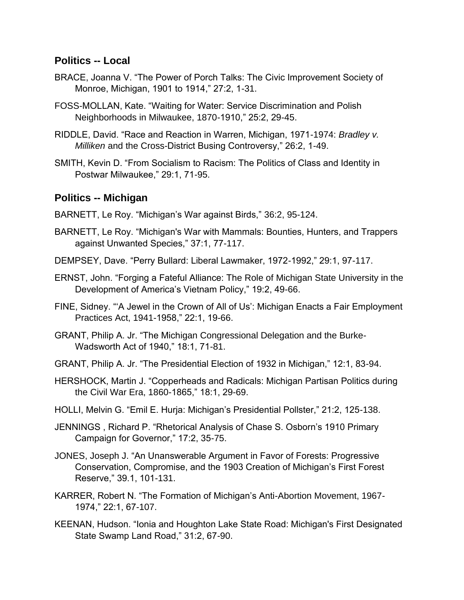#### **Politics -- Local**

- BRACE, Joanna V. "The Power of Porch Talks: The Civic Improvement Society of Monroe, Michigan, 1901 to 1914," 27:2, 1-31.
- FOSS-MOLLAN, Kate. "Waiting for Water: Service Discrimination and Polish Neighborhoods in Milwaukee, 1870-1910," 25:2, 29-45.
- RIDDLE, David. "Race and Reaction in Warren, Michigan, 1971-1974: *Bradley v. Milliken* and the Cross-District Busing Controversy," 26:2, 1-49.
- SMITH, Kevin D. "From Socialism to Racism: The Politics of Class and Identity in Postwar Milwaukee," 29:1, 71-95.

#### **Politics -- Michigan**

- BARNETT, Le Roy. "Michigan's War against Birds," 36:2, 95-124.
- BARNETT, Le Roy. "Michigan's War with Mammals: Bounties, Hunters, and Trappers against Unwanted Species," 37:1, 77-117.
- DEMPSEY, Dave. "Perry Bullard: Liberal Lawmaker, 1972-1992," 29:1, 97-117.
- ERNST, John. "Forging a Fateful Alliance: The Role of Michigan State University in the Development of America's Vietnam Policy," 19:2, 49-66.
- FINE, Sidney. "'A Jewel in the Crown of All of Us': Michigan Enacts a Fair Employment Practices Act, 1941-1958," 22:1, 19-66.
- GRANT, Philip A. Jr. "The Michigan Congressional Delegation and the Burke-Wadsworth Act of 1940," 18:1, 71-81.
- GRANT, Philip A. Jr. "The Presidential Election of 1932 in Michigan," 12:1, 83-94.
- HERSHOCK, Martin J. "Copperheads and Radicals: Michigan Partisan Politics during the Civil War Era, 1860-1865," 18:1, 29-69.
- HOLLI, Melvin G. "Emil E. Hurja: Michigan's Presidential Pollster," 21:2, 125-138.
- JENNINGS , Richard P. "Rhetorical Analysis of Chase S. Osborn's 1910 Primary Campaign for Governor," 17:2, 35-75.
- JONES, Joseph J. "An Unanswerable Argument in Favor of Forests: Progressive Conservation, Compromise, and the 1903 Creation of Michigan's First Forest Reserve," 39.1, 101-131.
- KARRER, Robert N. "The Formation of Michigan's Anti-Abortion Movement, 1967- 1974," 22:1, 67-107.
- KEENAN, Hudson. "Ionia and Houghton Lake State Road: Michigan's First Designated State Swamp Land Road," 31:2, 67-90.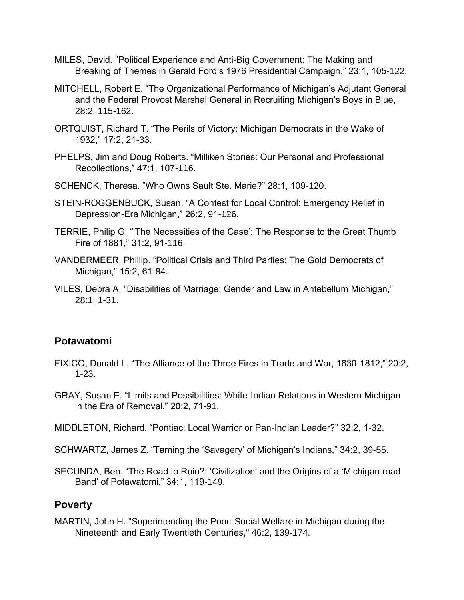- MILES, David. "Political Experience and Anti-Big Government: The Making and Breaking of Themes in Gerald Ford's 1976 Presidential Campaign," 23:1, 105-122.
- MITCHELL, Robert E. "The Organizational Performance of Michigan's Adjutant General and the Federal Provost Marshal General in Recruiting Michigan's Boys in Blue, 28:2, 115-162.
- ORTQUIST, Richard T. "The Perils of Victory: Michigan Democrats in the Wake of 1932," 17:2, 21-33.
- PHELPS, Jim and Doug Roberts. "Milliken Stories: Our Personal and Professional Recollections," 47:1, 107-116.
- SCHENCK, Theresa. "Who Owns Sault Ste. Marie?" 28:1, 109-120.
- STEIN-ROGGENBUCK, Susan. "A Contest for Local Control: Emergency Relief in Depression-Era Michigan," 26:2, 91-126.
- TERRIE, Philip G. '"The Necessities of the Case': The Response to the Great Thumb Fire of 1881," 31:2, 91-116.
- VANDERMEER, Phillip. "Political Crisis and Third Parties: The Gold Democrats of Michigan," 15:2, 61-84.
- VILES, Debra A. "Disabilities of Marriage: Gender and Law in Antebellum Michigan," 28:1, 1-31.

#### **Potawatomi**

- FIXICO, Donald L. "The Alliance of the Three Fires in Trade and War, 1630-1812," 20:2, 1-23.
- GRAY, Susan E. "Limits and Possibilities: White-Indian Relations in Western Michigan in the Era of Removal," 20:2, 71-91.
- MIDDLETON, Richard. "Pontiac: Local Warrior or Pan-Indian Leader?" 32:2, 1-32.
- SCHWARTZ, James Z. "Taming the 'Savagery' of Michigan's Indians," 34:2, 39-55.
- SECUNDA, Ben. "The Road to Ruin?: 'Civilization' and the Origins of a 'Michigan road Band' of Potawatomi," 34:1, 119-149.

#### **Poverty**

MARTIN, John H. "Superintending the Poor: Social Welfare in Michigan during the Nineteenth and Early Twentieth Centuries," 46:2, 139-174.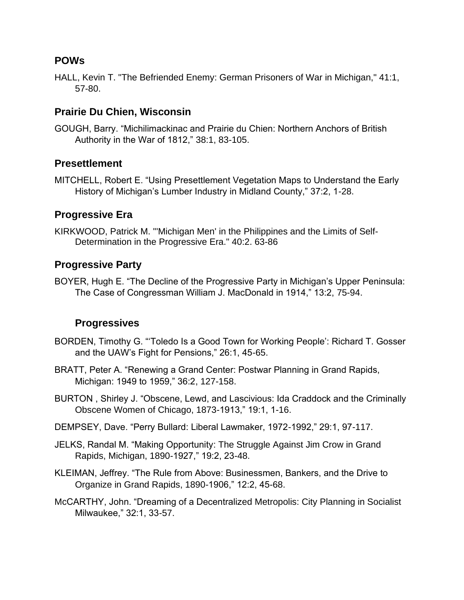## **POWs**

HALL, Kevin T. "The Befriended Enemy: German Prisoners of War in Michigan," 41:1, 57-80.

### **Prairie Du Chien, Wisconsin**

GOUGH, Barry. "Michilimackinac and Prairie du Chien: Northern Anchors of British Authority in the War of 1812," 38:1, 83-105.

#### **Presettlement**

MITCHELL, Robert E. "Using Presettlement Vegetation Maps to Understand the Early History of Michigan's Lumber Industry in Midland County," 37:2, 1-28.

#### **Progressive Era**

KIRKWOOD, Patrick M. "'Michigan Men' in the Philippines and the Limits of Self-Determination in the Progressive Era." 40:2. 63-86

#### **Progressive Party**

BOYER, Hugh E. "The Decline of the Progressive Party in Michigan's Upper Peninsula: The Case of Congressman William J. MacDonald in 1914," 13:2, 75-94.

#### **Progressives**

- BORDEN, Timothy G. "'Toledo Is a Good Town for Working People': Richard T. Gosser and the UAW's Fight for Pensions," 26:1, 45-65.
- BRATT, Peter A. "Renewing a Grand Center: Postwar Planning in Grand Rapids, Michigan: 1949 to 1959," 36:2, 127-158.
- BURTON , Shirley J. "Obscene, Lewd, and Lascivious: Ida Craddock and the Criminally Obscene Women of Chicago, 1873-1913," 19:1, 1-16.
- DEMPSEY, Dave. "Perry Bullard: Liberal Lawmaker, 1972-1992," 29:1, 97-117.
- JELKS, Randal M. "Making Opportunity: The Struggle Against Jim Crow in Grand Rapids, Michigan, 1890-1927," 19:2, 23-48.
- KLEIMAN, Jeffrey. "The Rule from Above: Businessmen, Bankers, and the Drive to Organize in Grand Rapids, 1890-1906," 12:2, 45-68.
- McCARTHY, John. "Dreaming of a Decentralized Metropolis: City Planning in Socialist Milwaukee," 32:1, 33-57.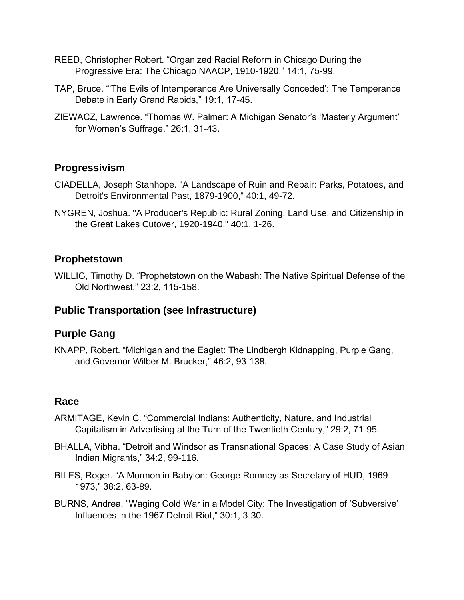- REED, Christopher Robert. "Organized Racial Reform in Chicago During the Progressive Era: The Chicago NAACP, 1910-1920," 14:1, 75-99.
- TAP, Bruce. "'The Evils of Intemperance Are Universally Conceded': The Temperance Debate in Early Grand Rapids," 19:1, 17-45.
- ZIEWACZ, Lawrence. "Thomas W. Palmer: A Michigan Senator's 'Masterly Argument' for Women's Suffrage," 26:1, 31-43.

# **Progressivism**

- CIADELLA, Joseph Stanhope. "A Landscape of Ruin and Repair: Parks, Potatoes, and Detroit's Environmental Past, 1879-1900," 40:1, 49-72.
- NYGREN, Joshua. "A Producer's Republic: Rural Zoning, Land Use, and Citizenship in the Great Lakes Cutover, 1920-1940," 40:1, 1-26.

# **Prophetstown**

WILLIG, Timothy D. "Prophetstown on the Wabash: The Native Spiritual Defense of the Old Northwest," 23:2, 115-158.

# **Public Transportation (see Infrastructure)**

## **Purple Gang**

KNAPP, Robert. "Michigan and the Eaglet: The Lindbergh Kidnapping, Purple Gang, and Governor Wilber M. Brucker," 46:2, 93-138.

## **Race**

- ARMITAGE, Kevin C. "Commercial Indians: Authenticity, Nature, and Industrial Capitalism in Advertising at the Turn of the Twentieth Century," 29:2, 71-95.
- BHALLA, Vibha. "Detroit and Windsor as Transnational Spaces: A Case Study of Asian Indian Migrants," 34:2, 99-116.
- BILES, Roger. "A Mormon in Babylon: George Romney as Secretary of HUD, 1969- 1973," 38:2, 63-89.
- BURNS, Andrea. "Waging Cold War in a Model City: The Investigation of 'Subversive' Influences in the 1967 Detroit Riot," 30:1, 3-30.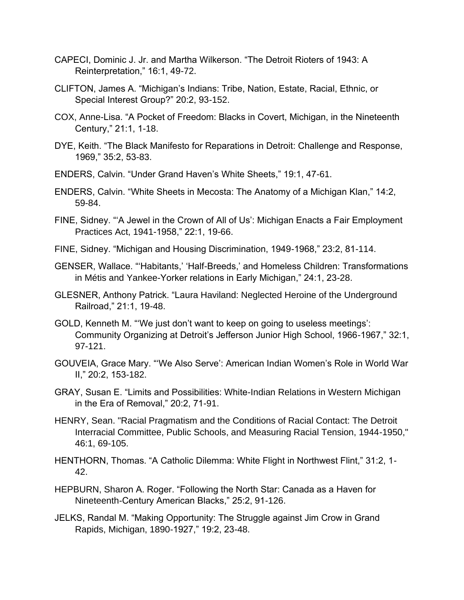- CAPECI, Dominic J. Jr. and Martha Wilkerson. "The Detroit Rioters of 1943: A Reinterpretation," 16:1, 49-72.
- CLIFTON, James A. "Michigan's Indians: Tribe, Nation, Estate, Racial, Ethnic, or Special Interest Group?" 20:2, 93-152.
- COX, Anne-Lisa. "A Pocket of Freedom: Blacks in Covert, Michigan, in the Nineteenth Century," 21:1, 1-18.
- DYE, Keith. "The Black Manifesto for Reparations in Detroit: Challenge and Response, 1969," 35:2, 53-83.
- ENDERS, Calvin. "Under Grand Haven's White Sheets," 19:1, 47-61.
- ENDERS, Calvin. "White Sheets in Mecosta: The Anatomy of a Michigan Klan," 14:2, 59-84.
- FINE, Sidney. "'A Jewel in the Crown of All of Us': Michigan Enacts a Fair Employment Practices Act, 1941-1958," 22:1, 19-66.
- FINE, Sidney. "Michigan and Housing Discrimination, 1949-1968," 23:2, 81-114.
- GENSER, Wallace. "'Habitants,' 'Half-Breeds,' and Homeless Children: Transformations in Métis and Yankee-Yorker relations in Early Michigan," 24:1, 23-28.
- GLESNER, Anthony Patrick. "Laura Haviland: Neglected Heroine of the Underground Railroad," 21:1, 19-48.
- GOLD, Kenneth M. "'We just don't want to keep on going to useless meetings': Community Organizing at Detroit's Jefferson Junior High School, 1966-1967," 32:1, 97-121.
- GOUVEIA, Grace Mary. "'We Also Serve': American Indian Women's Role in World War II," 20:2, 153-182.
- GRAY, Susan E. "Limits and Possibilities: White-Indian Relations in Western Michigan in the Era of Removal," 20:2, 71-91.
- HENRY, Sean. "Racial Pragmatism and the Conditions of Racial Contact: The Detroit Interracial Committee, Public Schools, and Measuring Racial Tension, 1944-1950," 46:1, 69-105.
- HENTHORN, Thomas. "A Catholic Dilemma: White Flight in Northwest Flint," 31:2, 1- 42.
- HEPBURN, Sharon A. Roger. "Following the North Star: Canada as a Haven for Nineteenth-Century American Blacks," 25:2, 91-126.
- JELKS, Randal M. "Making Opportunity: The Struggle against Jim Crow in Grand Rapids, Michigan, 1890-1927," 19:2, 23-48.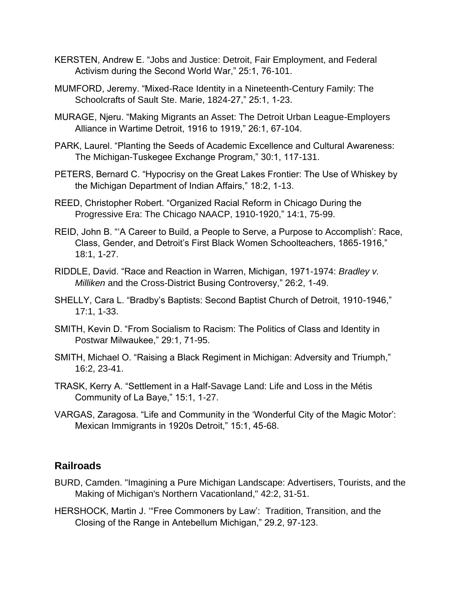- KERSTEN, Andrew E. "Jobs and Justice: Detroit, Fair Employment, and Federal Activism during the Second World War," 25:1, 76-101.
- MUMFORD, Jeremy. "Mixed-Race Identity in a Nineteenth-Century Family: The Schoolcrafts of Sault Ste. Marie, 1824-27," 25:1, 1-23.
- MURAGE, Njeru. "Making Migrants an Asset: The Detroit Urban League-Employers Alliance in Wartime Detroit, 1916 to 1919," 26:1, 67-104.
- PARK, Laurel. "Planting the Seeds of Academic Excellence and Cultural Awareness: The Michigan-Tuskegee Exchange Program," 30:1, 117-131.
- PETERS, Bernard C. "Hypocrisy on the Great Lakes Frontier: The Use of Whiskey by the Michigan Department of Indian Affairs," 18:2, 1-13.
- REED, Christopher Robert. "Organized Racial Reform in Chicago During the Progressive Era: The Chicago NAACP, 1910-1920," 14:1, 75-99.
- REID, John B. "'A Career to Build, a People to Serve, a Purpose to Accomplish': Race, Class, Gender, and Detroit's First Black Women Schoolteachers, 1865-1916," 18:1, 1-27.
- RIDDLE, David. "Race and Reaction in Warren, Michigan, 1971-1974: *Bradley v. Milliken* and the Cross-District Busing Controversy," 26:2, 1-49.
- SHELLY, Cara L. "Bradby's Baptists: Second Baptist Church of Detroit, 1910-1946," 17:1, 1-33.
- SMITH, Kevin D. "From Socialism to Racism: The Politics of Class and Identity in Postwar Milwaukee," 29:1, 71-95.
- SMITH, Michael O. "Raising a Black Regiment in Michigan: Adversity and Triumph," 16:2, 23-41.
- TRASK, Kerry A. "Settlement in a Half-Savage Land: Life and Loss in the Métis Community of La Baye," 15:1, 1-27.
- VARGAS, Zaragosa. "Life and Community in the 'Wonderful City of the Magic Motor': Mexican Immigrants in 1920s Detroit," 15:1, 45-68.

## **Railroads**

- BURD, Camden. "Imagining a Pure Michigan Landscape: Advertisers, Tourists, and the Making of Michigan's Northern Vacationland," 42:2, 31-51.
- HERSHOCK, Martin J. '"Free Commoners by Law': Tradition, Transition, and the Closing of the Range in Antebellum Michigan," 29.2, 97-123.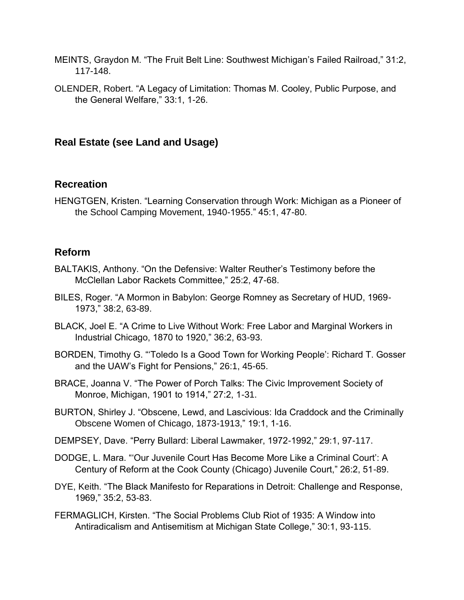- MEINTS, Graydon M. "The Fruit Belt Line: Southwest Michigan's Failed Railroad," 31:2, 117-148.
- OLENDER, Robert. "A Legacy of Limitation: Thomas M. Cooley, Public Purpose, and the General Welfare," 33:1, 1-26.

### **Real Estate (see Land and Usage)**

#### **Recreation**

HENGTGEN, Kristen. "Learning Conservation through Work: Michigan as a Pioneer of the School Camping Movement, 1940-1955." 45:1, 47-80.

#### **Reform**

- BALTAKIS, Anthony. "On the Defensive: Walter Reuther's Testimony before the McClellan Labor Rackets Committee," 25:2, 47-68.
- BILES, Roger. "A Mormon in Babylon: George Romney as Secretary of HUD, 1969- 1973," 38:2, 63-89.
- BLACK, Joel E. "A Crime to Live Without Work: Free Labor and Marginal Workers in Industrial Chicago, 1870 to 1920," 36:2, 63-93.
- BORDEN, Timothy G. "'Toledo Is a Good Town for Working People': Richard T. Gosser and the UAW's Fight for Pensions," 26:1, 45-65.
- BRACE, Joanna V. "The Power of Porch Talks: The Civic Improvement Society of Monroe, Michigan, 1901 to 1914," 27:2, 1-31.
- BURTON, Shirley J. "Obscene, Lewd, and Lascivious: Ida Craddock and the Criminally Obscene Women of Chicago, 1873-1913," 19:1, 1-16.
- DEMPSEY, Dave. "Perry Bullard: Liberal Lawmaker, 1972-1992," 29:1, 97-117.
- DODGE, L. Mara. "'Our Juvenile Court Has Become More Like a Criminal Court': A Century of Reform at the Cook County (Chicago) Juvenile Court," 26:2, 51-89.
- DYE, Keith. "The Black Manifesto for Reparations in Detroit: Challenge and Response, 1969," 35:2, 53-83.
- FERMAGLICH, Kirsten. "The Social Problems Club Riot of 1935: A Window into Antiradicalism and Antisemitism at Michigan State College," 30:1, 93-115.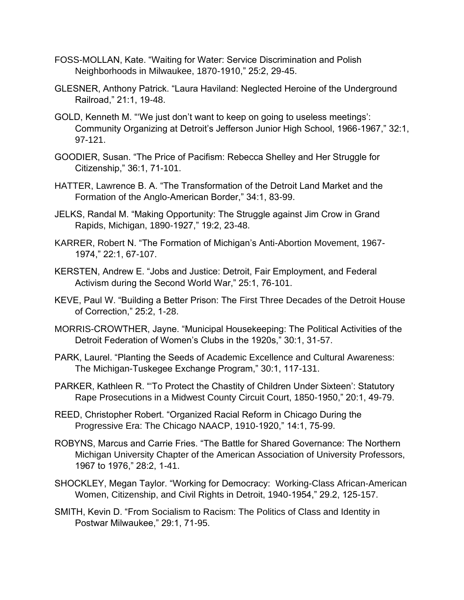- FOSS-MOLLAN, Kate. "Waiting for Water: Service Discrimination and Polish Neighborhoods in Milwaukee, 1870-1910," 25:2, 29-45.
- GLESNER, Anthony Patrick. "Laura Haviland: Neglected Heroine of the Underground Railroad," 21:1, 19-48.
- GOLD, Kenneth M. "'We just don't want to keep on going to useless meetings': Community Organizing at Detroit's Jefferson Junior High School, 1966-1967," 32:1, 97-121.
- GOODIER, Susan. "The Price of Pacifism: Rebecca Shelley and Her Struggle for Citizenship," 36:1, 71-101.
- HATTER, Lawrence B. A. "The Transformation of the Detroit Land Market and the Formation of the Anglo-American Border," 34:1, 83-99.
- JELKS, Randal M. "Making Opportunity: The Struggle against Jim Crow in Grand Rapids, Michigan, 1890-1927," 19:2, 23-48.
- KARRER, Robert N. "The Formation of Michigan's Anti-Abortion Movement, 1967- 1974," 22:1, 67-107.
- KERSTEN, Andrew E. "Jobs and Justice: Detroit, Fair Employment, and Federal Activism during the Second World War," 25:1, 76-101.
- KEVE, Paul W. "Building a Better Prison: The First Three Decades of the Detroit House of Correction," 25:2, 1-28.
- MORRIS-CROWTHER, Jayne. "Municipal Housekeeping: The Political Activities of the Detroit Federation of Women's Clubs in the 1920s," 30:1, 31-57.
- PARK, Laurel. "Planting the Seeds of Academic Excellence and Cultural Awareness: The Michigan-Tuskegee Exchange Program," 30:1, 117-131.
- PARKER, Kathleen R. "'To Protect the Chastity of Children Under Sixteen': Statutory Rape Prosecutions in a Midwest County Circuit Court, 1850-1950," 20:1, 49-79.
- REED, Christopher Robert. "Organized Racial Reform in Chicago During the Progressive Era: The Chicago NAACP, 1910-1920," 14:1, 75-99.
- ROBYNS, Marcus and Carrie Fries. "The Battle for Shared Governance: The Northern Michigan University Chapter of the American Association of University Professors, 1967 to 1976," 28:2, 1-41.
- SHOCKLEY, Megan Taylor. "Working for Democracy: Working-Class African-American Women, Citizenship, and Civil Rights in Detroit, 1940-1954," 29.2, 125-157.
- SMITH, Kevin D. "From Socialism to Racism: The Politics of Class and Identity in Postwar Milwaukee," 29:1, 71-95.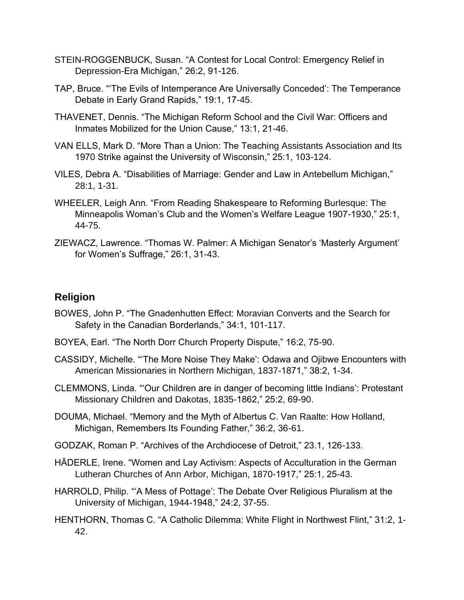- STEIN-ROGGENBUCK, Susan. "A Contest for Local Control: Emergency Relief in Depression-Era Michigan," 26:2, 91-126.
- TAP, Bruce. "'The Evils of Intemperance Are Universally Conceded': The Temperance Debate in Early Grand Rapids," 19:1, 17-45.
- THAVENET, Dennis. "The Michigan Reform School and the Civil War: Officers and Inmates Mobilized for the Union Cause," 13:1, 21-46.
- VAN ELLS, Mark D. "More Than a Union: The Teaching Assistants Association and Its 1970 Strike against the University of Wisconsin," 25:1, 103-124.
- VILES, Debra A. "Disabilities of Marriage: Gender and Law in Antebellum Michigan," 28:1, 1-31.
- WHEELER, Leigh Ann. "From Reading Shakespeare to Reforming Burlesque: The Minneapolis Woman's Club and the Women's Welfare League 1907-1930," 25:1, 44-75.
- ZIEWACZ, Lawrence. "Thomas W. Palmer: A Michigan Senator's 'Masterly Argument' for Women's Suffrage," 26:1, 31-43.

# **Religion**

- BOWES, John P. "The Gnadenhutten Effect: Moravian Converts and the Search for Safety in the Canadian Borderlands," 34:1, 101-117.
- BOYEA, Earl. "The North Dorr Church Property Dispute," 16:2, 75-90.
- CASSIDY, Michelle. "'The More Noise They Make': Odawa and Ojibwe Encounters with American Missionaries in Northern Michigan, 1837-1871," 38:2, 1-34.
- CLEMMONS, Linda. "'Our Children are in danger of becoming little Indians': Protestant Missionary Children and Dakotas, 1835-1862," 25:2, 69-90.
- DOUMA, Michael. "Memory and the Myth of Albertus C. Van Raalte: How Holland, Michigan, Remembers Its Founding Father," 36:2, 36-61.
- GODZAK, Roman P. "Archives of the Archdiocese of Detroit," 23.1, 126-133.
- HÄDERLE, Irene. "Women and Lay Activism: Aspects of Acculturation in the German Lutheran Churches of Ann Arbor, Michigan, 1870-1917," 25:1, 25-43.
- HARROLD, Philip. "'A Mess of Pottage': The Debate Over Religious Pluralism at the University of Michigan, 1944-1948," 24:2, 37-55.
- HENTHORN, Thomas C. "A Catholic Dilemma: White Flight in Northwest Flint," 31:2, 1- 42.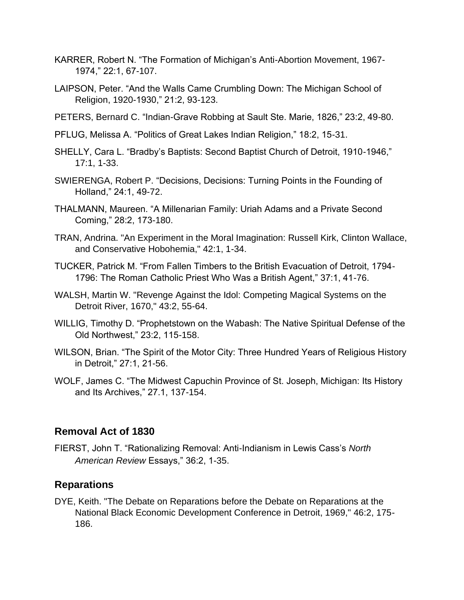- KARRER, Robert N. "The Formation of Michigan's Anti-Abortion Movement, 1967- 1974," 22:1, 67-107.
- LAIPSON, Peter. "And the Walls Came Crumbling Down: The Michigan School of Religion, 1920-1930," 21:2, 93-123.
- PETERS, Bernard C. "Indian-Grave Robbing at Sault Ste. Marie, 1826," 23:2, 49-80.
- PFLUG, Melissa A. "Politics of Great Lakes Indian Religion," 18:2, 15-31.
- SHELLY, Cara L. "Bradby's Baptists: Second Baptist Church of Detroit, 1910-1946," 17:1, 1-33.
- SWIERENGA, Robert P. "Decisions, Decisions: Turning Points in the Founding of Holland," 24:1, 49-72.
- THALMANN, Maureen. "A Millenarian Family: Uriah Adams and a Private Second Coming," 28:2, 173-180.
- TRAN, Andrina. "An Experiment in the Moral Imagination: Russell Kirk, Clinton Wallace, and Conservative Hobohemia," 42:1, 1-34.
- TUCKER, Patrick M. "From Fallen Timbers to the British Evacuation of Detroit, 1794- 1796: The Roman Catholic Priest Who Was a British Agent," 37:1, 41-76.
- WALSH, Martin W. "Revenge Against the Idol: Competing Magical Systems on the Detroit River, 1670," 43:2, 55-64.
- WILLIG, Timothy D. "Prophetstown on the Wabash: The Native Spiritual Defense of the Old Northwest," 23:2, 115-158.
- WILSON, Brian. "The Spirit of the Motor City: Three Hundred Years of Religious History in Detroit," 27:1, 21-56.
- WOLF, James C. "The Midwest Capuchin Province of St. Joseph, Michigan: Its History and Its Archives," 27.1, 137-154.

#### **Removal Act of 1830**

FIERST, John T. "Rationalizing Removal: Anti-Indianism in Lewis Cass's *North American Review* Essays," 36:2, 1-35.

#### **Reparations**

DYE, Keith. "The Debate on Reparations before the Debate on Reparations at the National Black Economic Development Conference in Detroit, 1969," 46:2, 175- 186.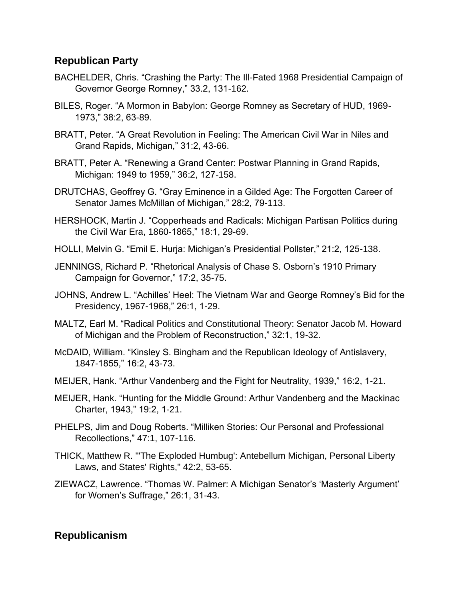#### **Republican Party**

- BACHELDER, Chris. "Crashing the Party: The Ill-Fated 1968 Presidential Campaign of Governor George Romney," 33.2, 131-162.
- BILES, Roger. "A Mormon in Babylon: George Romney as Secretary of HUD, 1969- 1973," 38:2, 63-89.
- BRATT, Peter. "A Great Revolution in Feeling: The American Civil War in Niles and Grand Rapids, Michigan," 31:2, 43-66.
- BRATT, Peter A. "Renewing a Grand Center: Postwar Planning in Grand Rapids, Michigan: 1949 to 1959," 36:2, 127-158.
- DRUTCHAS, Geoffrey G. "Gray Eminence in a Gilded Age: The Forgotten Career of Senator James McMillan of Michigan," 28:2, 79-113.
- HERSHOCK, Martin J. "Copperheads and Radicals: Michigan Partisan Politics during the Civil War Era, 1860-1865," 18:1, 29-69.
- HOLLI, Melvin G. "Emil E. Hurja: Michigan's Presidential Pollster," 21:2, 125-138.
- JENNINGS, Richard P. "Rhetorical Analysis of Chase S. Osborn's 1910 Primary Campaign for Governor," 17:2, 35-75.
- JOHNS, Andrew L. "Achilles' Heel: The Vietnam War and George Romney's Bid for the Presidency, 1967-1968," 26:1, 1-29.
- MALTZ, Earl M. "Radical Politics and Constitutional Theory: Senator Jacob M. Howard of Michigan and the Problem of Reconstruction," 32:1, 19-32.
- McDAID, William. "Kinsley S. Bingham and the Republican Ideology of Antislavery, 1847-1855," 16:2, 43-73.
- MEIJER, Hank. "Arthur Vandenberg and the Fight for Neutrality, 1939," 16:2, 1-21.
- MEIJER, Hank. "Hunting for the Middle Ground: Arthur Vandenberg and the Mackinac Charter, 1943," 19:2, 1-21.
- PHELPS, Jim and Doug Roberts. "Milliken Stories: Our Personal and Professional Recollections," 47:1, 107-116.
- THICK, Matthew R. "'The Exploded Humbug': Antebellum Michigan, Personal Liberty Laws, and States' Rights," 42:2, 53-65.
- ZIEWACZ, Lawrence. "Thomas W. Palmer: A Michigan Senator's 'Masterly Argument' for Women's Suffrage," 26:1, 31-43.

## **Republicanism**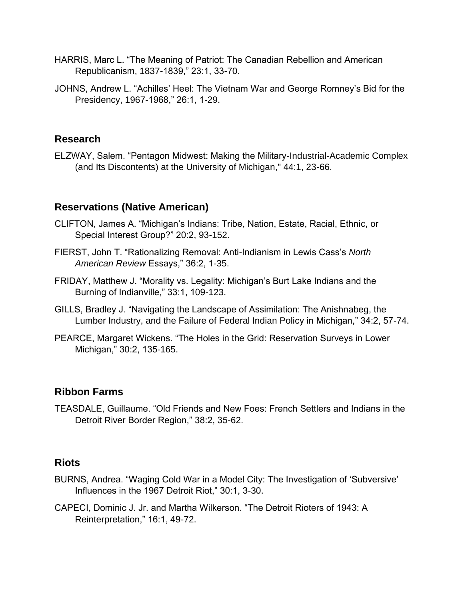- HARRIS, Marc L. "The Meaning of Patriot: The Canadian Rebellion and American Republicanism, 1837-1839," 23:1, 33-70.
- JOHNS, Andrew L. "Achilles' Heel: The Vietnam War and George Romney's Bid for the Presidency, 1967-1968," 26:1, 1-29.

### **Research**

ELZWAY, Salem. "Pentagon Midwest: Making the Military-Industrial-Academic Complex (and Its Discontents) at the University of Michigan," 44:1, 23-66.

## **Reservations (Native American)**

- CLIFTON, James A. "Michigan's Indians: Tribe, Nation, Estate, Racial, Ethnic, or Special Interest Group?" 20:2, 93-152.
- FIERST, John T. "Rationalizing Removal: Anti-Indianism in Lewis Cass's *North American Review* Essays," 36:2, 1-35.
- FRIDAY, Matthew J. "Morality vs. Legality: Michigan's Burt Lake Indians and the Burning of Indianville," 33:1, 109-123.
- GILLS, Bradley J. "Navigating the Landscape of Assimilation: The Anishnabeg, the Lumber Industry, and the Failure of Federal Indian Policy in Michigan," 34:2, 57-74.
- PEARCE, Margaret Wickens. "The Holes in the Grid: Reservation Surveys in Lower Michigan," 30:2, 135-165.

#### **Ribbon Farms**

TEASDALE, Guillaume. "Old Friends and New Foes: French Settlers and Indians in the Detroit River Border Region," 38:2, 35-62.

#### **Riots**

- BURNS, Andrea. "Waging Cold War in a Model City: The Investigation of 'Subversive' Influences in the 1967 Detroit Riot," 30:1, 3-30.
- CAPECI, Dominic J. Jr. and Martha Wilkerson. "The Detroit Rioters of 1943: A Reinterpretation," 16:1, 49-72.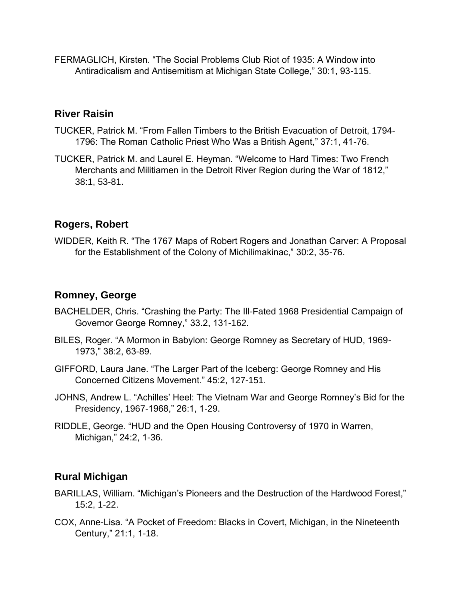FERMAGLICH, Kirsten. "The Social Problems Club Riot of 1935: A Window into Antiradicalism and Antisemitism at Michigan State College," 30:1, 93-115.

#### **River Raisin**

- TUCKER, Patrick M. "From Fallen Timbers to the British Evacuation of Detroit, 1794- 1796: The Roman Catholic Priest Who Was a British Agent," 37:1, 41-76.
- TUCKER, Patrick M. and Laurel E. Heyman. "Welcome to Hard Times: Two French Merchants and Militiamen in the Detroit River Region during the War of 1812," 38:1, 53-81.

# **Rogers, Robert**

WIDDER, Keith R. "The 1767 Maps of Robert Rogers and Jonathan Carver: A Proposal for the Establishment of the Colony of Michilimakinac," 30:2, 35-76.

#### **Romney, George**

- BACHELDER, Chris. "Crashing the Party: The Ill-Fated 1968 Presidential Campaign of Governor George Romney," 33.2, 131-162.
- BILES, Roger. "A Mormon in Babylon: George Romney as Secretary of HUD, 1969- 1973," 38:2, 63-89.
- GIFFORD, Laura Jane. "The Larger Part of the Iceberg: George Romney and His Concerned Citizens Movement." 45:2, 127-151.
- JOHNS, Andrew L. "Achilles' Heel: The Vietnam War and George Romney's Bid for the Presidency, 1967-1968," 26:1, 1-29.
- RIDDLE, George. "HUD and the Open Housing Controversy of 1970 in Warren, Michigan," 24:2, 1-36.

## **Rural Michigan**

- BARILLAS, William. "Michigan's Pioneers and the Destruction of the Hardwood Forest," 15:2, 1-22.
- COX, Anne-Lisa. "A Pocket of Freedom: Blacks in Covert, Michigan, in the Nineteenth Century," 21:1, 1-18.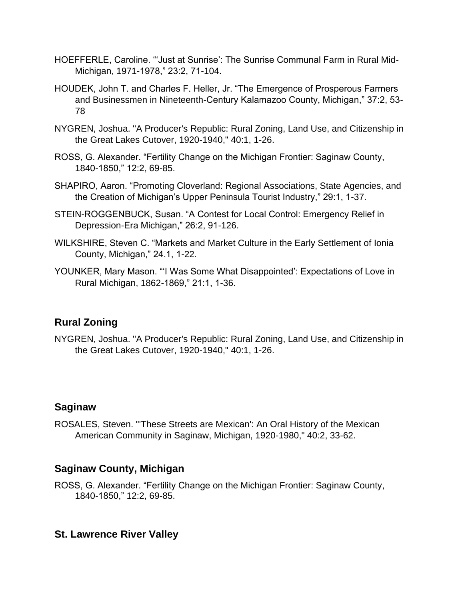- HOEFFERLE, Caroline. "'Just at Sunrise': The Sunrise Communal Farm in Rural Mid-Michigan, 1971-1978," 23:2, 71-104.
- HOUDEK, John T. and Charles F. Heller, Jr. "The Emergence of Prosperous Farmers and Businessmen in Nineteenth-Century Kalamazoo County, Michigan," 37:2, 53- 78
- NYGREN, Joshua. "A Producer's Republic: Rural Zoning, Land Use, and Citizenship in the Great Lakes Cutover, 1920-1940," 40:1, 1-26.
- ROSS, G. Alexander. "Fertility Change on the Michigan Frontier: Saginaw County, 1840-1850," 12:2, 69-85.
- SHAPIRO, Aaron. "Promoting Cloverland: Regional Associations, State Agencies, and the Creation of Michigan's Upper Peninsula Tourist Industry," 29:1, 1-37.
- STEIN-ROGGENBUCK, Susan. "A Contest for Local Control: Emergency Relief in Depression-Era Michigan," 26:2, 91-126.
- WILKSHIRE, Steven C. "Markets and Market Culture in the Early Settlement of Ionia County, Michigan," 24.1, 1-22.
- YOUNKER, Mary Mason. "'I Was Some What Disappointed': Expectations of Love in Rural Michigan, 1862-1869," 21:1, 1-36.

# **Rural Zoning**

NYGREN, Joshua. "A Producer's Republic: Rural Zoning, Land Use, and Citizenship in the Great Lakes Cutover, 1920-1940," 40:1, 1-26.

## **Saginaw**

ROSALES, Steven. "'These Streets are Mexican': An Oral History of the Mexican American Community in Saginaw, Michigan, 1920-1980," 40:2, 33-62.

## **Saginaw County, Michigan**

ROSS, G. Alexander. "Fertility Change on the Michigan Frontier: Saginaw County, 1840-1850," 12:2, 69-85.

## **St. Lawrence River Valley**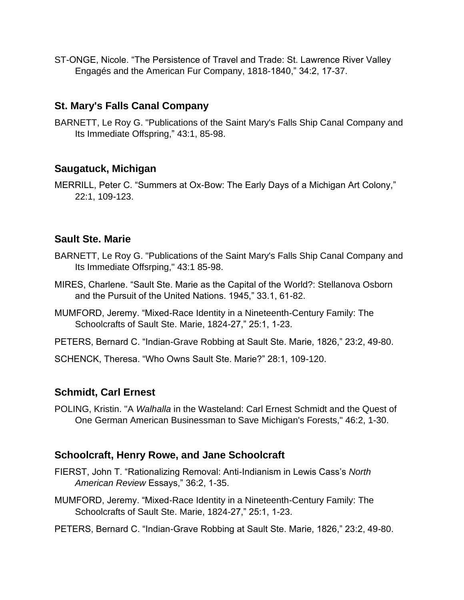ST-ONGE, Nicole. "The Persistence of Travel and Trade: St. Lawrence River Valley Engagés and the American Fur Company, 1818-1840," 34:2, 17-37.

## **St. Mary's Falls Canal Company**

BARNETT, Le Roy G. "Publications of the Saint Mary's Falls Ship Canal Company and Its Immediate Offspring," 43:1, 85-98.

## **Saugatuck, Michigan**

MERRILL, Peter C. "Summers at Ox-Bow: The Early Days of a Michigan Art Colony," 22:1, 109-123.

#### **Sault Ste. Marie**

- BARNETT, Le Roy G. "Publications of the Saint Mary's Falls Ship Canal Company and Its Immediate Offsrping," 43:1 85-98.
- MIRES, Charlene. "Sault Ste. Marie as the Capital of the World?: Stellanova Osborn and the Pursuit of the United Nations. 1945," 33.1, 61-82.
- MUMFORD, Jeremy. "Mixed-Race Identity in a Nineteenth-Century Family: The Schoolcrafts of Sault Ste. Marie, 1824-27," 25:1, 1-23.
- PETERS, Bernard C. "Indian-Grave Robbing at Sault Ste. Marie, 1826," 23:2, 49-80.

SCHENCK, Theresa. "Who Owns Sault Ste. Marie?" 28:1, 109-120.

#### **Schmidt, Carl Ernest**

POLING, Kristin. "A *Walhalla* in the Wasteland: Carl Ernest Schmidt and the Quest of One German American Businessman to Save Michigan's Forests," 46:2, 1-30.

## **Schoolcraft, Henry Rowe, and Jane Schoolcraft**

- FIERST, John T. "Rationalizing Removal: Anti-Indianism in Lewis Cass's *North American Review* Essays," 36:2, 1-35.
- MUMFORD, Jeremy. "Mixed-Race Identity in a Nineteenth-Century Family: The Schoolcrafts of Sault Ste. Marie, 1824-27," 25:1, 1-23.
- PETERS, Bernard C. "Indian-Grave Robbing at Sault Ste. Marie, 1826," 23:2, 49-80.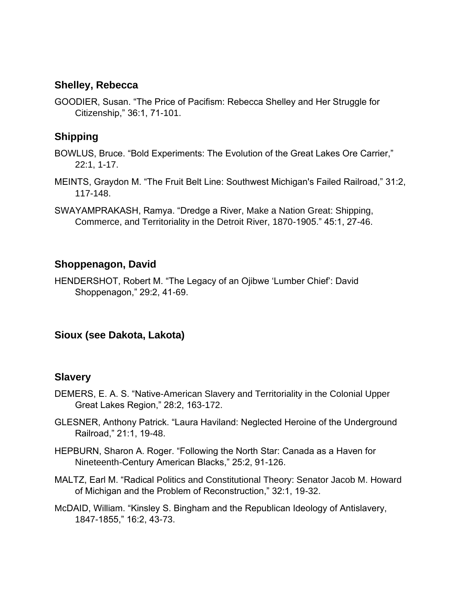#### **Shelley, Rebecca**

GOODIER, Susan. "The Price of Pacifism: Rebecca Shelley and Her Struggle for Citizenship," 36:1, 71-101.

# **Shipping**

- BOWLUS, Bruce. "Bold Experiments: The Evolution of the Great Lakes Ore Carrier," 22:1, 1-17.
- MEINTS, Graydon M. "The Fruit Belt Line: Southwest Michigan's Failed Railroad," 31:2, 117-148.
- SWAYAMPRAKASH, Ramya. "Dredge a River, Make a Nation Great: Shipping, Commerce, and Territoriality in the Detroit River, 1870-1905." 45:1, 27-46.

# **Shoppenagon, David**

HENDERSHOT, Robert M. "The Legacy of an Ojibwe 'Lumber Chief': David Shoppenagon," 29:2, 41-69.

## **Sioux (see Dakota, Lakota)**

## **Slavery**

- DEMERS, E. A. S. "Native-American Slavery and Territoriality in the Colonial Upper Great Lakes Region," 28:2, 163-172.
- GLESNER, Anthony Patrick. "Laura Haviland: Neglected Heroine of the Underground Railroad," 21:1, 19-48.
- HEPBURN, Sharon A. Roger. "Following the North Star: Canada as a Haven for Nineteenth-Century American Blacks," 25:2, 91-126.
- MALTZ, Earl M. "Radical Politics and Constitutional Theory: Senator Jacob M. Howard of Michigan and the Problem of Reconstruction," 32:1, 19-32.
- McDAID, William. "Kinsley S. Bingham and the Republican Ideology of Antislavery, 1847-1855," 16:2, 43-73.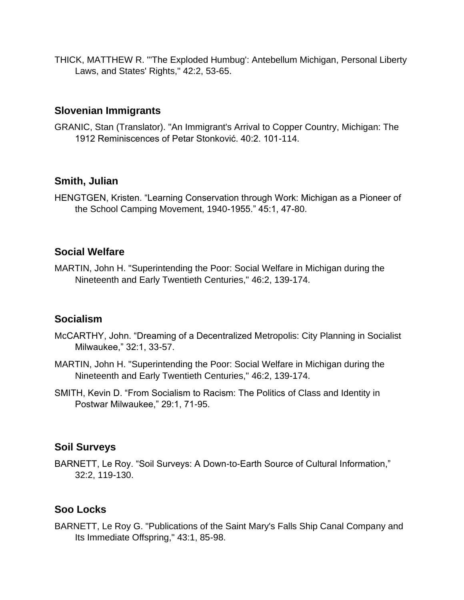THICK, MATTHEW R. "'The Exploded Humbug': Antebellum Michigan, Personal Liberty Laws, and States' Rights," 42:2, 53-65.

#### **Slovenian Immigrants**

GRANIC, Stan (Translator). "An Immigrant's Arrival to Copper Country, Michigan: The 1912 Reminiscences of Petar Stonković. 40:2. 101-114.

## **Smith, Julian**

HENGTGEN, Kristen. "Learning Conservation through Work: Michigan as a Pioneer of the School Camping Movement, 1940-1955." 45:1, 47-80.

# **Social Welfare**

MARTIN, John H. "Superintending the Poor: Social Welfare in Michigan during the Nineteenth and Early Twentieth Centuries," 46:2, 139-174.

## **Socialism**

- McCARTHY, John. "Dreaming of a Decentralized Metropolis: City Planning in Socialist Milwaukee," 32:1, 33-57.
- MARTIN, John H. "Superintending the Poor: Social Welfare in Michigan during the Nineteenth and Early Twentieth Centuries," 46:2, 139-174.
- SMITH, Kevin D. "From Socialism to Racism: The Politics of Class and Identity in Postwar Milwaukee," 29:1, 71-95.

# **Soil Surveys**

BARNETT, Le Roy. "Soil Surveys: A Down-to-Earth Source of Cultural Information," 32:2, 119-130.

# **Soo Locks**

BARNETT, Le Roy G. "Publications of the Saint Mary's Falls Ship Canal Company and Its Immediate Offspring," 43:1, 85-98.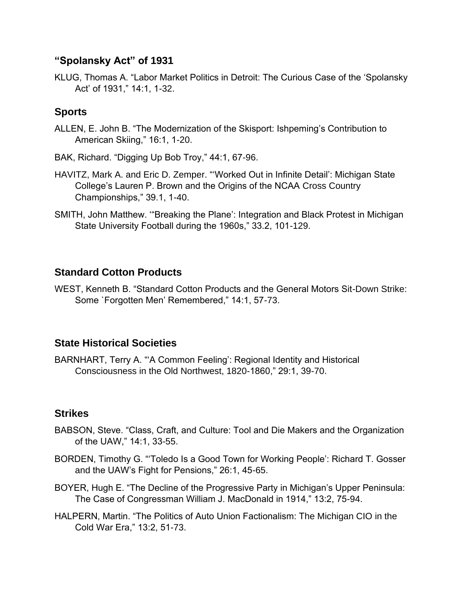### **"Spolansky Act" of 1931**

KLUG, Thomas A. "Labor Market Politics in Detroit: The Curious Case of the 'Spolansky Act' of 1931," 14:1, 1-32.

# **Sports**

ALLEN, E. John B. "The Modernization of the Skisport: Ishpeming's Contribution to American Skiing," 16:1, 1-20.

BAK, Richard. "Digging Up Bob Troy," 44:1, 67-96.

- HAVITZ, Mark A. and Eric D. Zemper. "'Worked Out in Infinite Detail': Michigan State College's Lauren P. Brown and the Origins of the NCAA Cross Country Championships," 39.1, 1-40.
- SMITH, John Matthew. '"Breaking the Plane': Integration and Black Protest in Michigan State University Football during the 1960s," 33.2, 101-129.

# **Standard Cotton Products**

WEST, Kenneth B. "Standard Cotton Products and the General Motors Sit-Down Strike: Some `Forgotten Men' Remembered," 14:1, 57-73.

## **State Historical Societies**

BARNHART, Terry A. "'A Common Feeling': Regional Identity and Historical Consciousness in the Old Northwest, 1820-1860," 29:1, 39-70.

## **Strikes**

- BABSON, Steve. "Class, Craft, and Culture: Tool and Die Makers and the Organization of the UAW," 14:1, 33-55.
- BORDEN, Timothy G. "'Toledo Is a Good Town for Working People': Richard T. Gosser and the UAW's Fight for Pensions," 26:1, 45-65.
- BOYER, Hugh E. "The Decline of the Progressive Party in Michigan's Upper Peninsula: The Case of Congressman William J. MacDonald in 1914," 13:2, 75-94.
- HALPERN, Martin. "The Politics of Auto Union Factionalism: The Michigan CIO in the Cold War Era," 13:2, 51-73.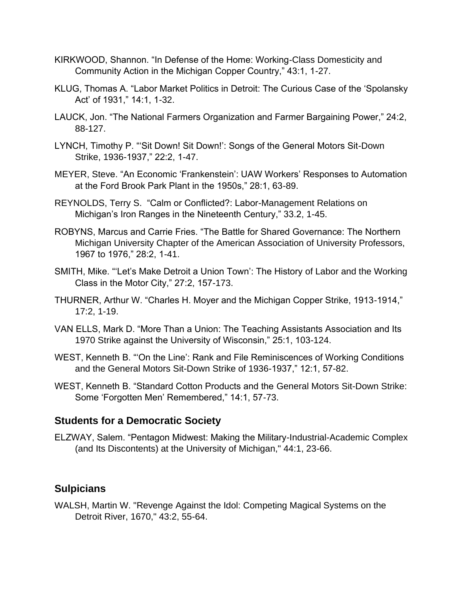- KIRKWOOD, Shannon. "In Defense of the Home: Working-Class Domesticity and Community Action in the Michigan Copper Country," 43:1, 1-27.
- KLUG, Thomas A. "Labor Market Politics in Detroit: The Curious Case of the 'Spolansky Act' of 1931," 14:1, 1-32.
- LAUCK, Jon. "The National Farmers Organization and Farmer Bargaining Power," 24:2, 88-127.
- LYNCH, Timothy P. "'Sit Down! Sit Down!': Songs of the General Motors Sit-Down Strike, 1936-1937," 22:2, 1-47.
- MEYER, Steve. "An Economic 'Frankenstein': UAW Workers' Responses to Automation at the Ford Brook Park Plant in the 1950s," 28:1, 63-89.
- REYNOLDS, Terry S. "Calm or Conflicted?: Labor-Management Relations on Michigan's Iron Ranges in the Nineteenth Century," 33.2, 1-45.
- ROBYNS, Marcus and Carrie Fries. "The Battle for Shared Governance: The Northern Michigan University Chapter of the American Association of University Professors, 1967 to 1976," 28:2, 1-41.
- SMITH, Mike. "'Let's Make Detroit a Union Town': The History of Labor and the Working Class in the Motor City," 27:2, 157-173.
- THURNER, Arthur W. "Charles H. Moyer and the Michigan Copper Strike, 1913-1914," 17:2, 1-19.
- VAN ELLS, Mark D. "More Than a Union: The Teaching Assistants Association and Its 1970 Strike against the University of Wisconsin," 25:1, 103-124.
- WEST, Kenneth B. "'On the Line': Rank and File Reminiscences of Working Conditions and the General Motors Sit-Down Strike of 1936-1937," 12:1, 57-82.
- WEST, Kenneth B. "Standard Cotton Products and the General Motors Sit-Down Strike: Some 'Forgotten Men' Remembered," 14:1, 57-73.

## **Students for a Democratic Society**

ELZWAY, Salem. "Pentagon Midwest: Making the Military-Industrial-Academic Complex (and Its Discontents) at the University of Michigan," 44:1, 23-66.

## **Sulpicians**

WALSH, Martin W. "Revenge Against the Idol: Competing Magical Systems on the Detroit River, 1670," 43:2, 55-64.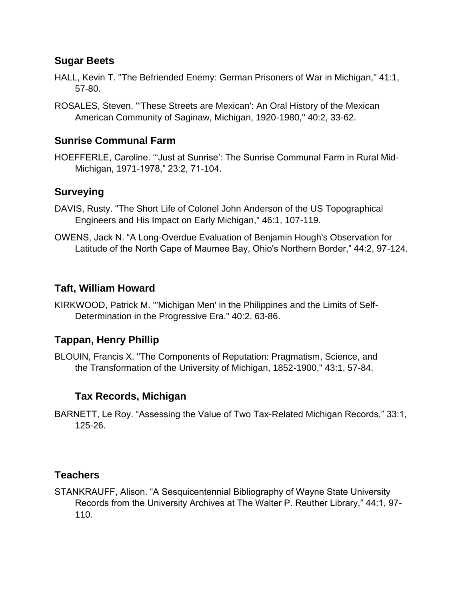### **Sugar Beets**

- HALL, Kevin T. "The Befriended Enemy: German Prisoners of War in Michigan," 41:1, 57-80.
- ROSALES, Steven. "'These Streets are Mexican': An Oral History of the Mexican American Community of Saginaw, Michigan, 1920-1980," 40:2, 33-62.

### **Sunrise Communal Farm**

HOEFFERLE, Caroline. "'Just at Sunrise': The Sunrise Communal Farm in Rural Mid-Michigan, 1971-1978," 23:2, 71-104.

#### **Surveying**

- DAVIS, Rusty. "The Short Life of Colonel John Anderson of the US Topographical Engineers and His Impact on Early Michigan," 46:1, 107-119.
- OWENS, Jack N. "A Long-Overdue Evaluation of Benjamin Hough's Observation for Latitude of the North Cape of Maumee Bay, Ohio's Northern Border," 44:2, 97-124.

#### **Taft, William Howard**

KIRKWOOD, Patrick M. "'Michigan Men' in the Philippines and the Limits of Self-Determination in the Progressive Era." 40:2. 63-86.

## **Tappan, Henry Phillip**

BLOUIN, Francis X. "The Components of Reputation: Pragmatism, Science, and the Transformation of the University of Michigan, 1852-1900," 43:1, 57-84.

# **Tax Records, Michigan**

BARNETT, Le Roy. "Assessing the Value of Two Tax-Related Michigan Records," 33:1, 125-26.

## **Teachers**

STANKRAUFF, Alison. "A Sesquicentennial Bibliography of Wayne State University Records from the University Archives at The Walter P. Reuther Library," 44:1, 97- 110.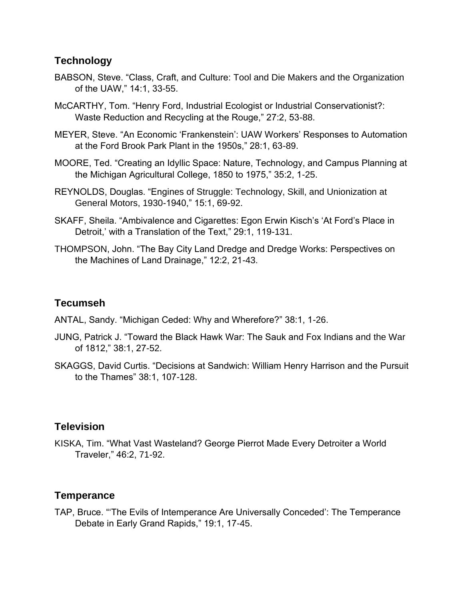## **Technology**

- BABSON, Steve. "Class, Craft, and Culture: Tool and Die Makers and the Organization of the UAW," 14:1, 33-55.
- McCARTHY, Tom. "Henry Ford, Industrial Ecologist or Industrial Conservationist?: Waste Reduction and Recycling at the Rouge," 27:2, 53-88.
- MEYER, Steve. "An Economic 'Frankenstein': UAW Workers' Responses to Automation at the Ford Brook Park Plant in the 1950s," 28:1, 63-89.
- MOORE, Ted. "Creating an Idyllic Space: Nature, Technology, and Campus Planning at the Michigan Agricultural College, 1850 to 1975," 35:2, 1-25.
- REYNOLDS, Douglas. "Engines of Struggle: Technology, Skill, and Unionization at General Motors, 1930-1940," 15:1, 69-92.
- SKAFF, Sheila. "Ambivalence and Cigarettes: Egon Erwin Kisch's 'At Ford's Place in Detroit,' with a Translation of the Text," 29:1, 119-131.
- THOMPSON, John. "The Bay City Land Dredge and Dredge Works: Perspectives on the Machines of Land Drainage," 12:2, 21-43.

## **Tecumseh**

ANTAL, Sandy. "Michigan Ceded: Why and Wherefore?" 38:1, 1-26.

- JUNG, Patrick J. "Toward the Black Hawk War: The Sauk and Fox Indians and the War of 1812," 38:1, 27-52.
- SKAGGS, David Curtis. "Decisions at Sandwich: William Henry Harrison and the Pursuit to the Thames" 38:1, 107-128.

#### **Television**

KISKA, Tim. "What Vast Wasteland? George Pierrot Made Every Detroiter a World Traveler," 46:2, 71-92.

## **Temperance**

TAP, Bruce. "'The Evils of Intemperance Are Universally Conceded': The Temperance Debate in Early Grand Rapids," 19:1, 17-45.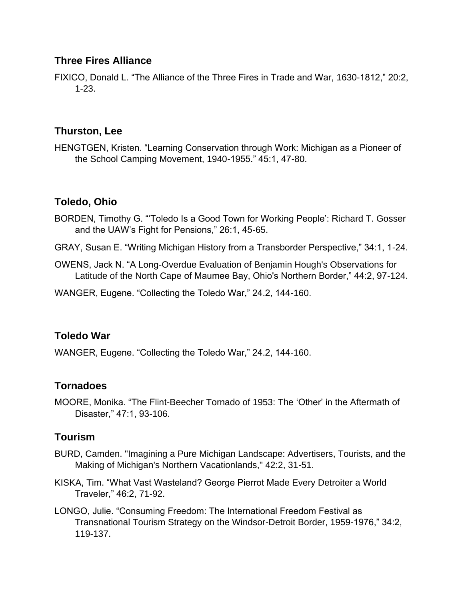## **Three Fires Alliance**

FIXICO, Donald L. "The Alliance of the Three Fires in Trade and War, 1630-1812," 20:2, 1-23.

### **Thurston, Lee**

HENGTGEN, Kristen. "Learning Conservation through Work: Michigan as a Pioneer of the School Camping Movement, 1940-1955." 45:1, 47-80.

#### **Toledo, Ohio**

- BORDEN, Timothy G. "'Toledo Is a Good Town for Working People': Richard T. Gosser and the UAW's Fight for Pensions," 26:1, 45-65.
- GRAY, Susan E. "Writing Michigan History from a Transborder Perspective," 34:1, 1-24.
- OWENS, Jack N. "A Long-Overdue Evaluation of Benjamin Hough's Observations for Latitude of the North Cape of Maumee Bay, Ohio's Northern Border," 44:2, 97-124.
- WANGER, Eugene. "Collecting the Toledo War," 24.2, 144-160.

#### **Toledo War**

WANGER, Eugene. "Collecting the Toledo War," 24.2, 144-160.

#### **Tornadoes**

MOORE, Monika. "The Flint-Beecher Tornado of 1953: The 'Other' in the Aftermath of Disaster," 47:1, 93-106.

## **Tourism**

- BURD, Camden. "Imagining a Pure Michigan Landscape: Advertisers, Tourists, and the Making of Michigan's Northern Vacationlands," 42:2, 31-51.
- KISKA, Tim. "What Vast Wasteland? George Pierrot Made Every Detroiter a World Traveler," 46:2, 71-92.
- LONGO, Julie. "Consuming Freedom: The International Freedom Festival as Transnational Tourism Strategy on the Windsor-Detroit Border, 1959-1976," 34:2, 119-137.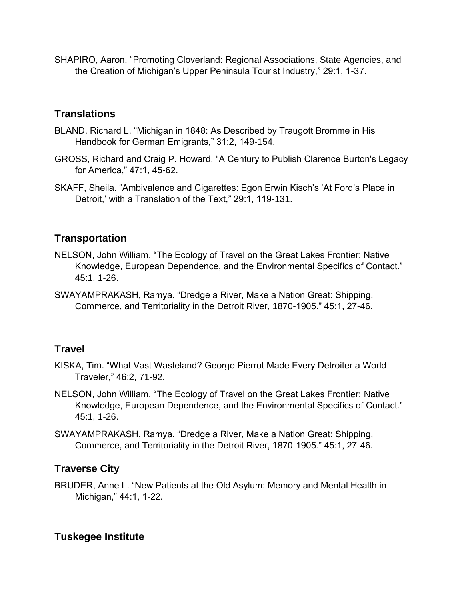SHAPIRO, Aaron. "Promoting Cloverland: Regional Associations, State Agencies, and the Creation of Michigan's Upper Peninsula Tourist Industry," 29:1, 1-37.

## **Translations**

- BLAND, Richard L. "Michigan in 1848: As Described by Traugott Bromme in His Handbook for German Emigrants," 31:2, 149-154.
- GROSS, Richard and Craig P. Howard. "A Century to Publish Clarence Burton's Legacy for America," 47:1, 45-62.
- SKAFF, Sheila. "Ambivalence and Cigarettes: Egon Erwin Kisch's 'At Ford's Place in Detroit,' with a Translation of the Text," 29:1, 119-131.

#### **Transportation**

- NELSON, John William. "The Ecology of Travel on the Great Lakes Frontier: Native Knowledge, European Dependence, and the Environmental Specifics of Contact." 45:1, 1-26.
- SWAYAMPRAKASH, Ramya. "Dredge a River, Make a Nation Great: Shipping, Commerce, and Territoriality in the Detroit River, 1870-1905." 45:1, 27-46.

#### **Travel**

- KISKA, Tim. "What Vast Wasteland? George Pierrot Made Every Detroiter a World Traveler," 46:2, 71-92.
- NELSON, John William. "The Ecology of Travel on the Great Lakes Frontier: Native Knowledge, European Dependence, and the Environmental Specifics of Contact." 45:1, 1-26.
- SWAYAMPRAKASH, Ramya. "Dredge a River, Make a Nation Great: Shipping, Commerce, and Territoriality in the Detroit River, 1870-1905." 45:1, 27-46.

## **Traverse City**

BRUDER, Anne L. "New Patients at the Old Asylum: Memory and Mental Health in Michigan," 44:1, 1-22.

## **Tuskegee Institute**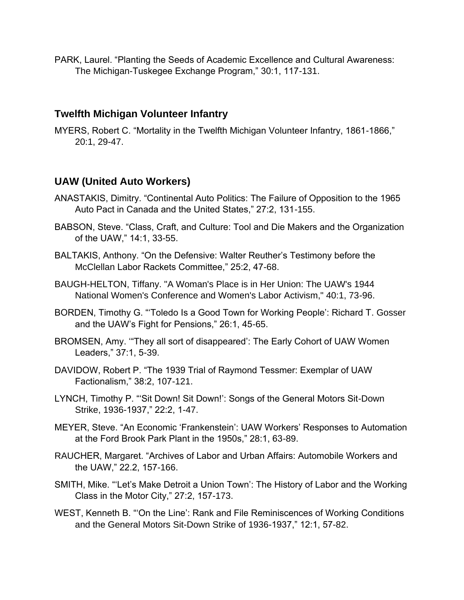PARK, Laurel. "Planting the Seeds of Academic Excellence and Cultural Awareness: The Michigan-Tuskegee Exchange Program," 30:1, 117-131.

#### **Twelfth Michigan Volunteer Infantry**

MYERS, Robert C. "Mortality in the Twelfth Michigan Volunteer Infantry, 1861-1866," 20:1, 29-47.

## **UAW (United Auto Workers)**

- ANASTAKIS, Dimitry. "Continental Auto Politics: The Failure of Opposition to the 1965 Auto Pact in Canada and the United States," 27:2, 131-155.
- BABSON, Steve. "Class, Craft, and Culture: Tool and Die Makers and the Organization of the UAW," 14:1, 33-55.
- BALTAKIS, Anthony. "On the Defensive: Walter Reuther's Testimony before the McClellan Labor Rackets Committee," 25:2, 47-68.
- BAUGH-HELTON, Tiffany. "A Woman's Place is in Her Union: The UAW's 1944 National Women's Conference and Women's Labor Activism," 40:1, 73-96.
- BORDEN, Timothy G. "'Toledo Is a Good Town for Working People': Richard T. Gosser and the UAW's Fight for Pensions," 26:1, 45-65.
- BROMSEN, Amy. '"They all sort of disappeared': The Early Cohort of UAW Women Leaders," 37:1, 5-39.
- DAVIDOW, Robert P. "The 1939 Trial of Raymond Tessmer: Exemplar of UAW Factionalism," 38:2, 107-121.
- LYNCH, Timothy P. "'Sit Down! Sit Down!': Songs of the General Motors Sit-Down Strike, 1936-1937," 22:2, 1-47.
- MEYER, Steve. "An Economic 'Frankenstein': UAW Workers' Responses to Automation at the Ford Brook Park Plant in the 1950s," 28:1, 63-89.
- RAUCHER, Margaret. "Archives of Labor and Urban Affairs: Automobile Workers and the UAW," 22.2, 157-166.
- SMITH, Mike. "'Let's Make Detroit a Union Town': The History of Labor and the Working Class in the Motor City," 27:2, 157-173.
- WEST, Kenneth B. "'On the Line': Rank and File Reminiscences of Working Conditions and the General Motors Sit-Down Strike of 1936-1937," 12:1, 57-82.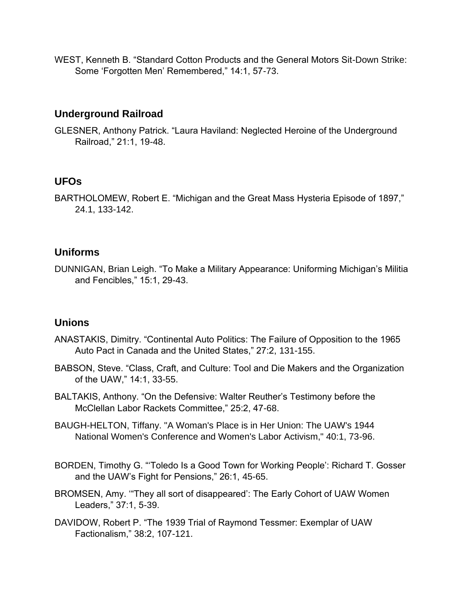WEST, Kenneth B. "Standard Cotton Products and the General Motors Sit-Down Strike: Some 'Forgotten Men' Remembered," 14:1, 57-73.

## **Underground Railroad**

GLESNER, Anthony Patrick. "Laura Haviland: Neglected Heroine of the Underground Railroad," 21:1, 19-48.

## **UFOs**

BARTHOLOMEW, Robert E. "Michigan and the Great Mass Hysteria Episode of 1897," 24.1, 133-142.

# **Uniforms**

DUNNIGAN, Brian Leigh. "To Make a Military Appearance: Uniforming Michigan's Militia and Fencibles," 15:1, 29-43.

# **Unions**

- ANASTAKIS, Dimitry. "Continental Auto Politics: The Failure of Opposition to the 1965 Auto Pact in Canada and the United States," 27:2, 131-155.
- BABSON, Steve. "Class, Craft, and Culture: Tool and Die Makers and the Organization of the UAW," 14:1, 33-55.
- BALTAKIS, Anthony. "On the Defensive: Walter Reuther's Testimony before the McClellan Labor Rackets Committee," 25:2, 47-68.
- BAUGH-HELTON, Tiffany. "A Woman's Place is in Her Union: The UAW's 1944 National Women's Conference and Women's Labor Activism," 40:1, 73-96.
- BORDEN, Timothy G. "'Toledo Is a Good Town for Working People': Richard T. Gosser and the UAW's Fight for Pensions," 26:1, 45-65.
- BROMSEN, Amy. '"They all sort of disappeared': The Early Cohort of UAW Women Leaders," 37:1, 5-39.
- DAVIDOW, Robert P. "The 1939 Trial of Raymond Tessmer: Exemplar of UAW Factionalism," 38:2, 107-121.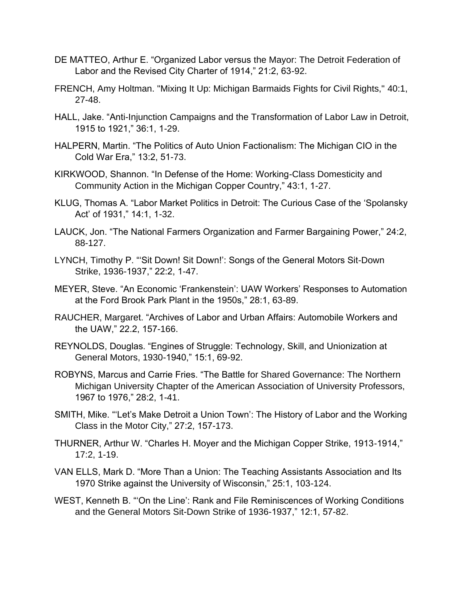- DE MATTEO, Arthur E. "Organized Labor versus the Mayor: The Detroit Federation of Labor and the Revised City Charter of 1914," 21:2, 63-92.
- FRENCH, Amy Holtman. "Mixing It Up: Michigan Barmaids Fights for Civil Rights," 40:1, 27-48.
- HALL, Jake. "Anti-Injunction Campaigns and the Transformation of Labor Law in Detroit, 1915 to 1921," 36:1, 1-29.
- HALPERN, Martin. "The Politics of Auto Union Factionalism: The Michigan CIO in the Cold War Era," 13:2, 51-73.
- KIRKWOOD, Shannon. "In Defense of the Home: Working-Class Domesticity and Community Action in the Michigan Copper Country," 43:1, 1-27.
- KLUG, Thomas A. "Labor Market Politics in Detroit: The Curious Case of the 'Spolansky Act' of 1931," 14:1, 1-32.
- LAUCK, Jon. "The National Farmers Organization and Farmer Bargaining Power," 24:2, 88-127.
- LYNCH, Timothy P. "'Sit Down! Sit Down!': Songs of the General Motors Sit-Down Strike, 1936-1937," 22:2, 1-47.
- MEYER, Steve. "An Economic 'Frankenstein': UAW Workers' Responses to Automation at the Ford Brook Park Plant in the 1950s," 28:1, 63-89.
- RAUCHER, Margaret. "Archives of Labor and Urban Affairs: Automobile Workers and the UAW," 22.2, 157-166.
- REYNOLDS, Douglas. "Engines of Struggle: Technology, Skill, and Unionization at General Motors, 1930-1940," 15:1, 69-92.
- ROBYNS, Marcus and Carrie Fries. "The Battle for Shared Governance: The Northern Michigan University Chapter of the American Association of University Professors, 1967 to 1976," 28:2, 1-41.
- SMITH, Mike. "'Let's Make Detroit a Union Town': The History of Labor and the Working Class in the Motor City," 27:2, 157-173.
- THURNER, Arthur W. "Charles H. Moyer and the Michigan Copper Strike, 1913-1914," 17:2, 1-19.
- VAN ELLS, Mark D. "More Than a Union: The Teaching Assistants Association and Its 1970 Strike against the University of Wisconsin," 25:1, 103-124.
- WEST, Kenneth B. "'On the Line': Rank and File Reminiscences of Working Conditions and the General Motors Sit-Down Strike of 1936-1937," 12:1, 57-82.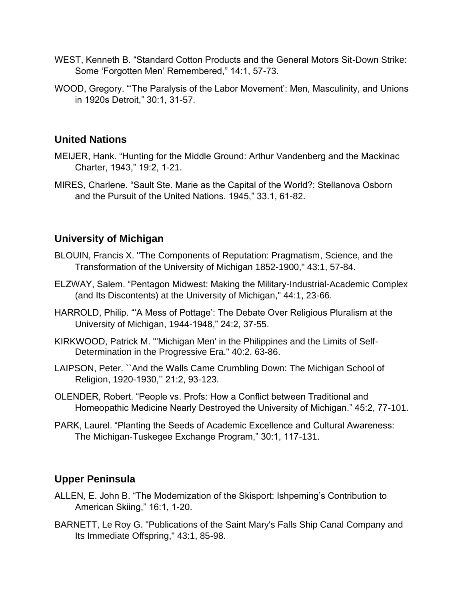- WEST, Kenneth B. "Standard Cotton Products and the General Motors Sit-Down Strike: Some 'Forgotten Men' Remembered," 14:1, 57-73.
- WOOD, Gregory. "'The Paralysis of the Labor Movement': Men, Masculinity, and Unions in 1920s Detroit," 30:1, 31-57.

### **United Nations**

- MEIJER, Hank. "Hunting for the Middle Ground: Arthur Vandenberg and the Mackinac Charter, 1943," 19:2, 1-21.
- MIRES, Charlene. "Sault Ste. Marie as the Capital of the World?: Stellanova Osborn and the Pursuit of the United Nations. 1945," 33.1, 61-82.

## **University of Michigan**

- BLOUIN, Francis X. "The Components of Reputation: Pragmatism, Science, and the Transformation of the University of Michigan 1852-1900," 43:1, 57-84.
- ELZWAY, Salem. "Pentagon Midwest: Making the Military-Industrial-Academic Complex (and Its Discontents) at the University of Michigan," 44:1, 23-66.
- HARROLD, Philip. "'A Mess of Pottage': The Debate Over Religious Pluralism at the University of Michigan, 1944-1948," 24:2, 37-55.
- KIRKWOOD, Patrick M. "'Michigan Men' in the Philippines and the Limits of Self-Determination in the Progressive Era." 40:2. 63-86.
- LAIPSON, Peter. ``And the Walls Came Crumbling Down: The Michigan School of Religion, 1920-1930,'' 21:2, 93-123.
- OLENDER, Robert. "People vs. Profs: How a Conflict between Traditional and Homeopathic Medicine Nearly Destroyed the University of Michigan." 45:2, 77-101.
- PARK, Laurel. "Planting the Seeds of Academic Excellence and Cultural Awareness: The Michigan-Tuskegee Exchange Program," 30:1, 117-131.

## **Upper Peninsula**

- ALLEN, E. John B. "The Modernization of the Skisport: Ishpeming's Contribution to American Skiing," 16:1, 1-20.
- BARNETT, Le Roy G. "Publications of the Saint Mary's Falls Ship Canal Company and Its Immediate Offspring," 43:1, 85-98.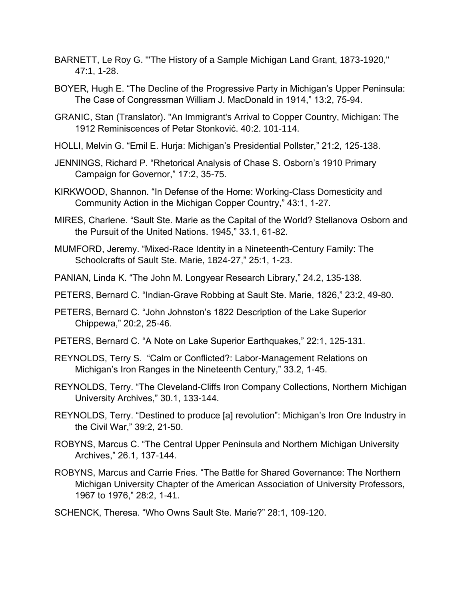- BARNETT, Le Roy G. "'The History of a Sample Michigan Land Grant, 1873-1920," 47:1, 1-28.
- BOYER, Hugh E. "The Decline of the Progressive Party in Michigan's Upper Peninsula: The Case of Congressman William J. MacDonald in 1914," 13:2, 75-94.
- GRANIC, Stan (Translator). "An Immigrant's Arrival to Copper Country, Michigan: The 1912 Reminiscences of Petar Stonković. 40:2. 101-114.
- HOLLI, Melvin G. "Emil E. Hurja: Michigan's Presidential Pollster," 21:2, 125-138.
- JENNINGS, Richard P. "Rhetorical Analysis of Chase S. Osborn's 1910 Primary Campaign for Governor," 17:2, 35-75.
- KIRKWOOD, Shannon. "In Defense of the Home: Working-Class Domesticity and Community Action in the Michigan Copper Country," 43:1, 1-27.
- MIRES, Charlene. "Sault Ste. Marie as the Capital of the World? Stellanova Osborn and the Pursuit of the United Nations. 1945," 33.1, 61-82.
- MUMFORD, Jeremy. "Mixed-Race Identity in a Nineteenth-Century Family: The Schoolcrafts of Sault Ste. Marie, 1824-27," 25:1, 1-23.
- PANIAN, Linda K. "The John M. Longyear Research Library," 24.2, 135-138.
- PETERS, Bernard C. "Indian-Grave Robbing at Sault Ste. Marie, 1826," 23:2, 49-80.
- PETERS, Bernard C. "John Johnston's 1822 Description of the Lake Superior Chippewa," 20:2, 25-46.
- PETERS, Bernard C. "A Note on Lake Superior Earthquakes," 22:1, 125-131.
- REYNOLDS, Terry S. "Calm or Conflicted?: Labor-Management Relations on Michigan's Iron Ranges in the Nineteenth Century," 33.2, 1-45.
- REYNOLDS, Terry. "The Cleveland-Cliffs Iron Company Collections, Northern Michigan University Archives," 30.1, 133-144.
- REYNOLDS, Terry. "Destined to produce [a] revolution": Michigan's Iron Ore Industry in the Civil War," 39:2, 21-50.
- ROBYNS, Marcus C. "The Central Upper Peninsula and Northern Michigan University Archives," 26.1, 137-144.
- ROBYNS, Marcus and Carrie Fries. "The Battle for Shared Governance: The Northern Michigan University Chapter of the American Association of University Professors, 1967 to 1976," 28:2, 1-41.
- SCHENCK, Theresa. "Who Owns Sault Ste. Marie?" 28:1, 109-120.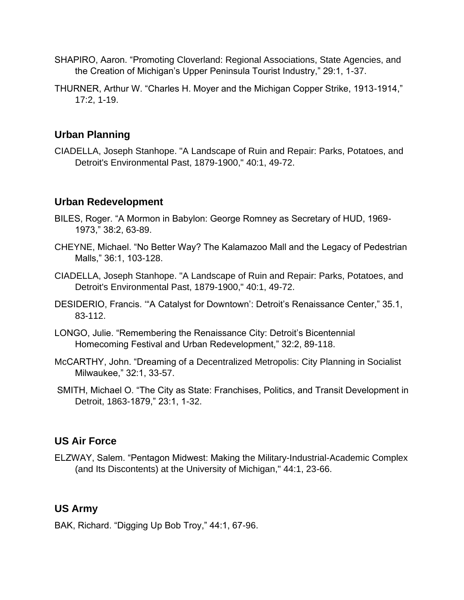- SHAPIRO, Aaron. "Promoting Cloverland: Regional Associations, State Agencies, and the Creation of Michigan's Upper Peninsula Tourist Industry," 29:1, 1-37.
- THURNER, Arthur W. "Charles H. Moyer and the Michigan Copper Strike, 1913-1914," 17:2, 1-19.

# **Urban Planning**

CIADELLA, Joseph Stanhope. "A Landscape of Ruin and Repair: Parks, Potatoes, and Detroit's Environmental Past, 1879-1900," 40:1, 49-72.

## **Urban Redevelopment**

- BILES, Roger. "A Mormon in Babylon: George Romney as Secretary of HUD, 1969- 1973," 38:2, 63-89.
- CHEYNE, Michael. "No Better Way? The Kalamazoo Mall and the Legacy of Pedestrian Malls," 36:1, 103-128.
- CIADELLA, Joseph Stanhope. "A Landscape of Ruin and Repair: Parks, Potatoes, and Detroit's Environmental Past, 1879-1900," 40:1, 49-72.
- DESIDERIO, Francis. '"A Catalyst for Downtown': Detroit's Renaissance Center," 35.1, 83-112.
- LONGO, Julie. "Remembering the Renaissance City: Detroit's Bicentennial Homecoming Festival and Urban Redevelopment," 32:2, 89-118.
- McCARTHY, John. "Dreaming of a Decentralized Metropolis: City Planning in Socialist Milwaukee," 32:1, 33-57.
- SMITH, Michael O. "The City as State: Franchises, Politics, and Transit Development in Detroit, 1863-1879," 23:1, 1-32.

#### **US Air Force**

ELZWAY, Salem. "Pentagon Midwest: Making the Military-Industrial-Academic Complex (and Its Discontents) at the University of Michigan," 44:1, 23-66.

## **US Army**

BAK, Richard. "Digging Up Bob Troy," 44:1, 67-96.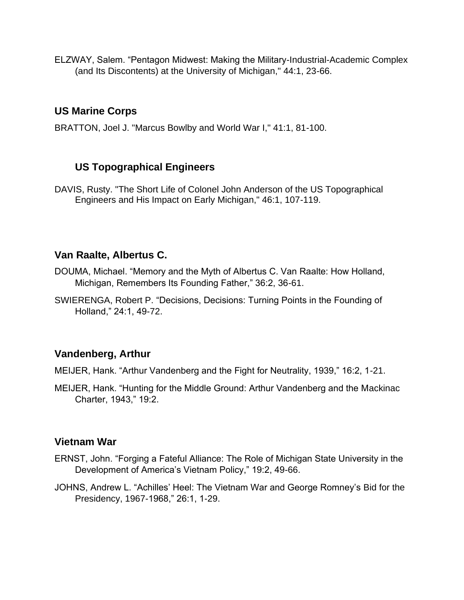ELZWAY, Salem. "Pentagon Midwest: Making the Military-Industrial-Academic Complex (and Its Discontents) at the University of Michigan," 44:1, 23-66.

### **US Marine Corps**

BRATTON, Joel J. "Marcus Bowlby and World War I," 41:1, 81-100.

#### **US Topographical Engineers**

DAVIS, Rusty. "The Short Life of Colonel John Anderson of the US Topographical Engineers and His Impact on Early Michigan," 46:1, 107-119.

## **Van Raalte, Albertus C.**

- DOUMA, Michael. "Memory and the Myth of Albertus C. Van Raalte: How Holland, Michigan, Remembers Its Founding Father," 36:2, 36-61.
- SWIERENGA, Robert P. "Decisions, Decisions: Turning Points in the Founding of Holland," 24:1, 49-72.

## **Vandenberg, Arthur**

MEIJER, Hank. "Arthur Vandenberg and the Fight for Neutrality, 1939," 16:2, 1-21.

MEIJER, Hank. "Hunting for the Middle Ground: Arthur Vandenberg and the Mackinac Charter, 1943," 19:2.

#### **Vietnam War**

- ERNST, John. "Forging a Fateful Alliance: The Role of Michigan State University in the Development of America's Vietnam Policy," 19:2, 49-66.
- JOHNS, Andrew L. "Achilles' Heel: The Vietnam War and George Romney's Bid for the Presidency, 1967-1968," 26:1, 1-29.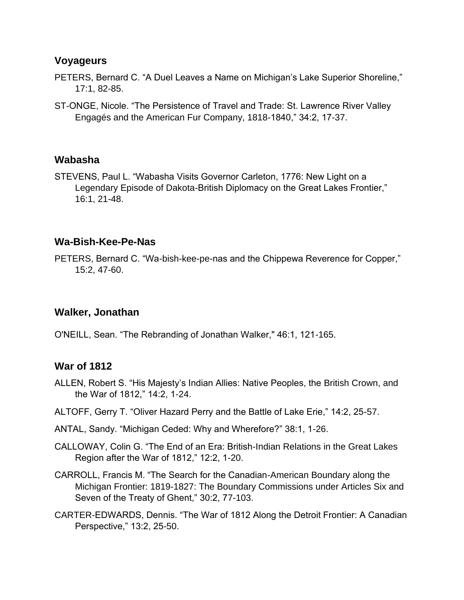#### **Voyageurs**

- PETERS, Bernard C. "A Duel Leaves a Name on Michigan's Lake Superior Shoreline," 17:1, 82-85.
- ST-ONGE, Nicole. "The Persistence of Travel and Trade: St. Lawrence River Valley Engagés and the American Fur Company, 1818-1840," 34:2, 17-37.

#### **Wabasha**

STEVENS, Paul L. "Wabasha Visits Governor Carleton, 1776: New Light on a Legendary Episode of Dakota-British Diplomacy on the Great Lakes Frontier," 16:1, 21-48.

#### **Wa-Bish-Kee-Pe-Nas**

PETERS, Bernard C. "Wa-bish-kee-pe-nas and the Chippewa Reverence for Copper," 15:2, 47-60.

#### **Walker, Jonathan**

O'NEILL, Sean. "The Rebranding of Jonathan Walker," 46:1, 121-165.

#### **War of 1812**

- ALLEN, Robert S. "His Majesty's Indian Allies: Native Peoples, the British Crown, and the War of 1812," 14:2, 1-24.
- ALTOFF, Gerry T. "Oliver Hazard Perry and the Battle of Lake Erie," 14:2, 25-57.
- ANTAL, Sandy. "Michigan Ceded: Why and Wherefore?" 38:1, 1-26.
- CALLOWAY, Colin G. "The End of an Era: British-Indian Relations in the Great Lakes Region after the War of 1812," 12:2, 1-20.
- CARROLL, Francis M. "The Search for the Canadian-American Boundary along the Michigan Frontier: 1819-1827: The Boundary Commissions under Articles Six and Seven of the Treaty of Ghent," 30:2, 77-103.
- CARTER-EDWARDS, Dennis. "The War of 1812 Along the Detroit Frontier: A Canadian Perspective," 13:2, 25-50.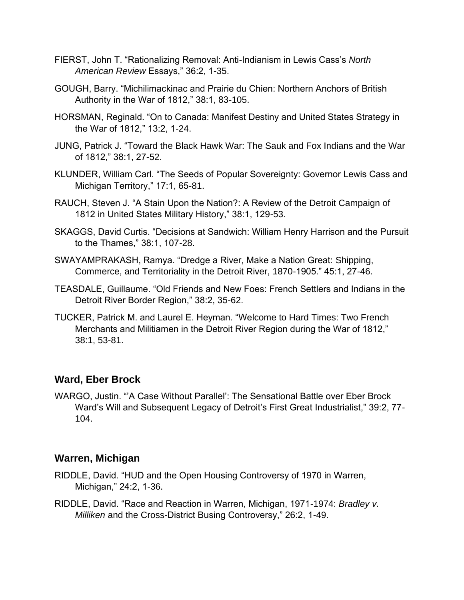- FIERST, John T. "Rationalizing Removal: Anti-Indianism in Lewis Cass's *North American Review* Essays," 36:2, 1-35.
- GOUGH, Barry. "Michilimackinac and Prairie du Chien: Northern Anchors of British Authority in the War of 1812," 38:1, 83-105.
- HORSMAN, Reginald. "On to Canada: Manifest Destiny and United States Strategy in the War of 1812," 13:2, 1-24.
- JUNG, Patrick J. "Toward the Black Hawk War: The Sauk and Fox Indians and the War of 1812," 38:1, 27-52.
- KLUNDER, William Carl. "The Seeds of Popular Sovereignty: Governor Lewis Cass and Michigan Territory," 17:1, 65-81.
- RAUCH, Steven J. "A Stain Upon the Nation?: A Review of the Detroit Campaign of 1812 in United States Military History," 38:1, 129-53.
- SKAGGS, David Curtis. "Decisions at Sandwich: William Henry Harrison and the Pursuit to the Thames," 38:1, 107-28.
- SWAYAMPRAKASH, Ramya. "Dredge a River, Make a Nation Great: Shipping, Commerce, and Territoriality in the Detroit River, 1870-1905." 45:1, 27-46.
- TEASDALE, Guillaume. "Old Friends and New Foes: French Settlers and Indians in the Detroit River Border Region," 38:2, 35-62.
- TUCKER, Patrick M. and Laurel E. Heyman. "Welcome to Hard Times: Two French Merchants and Militiamen in the Detroit River Region during the War of 1812," 38:1, 53-81.

#### **Ward, Eber Brock**

WARGO, Justin. "'A Case Without Parallel': The Sensational Battle over Eber Brock Ward's Will and Subsequent Legacy of Detroit's First Great Industrialist," 39:2, 77- 104.

#### **Warren, Michigan**

- RIDDLE, David. "HUD and the Open Housing Controversy of 1970 in Warren, Michigan," 24:2, 1-36.
- RIDDLE, David. "Race and Reaction in Warren, Michigan, 1971-1974: *Bradley v. Milliken* and the Cross-District Busing Controversy," 26:2, 1-49.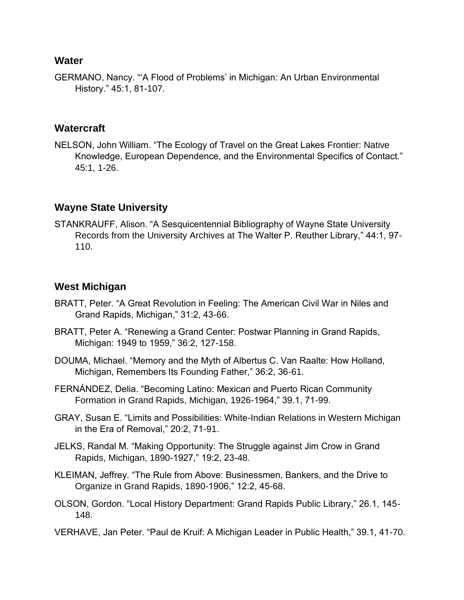#### **Water**

GERMANO, Nancy. "'A Flood of Problems' in Michigan: An Urban Environmental History." 45:1, 81-107.

#### **Watercraft**

NELSON, John William. "The Ecology of Travel on the Great Lakes Frontier: Native Knowledge, European Dependence, and the Environmental Specifics of Contact." 45:1, 1-26.

# **Wayne State University**

STANKRAUFF, Alison. "A Sesquicentennial Bibliography of Wayne State University Records from the University Archives at The Walter P. Reuther Library," 44:1, 97- 110.

## **West Michigan**

- BRATT, Peter. "A Great Revolution in Feeling: The American Civil War in Niles and Grand Rapids, Michigan," 31:2, 43-66.
- BRATT, Peter A. "Renewing a Grand Center: Postwar Planning in Grand Rapids, Michigan: 1949 to 1959," 36:2, 127-158.
- DOUMA, Michael. "Memory and the Myth of Albertus C. Van Raalte: How Holland, Michigan, Remembers Its Founding Father," 36:2, 36-61.
- FERNÁNDEZ, Delia. "Becoming Latino: Mexican and Puerto Rican Community Formation in Grand Rapids, Michigan, 1926-1964," 39.1, 71-99.
- GRAY, Susan E. "Limits and Possibilities: White-Indian Relations in Western Michigan in the Era of Removal," 20:2, 71-91.
- JELKS, Randal M. "Making Opportunity: The Struggle against Jim Crow in Grand Rapids, Michigan, 1890-1927," 19:2, 23-48.
- KLEIMAN, Jeffrey. "The Rule from Above: Businessmen, Bankers, and the Drive to Organize in Grand Rapids, 1890-1906," 12:2, 45-68.
- OLSON, Gordon. "Local History Department: Grand Rapids Public Library," 26.1, 145- 148.
- VERHAVE, Jan Peter. "Paul de Kruif: A Michigan Leader in Public Health," 39.1, 41-70.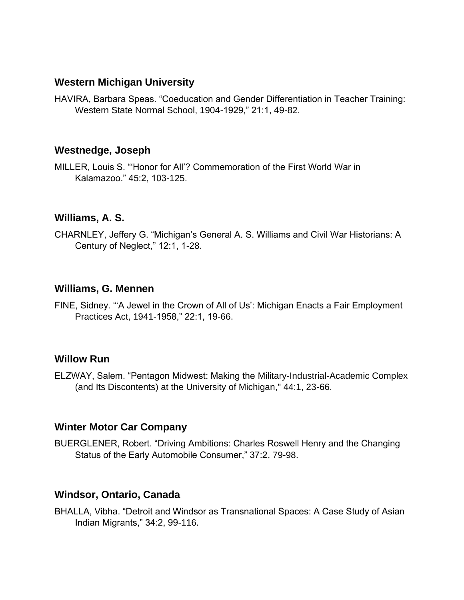#### **Western Michigan University**

HAVIRA, Barbara Speas. "Coeducation and Gender Differentiation in Teacher Training: Western State Normal School, 1904-1929," 21:1, 49-82.

#### **Westnedge, Joseph**

MILLER, Louis S. "'Honor for All'? Commemoration of the First World War in Kalamazoo." 45:2, 103-125.

#### **Williams, A. S.**

CHARNLEY, Jeffery G. "Michigan's General A. S. Williams and Civil War Historians: A Century of Neglect," 12:1, 1-28.

#### **Williams, G. Mennen**

FINE, Sidney. "'A Jewel in the Crown of All of Us': Michigan Enacts a Fair Employment Practices Act, 1941-1958," 22:1, 19-66.

#### **Willow Run**

ELZWAY, Salem. "Pentagon Midwest: Making the Military-Industrial-Academic Complex (and Its Discontents) at the University of Michigan," 44:1, 23-66.

#### **Winter Motor Car Company**

BUERGLENER, Robert. "Driving Ambitions: Charles Roswell Henry and the Changing Status of the Early Automobile Consumer," 37:2, 79-98.

#### **Windsor, Ontario, Canada**

BHALLA, Vibha. "Detroit and Windsor as Transnational Spaces: A Case Study of Asian Indian Migrants," 34:2, 99-116.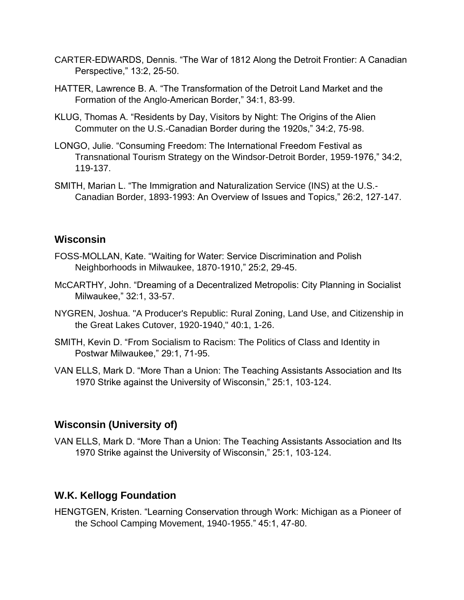- CARTER-EDWARDS, Dennis. "The War of 1812 Along the Detroit Frontier: A Canadian Perspective," 13:2, 25-50.
- HATTER, Lawrence B. A. "The Transformation of the Detroit Land Market and the Formation of the Anglo-American Border," 34:1, 83-99.
- KLUG, Thomas A. "Residents by Day, Visitors by Night: The Origins of the Alien Commuter on the U.S.-Canadian Border during the 1920s," 34:2, 75-98.
- LONGO, Julie. "Consuming Freedom: The International Freedom Festival as Transnational Tourism Strategy on the Windsor-Detroit Border, 1959-1976," 34:2, 119-137.
- SMITH, Marian L. "The Immigration and Naturalization Service (INS) at the U.S.- Canadian Border, 1893-1993: An Overview of Issues and Topics," 26:2, 127-147.

#### **Wisconsin**

- FOSS-MOLLAN, Kate. "Waiting for Water: Service Discrimination and Polish Neighborhoods in Milwaukee, 1870-1910," 25:2, 29-45.
- McCARTHY, John. "Dreaming of a Decentralized Metropolis: City Planning in Socialist Milwaukee," 32:1, 33-57.
- NYGREN, Joshua. "A Producer's Republic: Rural Zoning, Land Use, and Citizenship in the Great Lakes Cutover, 1920-1940," 40:1, 1-26.
- SMITH, Kevin D. "From Socialism to Racism: The Politics of Class and Identity in Postwar Milwaukee," 29:1, 71-95.
- VAN ELLS, Mark D. "More Than a Union: The Teaching Assistants Association and Its 1970 Strike against the University of Wisconsin," 25:1, 103-124.

## **Wisconsin (University of)**

VAN ELLS, Mark D. "More Than a Union: The Teaching Assistants Association and Its 1970 Strike against the University of Wisconsin," 25:1, 103-124.

# **W.K. Kellogg Foundation**

HENGTGEN, Kristen. "Learning Conservation through Work: Michigan as a Pioneer of the School Camping Movement, 1940-1955." 45:1, 47-80.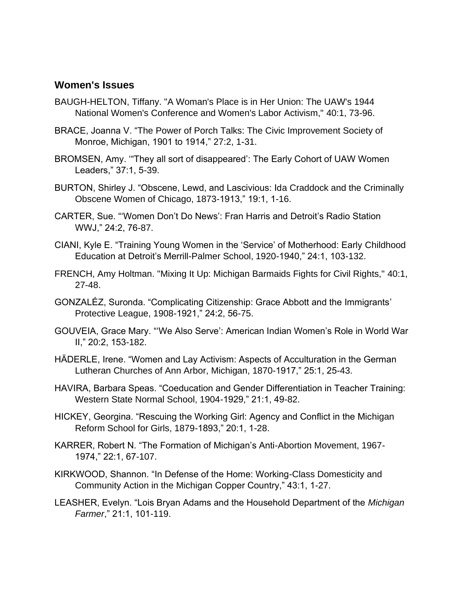#### **Women's Issues**

- BAUGH-HELTON, Tiffany. "A Woman's Place is in Her Union: The UAW's 1944 National Women's Conference and Women's Labor Activism," 40:1, 73-96.
- BRACE, Joanna V. "The Power of Porch Talks: The Civic Improvement Society of Monroe, Michigan, 1901 to 1914," 27:2, 1-31.
- BROMSEN, Amy. '"They all sort of disappeared': The Early Cohort of UAW Women Leaders," 37:1, 5-39.
- BURTON, Shirley J. "Obscene, Lewd, and Lascivious: Ida Craddock and the Criminally Obscene Women of Chicago, 1873-1913," 19:1, 1-16.
- CARTER, Sue. "'Women Don't Do News': Fran Harris and Detroit's Radio Station WWJ," 24:2, 76-87.
- CIANI, Kyle E. "Training Young Women in the 'Service' of Motherhood: Early Childhood Education at Detroit's Merrill-Palmer School, 1920-1940," 24:1, 103-132.
- FRENCH, Amy Holtman. "Mixing It Up: Michigan Barmaids Fights for Civil Rights," 40:1, 27-48.
- GONZALÉZ, Suronda. "Complicating Citizenship: Grace Abbott and the Immigrants' Protective League, 1908-1921," 24:2, 56-75.
- GOUVEIA, Grace Mary. "'We Also Serve': American Indian Women's Role in World War II," 20:2, 153-182.
- HÄDERLE, Irene. "Women and Lay Activism: Aspects of Acculturation in the German Lutheran Churches of Ann Arbor, Michigan, 1870-1917," 25:1, 25-43.
- HAVIRA, Barbara Speas. "Coeducation and Gender Differentiation in Teacher Training: Western State Normal School, 1904-1929," 21:1, 49-82.
- HICKEY, Georgina. "Rescuing the Working Girl: Agency and Conflict in the Michigan Reform School for Girls, 1879-1893," 20:1, 1-28.
- KARRER, Robert N. "The Formation of Michigan's Anti-Abortion Movement, 1967- 1974," 22:1, 67-107.
- KIRKWOOD, Shannon. "In Defense of the Home: Working-Class Domesticity and Community Action in the Michigan Copper Country," 43:1, 1-27.
- LEASHER, Evelyn. "Lois Bryan Adams and the Household Department of the *Michigan Farmer*," 21:1, 101-119.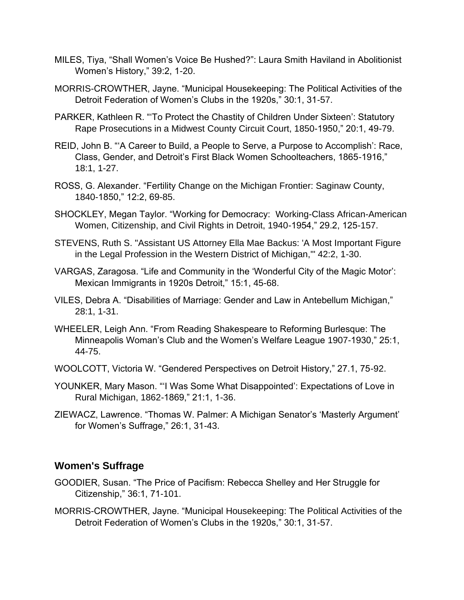- MILES, Tiya, "Shall Women's Voice Be Hushed?": Laura Smith Haviland in Abolitionist Women's History," 39:2, 1-20.
- MORRIS-CROWTHER, Jayne. "Municipal Housekeeping: The Political Activities of the Detroit Federation of Women's Clubs in the 1920s," 30:1, 31-57.
- PARKER, Kathleen R. "'To Protect the Chastity of Children Under Sixteen': Statutory Rape Prosecutions in a Midwest County Circuit Court, 1850-1950," 20:1, 49-79.
- REID, John B. "'A Career to Build, a People to Serve, a Purpose to Accomplish': Race, Class, Gender, and Detroit's First Black Women Schoolteachers, 1865-1916," 18:1, 1-27.
- ROSS, G. Alexander. "Fertility Change on the Michigan Frontier: Saginaw County, 1840-1850," 12:2, 69-85.
- SHOCKLEY, Megan Taylor. "Working for Democracy: Working-Class African-American Women, Citizenship, and Civil Rights in Detroit, 1940-1954," 29.2, 125-157.
- STEVENS, Ruth S. "Assistant US Attorney Ella Mae Backus: 'A Most Important Figure in the Legal Profession in the Western District of Michigan,'" 42:2, 1-30.
- VARGAS, Zaragosa. "Life and Community in the 'Wonderful City of the Magic Motor': Mexican Immigrants in 1920s Detroit," 15:1, 45-68.
- VILES, Debra A. "Disabilities of Marriage: Gender and Law in Antebellum Michigan," 28:1, 1-31.
- WHEELER, Leigh Ann. "From Reading Shakespeare to Reforming Burlesque: The Minneapolis Woman's Club and the Women's Welfare League 1907-1930," 25:1, 44-75.
- WOOLCOTT, Victoria W. "Gendered Perspectives on Detroit History," 27.1, 75-92.
- YOUNKER, Mary Mason. "'I Was Some What Disappointed': Expectations of Love in Rural Michigan, 1862-1869," 21:1, 1-36.
- ZIEWACZ, Lawrence. "Thomas W. Palmer: A Michigan Senator's 'Masterly Argument' for Women's Suffrage," 26:1, 31-43.

#### **Women's Suffrage**

- GOODIER, Susan. "The Price of Pacifism: Rebecca Shelley and Her Struggle for Citizenship," 36:1, 71-101.
- MORRIS-CROWTHER, Jayne. "Municipal Housekeeping: The Political Activities of the Detroit Federation of Women's Clubs in the 1920s," 30:1, 31-57.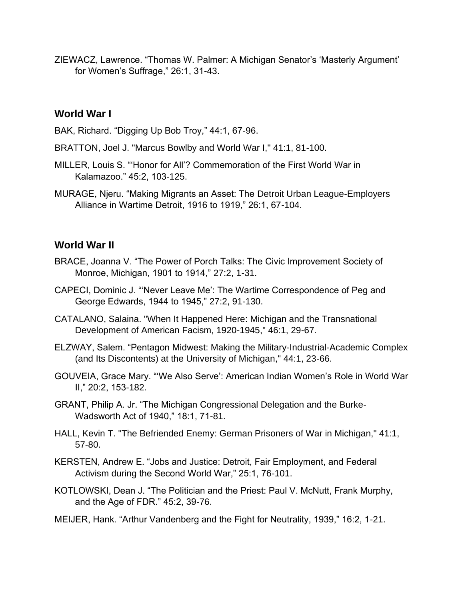ZIEWACZ, Lawrence. "Thomas W. Palmer: A Michigan Senator's 'Masterly Argument' for Women's Suffrage," 26:1, 31-43.

### **World War I**

BAK, Richard. "Digging Up Bob Troy," 44:1, 67-96.

- BRATTON, Joel J. "Marcus Bowlby and World War I," 41:1, 81-100.
- MILLER, Louis S. "'Honor for All'? Commemoration of the First World War in Kalamazoo." 45:2, 103-125.
- MURAGE, Njeru. "Making Migrants an Asset: The Detroit Urban League-Employers Alliance in Wartime Detroit, 1916 to 1919," 26:1, 67-104.

### **World War II**

- BRACE, Joanna V. "The Power of Porch Talks: The Civic Improvement Society of Monroe, Michigan, 1901 to 1914," 27:2, 1-31.
- CAPECI, Dominic J. "'Never Leave Me': The Wartime Correspondence of Peg and George Edwards, 1944 to 1945," 27:2, 91-130.
- CATALANO, Salaina. "When It Happened Here: Michigan and the Transnational Development of American Facism, 1920-1945," 46:1, 29-67.
- ELZWAY, Salem. "Pentagon Midwest: Making the Military-Industrial-Academic Complex (and Its Discontents) at the University of Michigan," 44:1, 23-66.
- GOUVEIA, Grace Mary. "'We Also Serve': American Indian Women's Role in World War II," 20:2, 153-182.
- GRANT, Philip A. Jr. "The Michigan Congressional Delegation and the Burke-Wadsworth Act of 1940," 18:1, 71-81.
- HALL, Kevin T. "The Befriended Enemy: German Prisoners of War in Michigan," 41:1, 57-80.
- KERSTEN, Andrew E. "Jobs and Justice: Detroit, Fair Employment, and Federal Activism during the Second World War," 25:1, 76-101.
- KOTLOWSKI, Dean J. "The Politician and the Priest: Paul V. McNutt, Frank Murphy, and the Age of FDR." 45:2, 39-76.
- MEIJER, Hank. "Arthur Vandenberg and the Fight for Neutrality, 1939," 16:2, 1-21.